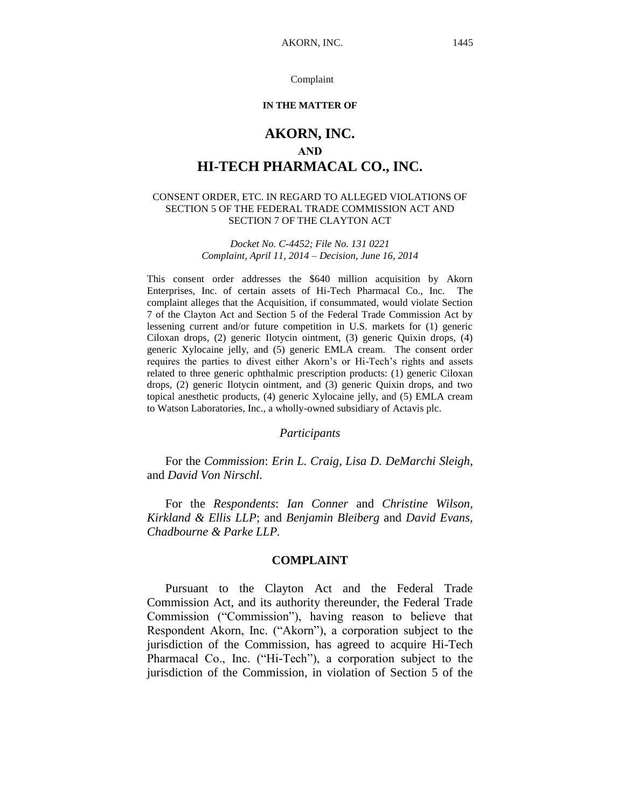#### Complaint

#### **IN THE MATTER OF**

# **AKORN, INC. AND HI-TECH PHARMACAL CO., INC.**

#### CONSENT ORDER, ETC. IN REGARD TO ALLEGED VIOLATIONS OF SECTION 5 OF THE FEDERAL TRADE COMMISSION ACT AND SECTION 7 OF THE CLAYTON ACT

*Docket No. C-4452; File No. 131 0221 Complaint, April 11, 2014 – Decision, June 16, 2014*

This consent order addresses the \$640 million acquisition by Akorn Enterprises, Inc. of certain assets of Hi-Tech Pharmacal Co., Inc. The complaint alleges that the Acquisition, if consummated, would violate Section 7 of the Clayton Act and Section 5 of the Federal Trade Commission Act by lessening current and/or future competition in U.S. markets for (1) generic Ciloxan drops, (2) generic Ilotycin ointment, (3) generic Quixin drops, (4) generic Xylocaine jelly, and (5) generic EMLA cream. The consent order requires the parties to divest either Akorn's or Hi-Tech's rights and assets related to three generic ophthalmic prescription products: (1) generic Ciloxan drops, (2) generic Ilotycin ointment, and (3) generic Quixin drops, and two topical anesthetic products, (4) generic Xylocaine jelly, and (5) EMLA cream to Watson Laboratories, Inc., a wholly-owned subsidiary of Actavis plc.

*Participants*

For the *Commission*: *Erin L. Craig, Lisa D. DeMarchi Sleigh*, and *David Von Nirschl.*

For the *Respondents*: *Ian Conner* and *Christine Wilson, Kirkland & Ellis LLP*; and *Benjamin Bleiberg* and *David Evans, Chadbourne & Parke LLP.*

#### **COMPLAINT**

Pursuant to the Clayton Act and the Federal Trade Commission Act, and its authority thereunder, the Federal Trade Commission ("Commission"), having reason to believe that Respondent Akorn, Inc. ("Akorn"), a corporation subject to the jurisdiction of the Commission, has agreed to acquire Hi-Tech Pharmacal Co., Inc. ("Hi-Tech"), a corporation subject to the jurisdiction of the Commission, in violation of Section 5 of the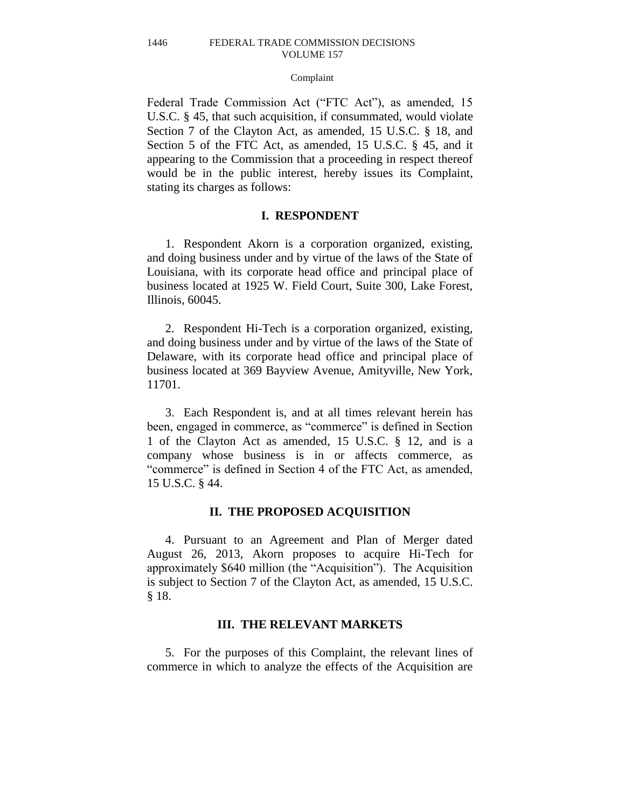#### Complaint

Federal Trade Commission Act ("FTC Act"), as amended, 15 U.S.C. § 45, that such acquisition, if consummated, would violate Section 7 of the Clayton Act, as amended, 15 U.S.C. § 18, and Section 5 of the FTC Act, as amended, 15 U.S.C. § 45, and it appearing to the Commission that a proceeding in respect thereof would be in the public interest, hereby issues its Complaint, stating its charges as follows:

### **I. RESPONDENT**

1. Respondent Akorn is a corporation organized, existing, and doing business under and by virtue of the laws of the State of Louisiana, with its corporate head office and principal place of business located at 1925 W. Field Court, Suite 300, Lake Forest, Illinois, 60045.

2. Respondent Hi-Tech is a corporation organized, existing, and doing business under and by virtue of the laws of the State of Delaware, with its corporate head office and principal place of business located at 369 Bayview Avenue, Amityville, New York, 11701.

3. Each Respondent is, and at all times relevant herein has been, engaged in commerce, as "commerce" is defined in Section 1 of the Clayton Act as amended, 15 U.S.C. § 12, and is a company whose business is in or affects commerce, as "commerce" is defined in Section 4 of the FTC Act, as amended, 15 U.S.C. § 44.

### **II. THE PROPOSED ACQUISITION**

4. Pursuant to an Agreement and Plan of Merger dated August 26, 2013, Akorn proposes to acquire Hi-Tech for approximately \$640 million (the "Acquisition"). The Acquisition is subject to Section 7 of the Clayton Act, as amended, 15 U.S.C. § 18.

## **III. THE RELEVANT MARKETS**

5. For the purposes of this Complaint, the relevant lines of commerce in which to analyze the effects of the Acquisition are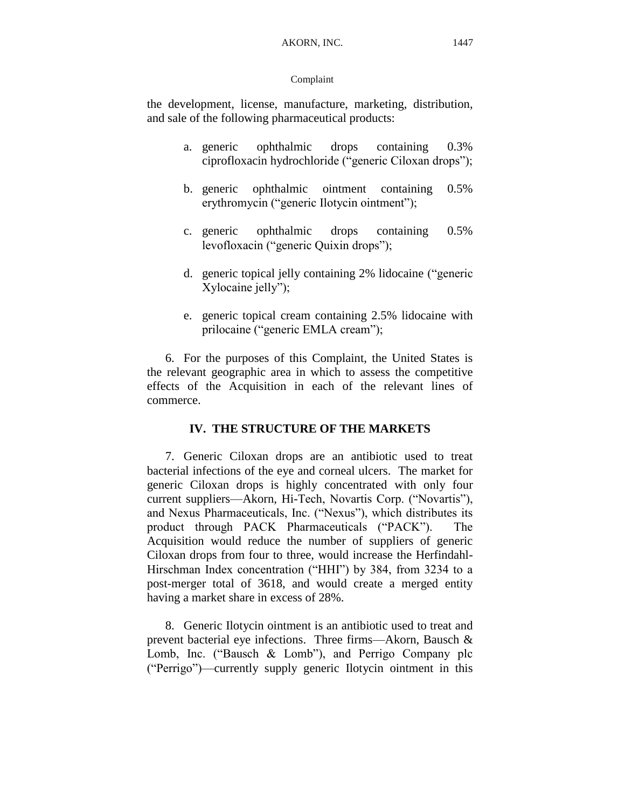## Complaint

the development, license, manufacture, marketing, distribution, and sale of the following pharmaceutical products:

- a. generic ophthalmic drops containing 0.3% ciprofloxacin hydrochloride ("generic Ciloxan drops");
- b. generic ophthalmic ointment containing 0.5% erythromycin ("generic Ilotycin ointment");
- c. generic ophthalmic drops containing 0.5% levofloxacin ("generic Quixin drops");
- d. generic topical jelly containing 2% lidocaine ("generic Xylocaine jelly");
- e. generic topical cream containing 2.5% lidocaine with prilocaine ("generic EMLA cream");

6. For the purposes of this Complaint, the United States is the relevant geographic area in which to assess the competitive effects of the Acquisition in each of the relevant lines of commerce.

## **IV. THE STRUCTURE OF THE MARKETS**

7. Generic Ciloxan drops are an antibiotic used to treat bacterial infections of the eye and corneal ulcers. The market for generic Ciloxan drops is highly concentrated with only four current suppliers—Akorn, Hi-Tech, Novartis Corp. ("Novartis"), and Nexus Pharmaceuticals, Inc. ("Nexus"), which distributes its product through PACK Pharmaceuticals ("PACK"). The Acquisition would reduce the number of suppliers of generic Ciloxan drops from four to three, would increase the Herfindahl-Hirschman Index concentration ("HHI") by 384, from 3234 to a post-merger total of 3618, and would create a merged entity having a market share in excess of 28%.

8. Generic Ilotycin ointment is an antibiotic used to treat and prevent bacterial eye infections. Three firms—Akorn, Bausch & Lomb, Inc. ("Bausch & Lomb"), and Perrigo Company plc ("Perrigo")—currently supply generic Ilotycin ointment in this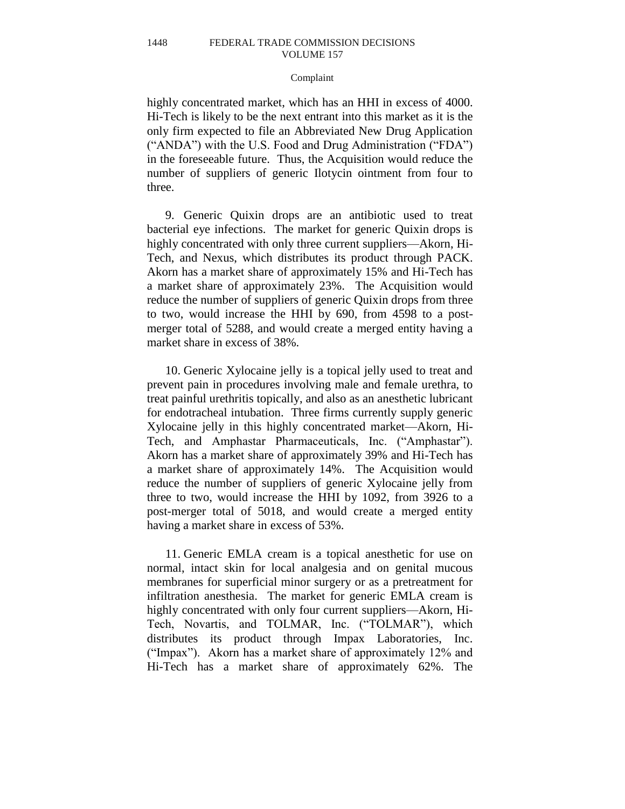#### Complaint

highly concentrated market, which has an HHI in excess of 4000. Hi-Tech is likely to be the next entrant into this market as it is the only firm expected to file an Abbreviated New Drug Application ("ANDA") with the U.S. Food and Drug Administration ("FDA") in the foreseeable future. Thus, the Acquisition would reduce the number of suppliers of generic Ilotycin ointment from four to three.

9. Generic Quixin drops are an antibiotic used to treat bacterial eye infections. The market for generic Quixin drops is highly concentrated with only three current suppliers—Akorn, Hi-Tech, and Nexus, which distributes its product through PACK. Akorn has a market share of approximately 15% and Hi-Tech has a market share of approximately 23%. The Acquisition would reduce the number of suppliers of generic Quixin drops from three to two, would increase the HHI by 690, from 4598 to a postmerger total of 5288, and would create a merged entity having a market share in excess of 38%.

10. Generic Xylocaine jelly is a topical jelly used to treat and prevent pain in procedures involving male and female urethra, to treat painful urethritis topically, and also as an anesthetic lubricant for endotracheal intubation. Three firms currently supply generic Xylocaine jelly in this highly concentrated market—Akorn, Hi-Tech, and Amphastar Pharmaceuticals, Inc. ("Amphastar"). Akorn has a market share of approximately 39% and Hi-Tech has a market share of approximately 14%. The Acquisition would reduce the number of suppliers of generic Xylocaine jelly from three to two, would increase the HHI by 1092, from 3926 to a post-merger total of 5018, and would create a merged entity having a market share in excess of 53%.

11. Generic EMLA cream is a topical anesthetic for use on normal, intact skin for local analgesia and on genital mucous membranes for superficial minor surgery or as a pretreatment for infiltration anesthesia. The market for generic EMLA cream is highly concentrated with only four current suppliers—Akorn, Hi-Tech, Novartis, and TOLMAR, Inc. ("TOLMAR"), which distributes its product through Impax Laboratories, Inc. ("Impax"). Akorn has a market share of approximately 12% and Hi-Tech has a market share of approximately 62%. The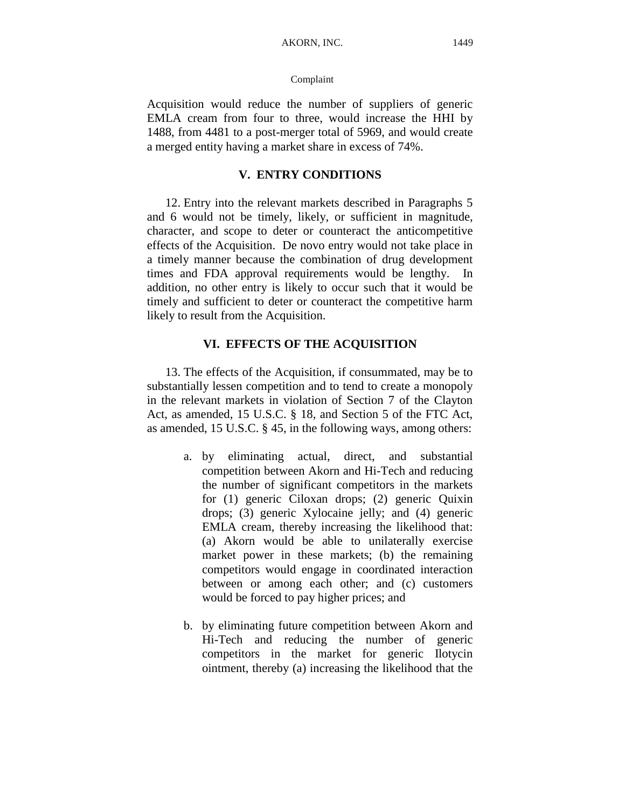### Complaint

Acquisition would reduce the number of suppliers of generic EMLA cream from four to three, would increase the HHI by 1488, from 4481 to a post-merger total of 5969, and would create a merged entity having a market share in excess of 74%.

## **V. ENTRY CONDITIONS**

12. Entry into the relevant markets described in Paragraphs 5 and 6 would not be timely, likely, or sufficient in magnitude, character, and scope to deter or counteract the anticompetitive effects of the Acquisition. De novo entry would not take place in a timely manner because the combination of drug development times and FDA approval requirements would be lengthy. In addition, no other entry is likely to occur such that it would be timely and sufficient to deter or counteract the competitive harm likely to result from the Acquisition.

## **VI. EFFECTS OF THE ACQUISITION**

13. The effects of the Acquisition, if consummated, may be to substantially lessen competition and to tend to create a monopoly in the relevant markets in violation of Section 7 of the Clayton Act, as amended, 15 U.S.C. § 18, and Section 5 of the FTC Act, as amended, 15 U.S.C. § 45, in the following ways, among others:

- a. by eliminating actual, direct, and substantial competition between Akorn and Hi-Tech and reducing the number of significant competitors in the markets for (1) generic Ciloxan drops; (2) generic Quixin drops; (3) generic Xylocaine jelly; and (4) generic EMLA cream, thereby increasing the likelihood that: (a) Akorn would be able to unilaterally exercise market power in these markets; (b) the remaining competitors would engage in coordinated interaction between or among each other; and (c) customers would be forced to pay higher prices; and
- b. by eliminating future competition between Akorn and Hi-Tech and reducing the number of generic competitors in the market for generic Ilotycin ointment, thereby (a) increasing the likelihood that the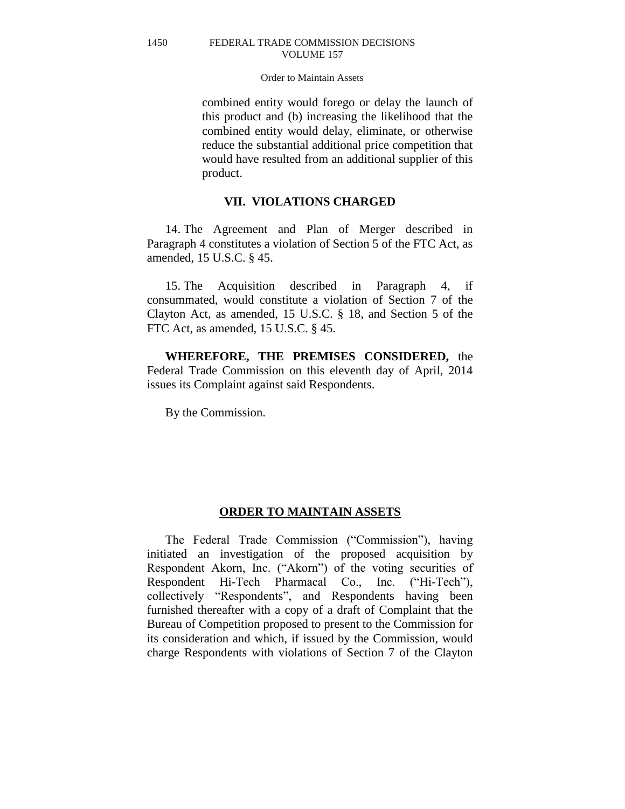#### Order to Maintain Assets

combined entity would forego or delay the launch of this product and (b) increasing the likelihood that the combined entity would delay, eliminate, or otherwise reduce the substantial additional price competition that would have resulted from an additional supplier of this product.

## **VII. VIOLATIONS CHARGED**

14. The Agreement and Plan of Merger described in Paragraph 4 constitutes a violation of Section 5 of the FTC Act, as amended, 15 U.S.C. § 45.

15. The Acquisition described in Paragraph 4, if consummated, would constitute a violation of Section 7 of the Clayton Act, as amended, 15 U.S.C. § 18, and Section 5 of the FTC Act, as amended, 15 U.S.C. § 45.

**WHEREFORE, THE PREMISES CONSIDERED,** the Federal Trade Commission on this eleventh day of April, 2014 issues its Complaint against said Respondents.

By the Commission.

## **ORDER TO MAINTAIN ASSETS**

The Federal Trade Commission ("Commission"), having initiated an investigation of the proposed acquisition by Respondent Akorn, Inc. ("Akorn") of the voting securities of Respondent Hi-Tech Pharmacal Co., Inc. ("Hi-Tech"), collectively "Respondents", and Respondents having been furnished thereafter with a copy of a draft of Complaint that the Bureau of Competition proposed to present to the Commission for its consideration and which, if issued by the Commission, would charge Respondents with violations of Section 7 of the Clayton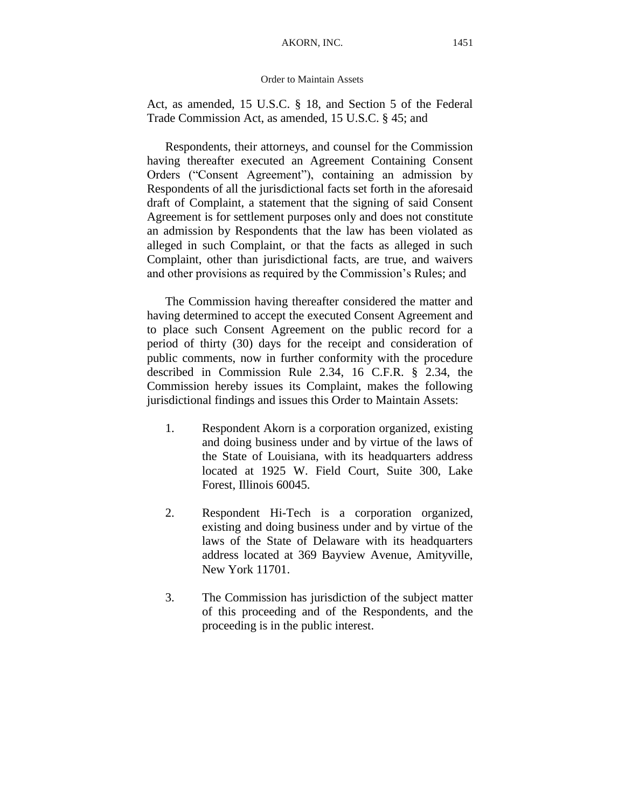Act, as amended, 15 U.S.C. § 18, and Section 5 of the Federal Trade Commission Act, as amended, 15 U.S.C. § 45; and

Respondents, their attorneys, and counsel for the Commission having thereafter executed an Agreement Containing Consent Orders ("Consent Agreement"), containing an admission by Respondents of all the jurisdictional facts set forth in the aforesaid draft of Complaint, a statement that the signing of said Consent Agreement is for settlement purposes only and does not constitute an admission by Respondents that the law has been violated as alleged in such Complaint, or that the facts as alleged in such Complaint, other than jurisdictional facts, are true, and waivers and other provisions as required by the Commission's Rules; and

The Commission having thereafter considered the matter and having determined to accept the executed Consent Agreement and to place such Consent Agreement on the public record for a period of thirty (30) days for the receipt and consideration of public comments, now in further conformity with the procedure described in Commission Rule 2.34, 16 C.F.R. § 2.34, the Commission hereby issues its Complaint, makes the following jurisdictional findings and issues this Order to Maintain Assets:

- 1. Respondent Akorn is a corporation organized, existing and doing business under and by virtue of the laws of the State of Louisiana, with its headquarters address located at 1925 W. Field Court, Suite 300, Lake Forest, Illinois 60045.
- 2. Respondent Hi-Tech is a corporation organized, existing and doing business under and by virtue of the laws of the State of Delaware with its headquarters address located at 369 Bayview Avenue, Amityville, New York 11701.
- 3. The Commission has jurisdiction of the subject matter of this proceeding and of the Respondents, and the proceeding is in the public interest.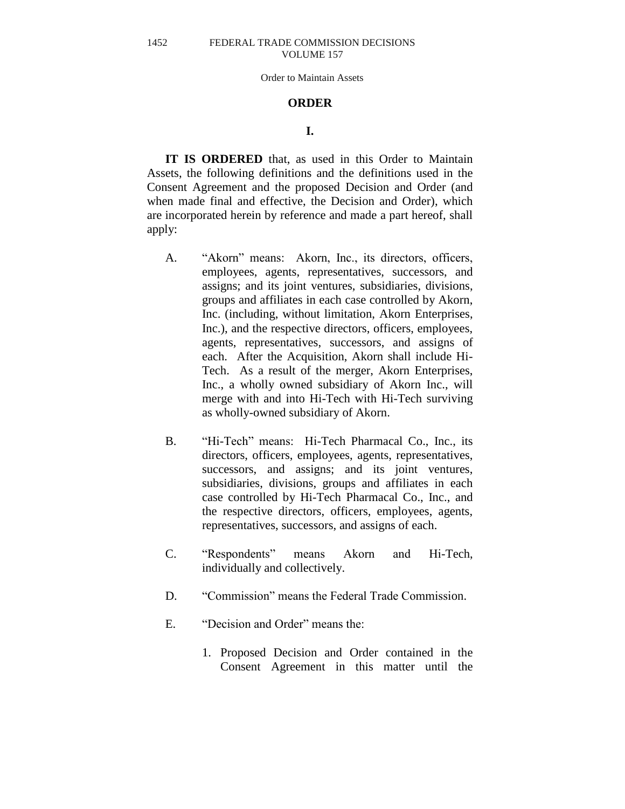#### Order to Maintain Assets

## **ORDER**

## **I.**

**IT IS ORDERED** that, as used in this Order to Maintain Assets, the following definitions and the definitions used in the Consent Agreement and the proposed Decision and Order (and when made final and effective, the Decision and Order), which are incorporated herein by reference and made a part hereof, shall apply:

- A. "Akorn" means: Akorn, Inc., its directors, officers, employees, agents, representatives, successors, and assigns; and its joint ventures, subsidiaries, divisions, groups and affiliates in each case controlled by Akorn, Inc. (including, without limitation, Akorn Enterprises, Inc.), and the respective directors, officers, employees, agents, representatives, successors, and assigns of each. After the Acquisition, Akorn shall include Hi-Tech. As a result of the merger, Akorn Enterprises, Inc., a wholly owned subsidiary of Akorn Inc., will merge with and into Hi-Tech with Hi-Tech surviving as wholly-owned subsidiary of Akorn.
- B. "Hi-Tech" means: Hi-Tech Pharmacal Co., Inc., its directors, officers, employees, agents, representatives, successors, and assigns; and its joint ventures, subsidiaries, divisions, groups and affiliates in each case controlled by Hi-Tech Pharmacal Co., Inc., and the respective directors, officers, employees, agents, representatives, successors, and assigns of each.
- C. "Respondents" means Akorn and Hi-Tech, individually and collectively.
- D. "Commission" means the Federal Trade Commission.
- E. "Decision and Order" means the:
	- 1. Proposed Decision and Order contained in the Consent Agreement in this matter until the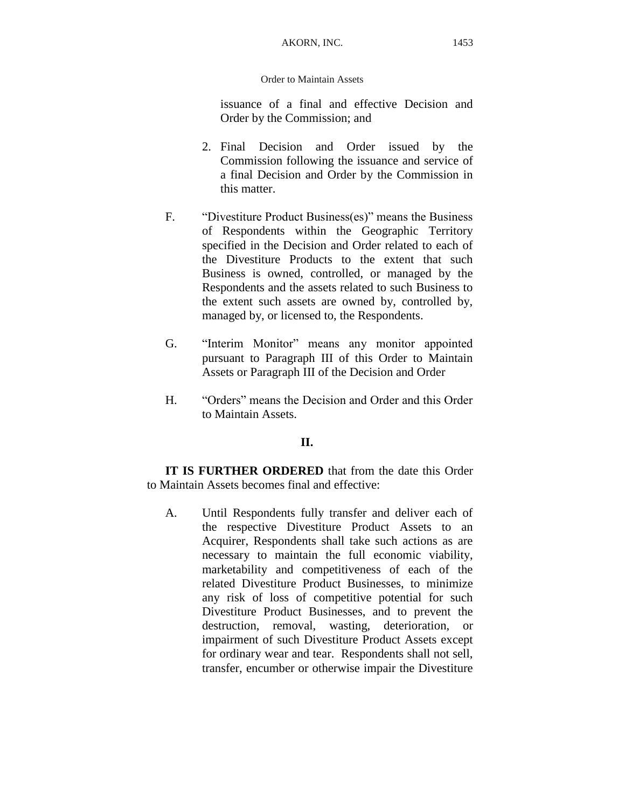issuance of a final and effective Decision and Order by the Commission; and

- 2. Final Decision and Order issued by the Commission following the issuance and service of a final Decision and Order by the Commission in this matter.
- F. "Divestiture Product Business(es)" means the Business of Respondents within the Geographic Territory specified in the Decision and Order related to each of the Divestiture Products to the extent that such Business is owned, controlled, or managed by the Respondents and the assets related to such Business to the extent such assets are owned by, controlled by, managed by, or licensed to, the Respondents.
- G. "Interim Monitor" means any monitor appointed pursuant to Paragraph III of this Order to Maintain Assets or Paragraph III of the Decision and Order
- H. "Orders" means the Decision and Order and this Order to Maintain Assets.

## **II.**

**IT IS FURTHER ORDERED** that from the date this Order to Maintain Assets becomes final and effective:

A. Until Respondents fully transfer and deliver each of the respective Divestiture Product Assets to an Acquirer, Respondents shall take such actions as are necessary to maintain the full economic viability, marketability and competitiveness of each of the related Divestiture Product Businesses, to minimize any risk of loss of competitive potential for such Divestiture Product Businesses, and to prevent the destruction, removal, wasting, deterioration, or impairment of such Divestiture Product Assets except for ordinary wear and tear. Respondents shall not sell, transfer, encumber or otherwise impair the Divestiture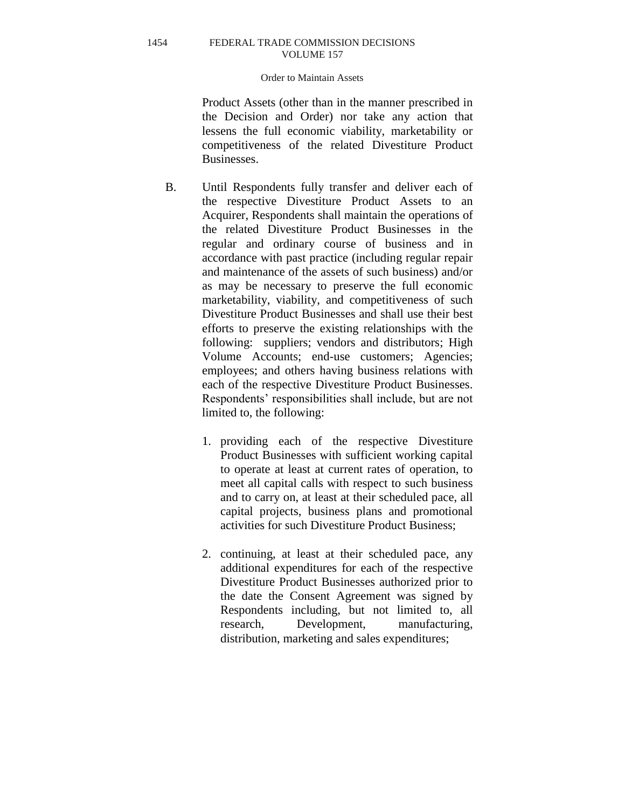### Order to Maintain Assets

Product Assets (other than in the manner prescribed in the Decision and Order) nor take any action that lessens the full economic viability, marketability or competitiveness of the related Divestiture Product Businesses.

- B. Until Respondents fully transfer and deliver each of the respective Divestiture Product Assets to an Acquirer, Respondents shall maintain the operations of the related Divestiture Product Businesses in the regular and ordinary course of business and in accordance with past practice (including regular repair and maintenance of the assets of such business) and/or as may be necessary to preserve the full economic marketability, viability, and competitiveness of such Divestiture Product Businesses and shall use their best efforts to preserve the existing relationships with the following: suppliers; vendors and distributors; High Volume Accounts; end-use customers; Agencies; employees; and others having business relations with each of the respective Divestiture Product Businesses. Respondents' responsibilities shall include, but are not limited to, the following:
	- 1. providing each of the respective Divestiture Product Businesses with sufficient working capital to operate at least at current rates of operation, to meet all capital calls with respect to such business and to carry on, at least at their scheduled pace, all capital projects, business plans and promotional activities for such Divestiture Product Business;
	- 2. continuing, at least at their scheduled pace, any additional expenditures for each of the respective Divestiture Product Businesses authorized prior to the date the Consent Agreement was signed by Respondents including, but not limited to, all research, Development, manufacturing, distribution, marketing and sales expenditures;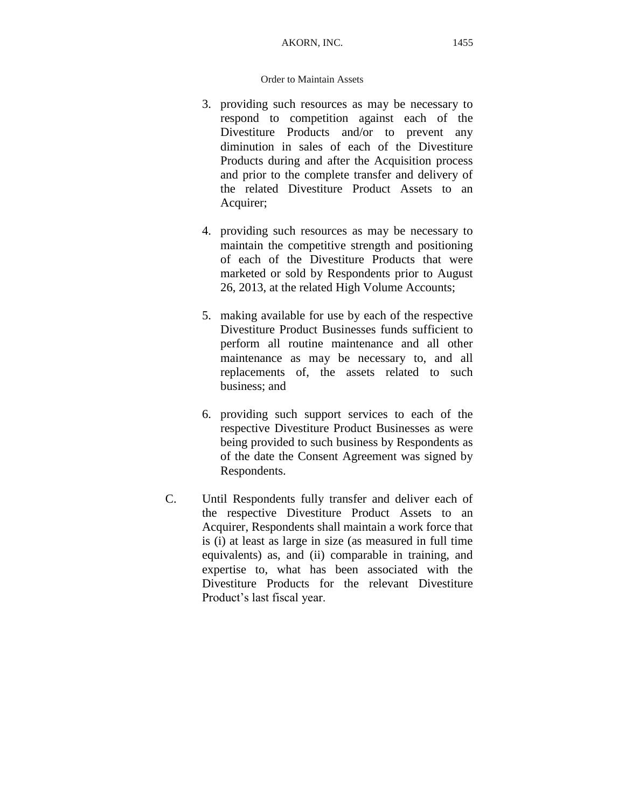- 3. providing such resources as may be necessary to respond to competition against each of the Divestiture Products and/or to prevent any diminution in sales of each of the Divestiture Products during and after the Acquisition process and prior to the complete transfer and delivery of the related Divestiture Product Assets to an Acquirer;
- 4. providing such resources as may be necessary to maintain the competitive strength and positioning of each of the Divestiture Products that were marketed or sold by Respondents prior to August 26, 2013, at the related High Volume Accounts;
- 5. making available for use by each of the respective Divestiture Product Businesses funds sufficient to perform all routine maintenance and all other maintenance as may be necessary to, and all replacements of, the assets related to such business; and
- 6. providing such support services to each of the respective Divestiture Product Businesses as were being provided to such business by Respondents as of the date the Consent Agreement was signed by Respondents.
- C. Until Respondents fully transfer and deliver each of the respective Divestiture Product Assets to an Acquirer, Respondents shall maintain a work force that is (i) at least as large in size (as measured in full time equivalents) as, and (ii) comparable in training, and expertise to, what has been associated with the Divestiture Products for the relevant Divestiture Product's last fiscal year.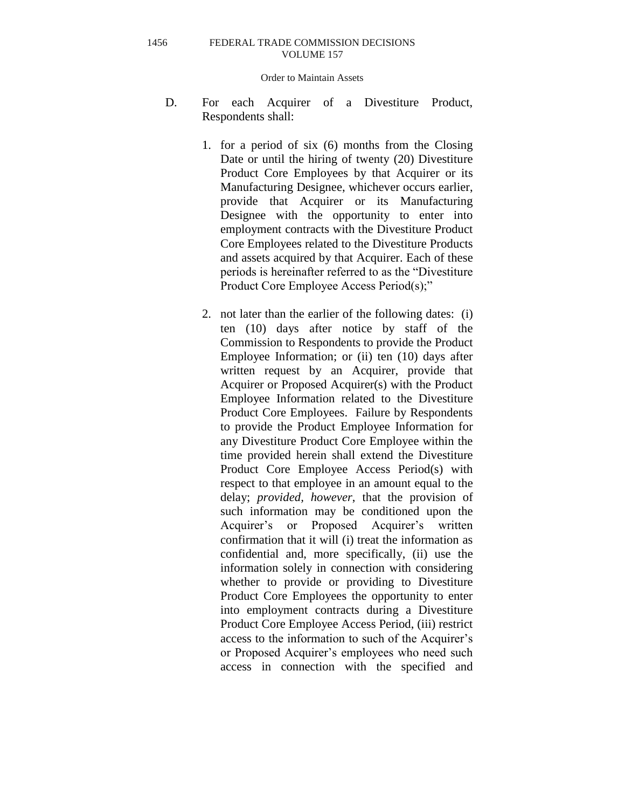#### Order to Maintain Assets

- D. For each Acquirer of a Divestiture Product, Respondents shall:
	- 1. for a period of six (6) months from the Closing Date or until the hiring of twenty (20) Divestiture Product Core Employees by that Acquirer or its Manufacturing Designee, whichever occurs earlier, provide that Acquirer or its Manufacturing Designee with the opportunity to enter into employment contracts with the Divestiture Product Core Employees related to the Divestiture Products and assets acquired by that Acquirer. Each of these periods is hereinafter referred to as the "Divestiture Product Core Employee Access Period(s);"
	- 2. not later than the earlier of the following dates: (i) ten (10) days after notice by staff of the Commission to Respondents to provide the Product Employee Information; or (ii) ten (10) days after written request by an Acquirer, provide that Acquirer or Proposed Acquirer(s) with the Product Employee Information related to the Divestiture Product Core Employees. Failure by Respondents to provide the Product Employee Information for any Divestiture Product Core Employee within the time provided herein shall extend the Divestiture Product Core Employee Access Period(s) with respect to that employee in an amount equal to the delay; *provided, however*, that the provision of such information may be conditioned upon the Acquirer's or Proposed Acquirer's written confirmation that it will (i) treat the information as confidential and, more specifically, (ii) use the information solely in connection with considering whether to provide or providing to Divestiture Product Core Employees the opportunity to enter into employment contracts during a Divestiture Product Core Employee Access Period, (iii) restrict access to the information to such of the Acquirer's or Proposed Acquirer's employees who need such access in connection with the specified and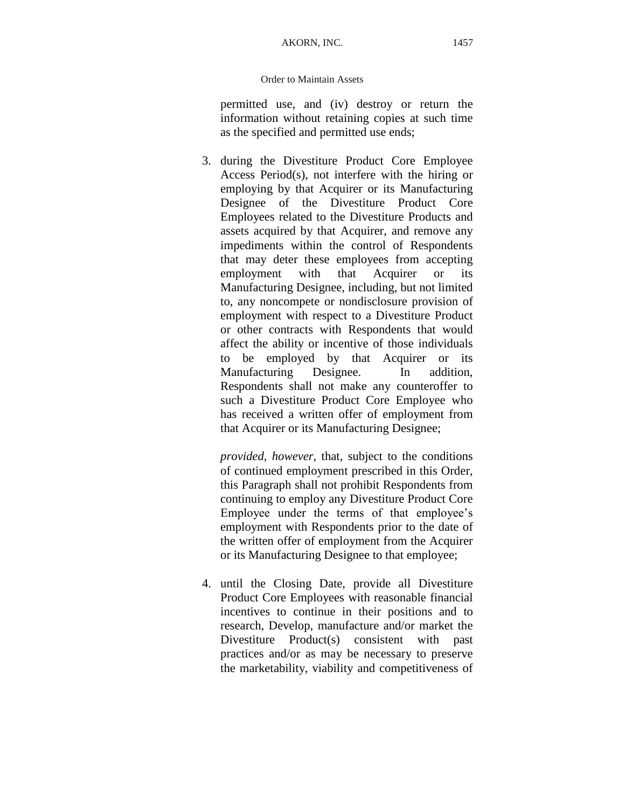permitted use, and (iv) destroy or return the information without retaining copies at such time as the specified and permitted use ends;

3. during the Divestiture Product Core Employee Access Period(s), not interfere with the hiring or employing by that Acquirer or its Manufacturing Designee of the Divestiture Product Core Employees related to the Divestiture Products and assets acquired by that Acquirer, and remove any impediments within the control of Respondents that may deter these employees from accepting employment with that Acquirer or its Manufacturing Designee, including, but not limited to, any noncompete or nondisclosure provision of employment with respect to a Divestiture Product or other contracts with Respondents that would affect the ability or incentive of those individuals to be employed by that Acquirer or its Manufacturing Designee. In addition, Respondents shall not make any counteroffer to such a Divestiture Product Core Employee who has received a written offer of employment from that Acquirer or its Manufacturing Designee;

*provided, however,* that, subject to the conditions of continued employment prescribed in this Order, this Paragraph shall not prohibit Respondents from continuing to employ any Divestiture Product Core Employee under the terms of that employee's employment with Respondents prior to the date of the written offer of employment from the Acquirer or its Manufacturing Designee to that employee;

4. until the Closing Date, provide all Divestiture Product Core Employees with reasonable financial incentives to continue in their positions and to research, Develop, manufacture and/or market the Divestiture Product(s) consistent with past practices and/or as may be necessary to preserve the marketability, viability and competitiveness of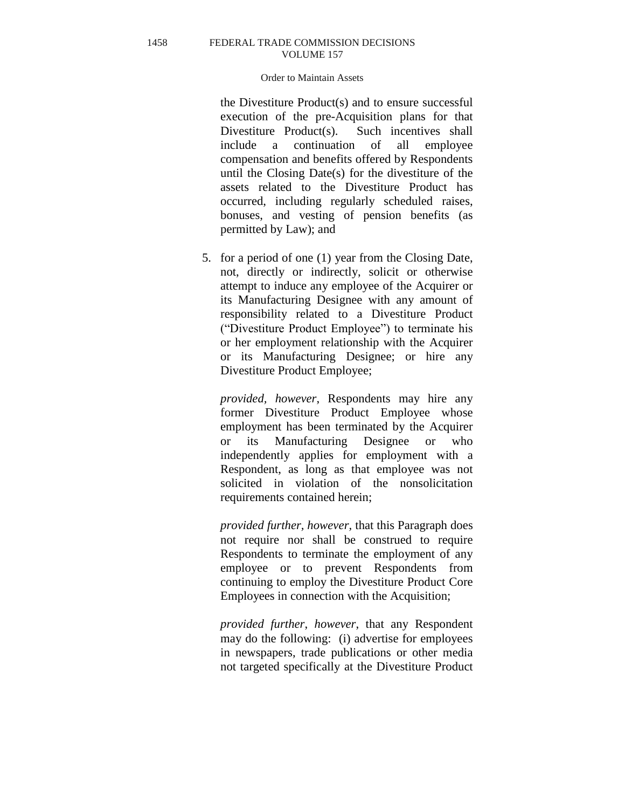### Order to Maintain Assets

the Divestiture Product(s) and to ensure successful execution of the pre-Acquisition plans for that Divestiture Product(s). Such incentives shall include a continuation of all employee compensation and benefits offered by Respondents until the Closing Date(s) for the divestiture of the assets related to the Divestiture Product has occurred, including regularly scheduled raises, bonuses, and vesting of pension benefits (as permitted by Law); and

5. for a period of one (1) year from the Closing Date, not, directly or indirectly, solicit or otherwise attempt to induce any employee of the Acquirer or its Manufacturing Designee with any amount of responsibility related to a Divestiture Product ("Divestiture Product Employee") to terminate his or her employment relationship with the Acquirer or its Manufacturing Designee; or hire any Divestiture Product Employee;

*provided, however*, Respondents may hire any former Divestiture Product Employee whose employment has been terminated by the Acquirer or its Manufacturing Designee or who independently applies for employment with a Respondent, as long as that employee was not solicited in violation of the nonsolicitation requirements contained herein;

*provided further, however,* that this Paragraph does not require nor shall be construed to require Respondents to terminate the employment of any employee or to prevent Respondents from continuing to employ the Divestiture Product Core Employees in connection with the Acquisition;

*provided further*, *however*, that any Respondent may do the following: (i) advertise for employees in newspapers, trade publications or other media not targeted specifically at the Divestiture Product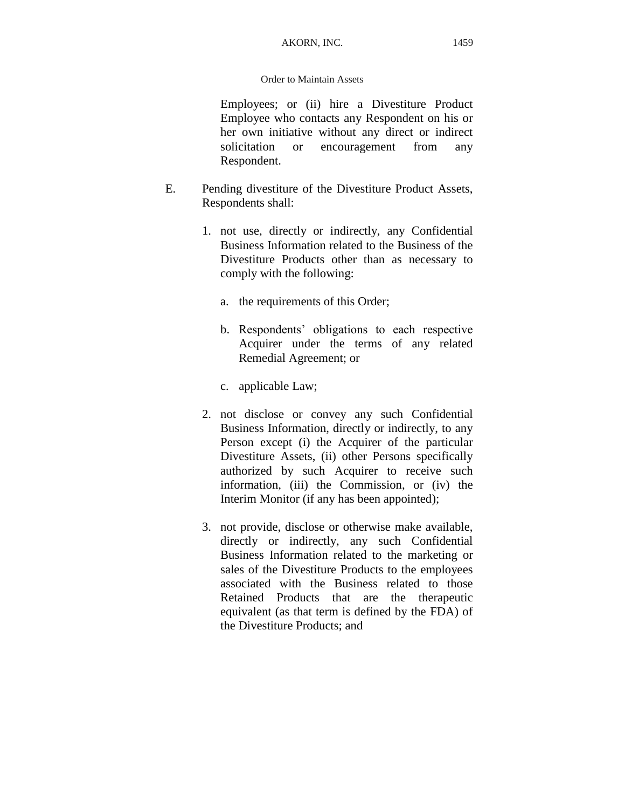Employees; or (ii) hire a Divestiture Product Employee who contacts any Respondent on his or her own initiative without any direct or indirect solicitation or encouragement from any Respondent.

- E. Pending divestiture of the Divestiture Product Assets, Respondents shall:
	- 1. not use, directly or indirectly, any Confidential Business Information related to the Business of the Divestiture Products other than as necessary to comply with the following:
		- a. the requirements of this Order;
		- b. Respondents' obligations to each respective Acquirer under the terms of any related Remedial Agreement; or
		- c. applicable Law;
	- 2. not disclose or convey any such Confidential Business Information, directly or indirectly, to any Person except (i) the Acquirer of the particular Divestiture Assets, (ii) other Persons specifically authorized by such Acquirer to receive such information, (iii) the Commission, or (iv) the Interim Monitor (if any has been appointed);
	- 3. not provide, disclose or otherwise make available, directly or indirectly, any such Confidential Business Information related to the marketing or sales of the Divestiture Products to the employees associated with the Business related to those Retained Products that are the therapeutic equivalent (as that term is defined by the FDA) of the Divestiture Products; and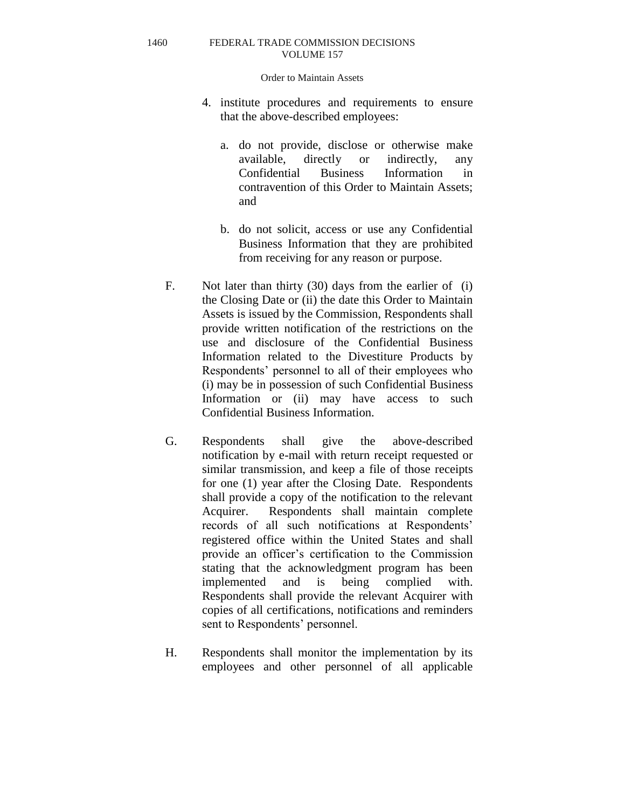Order to Maintain Assets

- 4. institute procedures and requirements to ensure that the above-described employees:
	- a. do not provide, disclose or otherwise make available, directly or indirectly, any Confidential Business Information in contravention of this Order to Maintain Assets; and
	- b. do not solicit, access or use any Confidential Business Information that they are prohibited from receiving for any reason or purpose.
- F. Not later than thirty (30) days from the earlier of (i) the Closing Date or (ii) the date this Order to Maintain Assets is issued by the Commission, Respondents shall provide written notification of the restrictions on the use and disclosure of the Confidential Business Information related to the Divestiture Products by Respondents' personnel to all of their employees who (i) may be in possession of such Confidential Business Information or (ii) may have access to such Confidential Business Information.
- G. Respondents shall give the above-described notification by e-mail with return receipt requested or similar transmission, and keep a file of those receipts for one (1) year after the Closing Date. Respondents shall provide a copy of the notification to the relevant Acquirer. Respondents shall maintain complete records of all such notifications at Respondents' registered office within the United States and shall provide an officer's certification to the Commission stating that the acknowledgment program has been implemented and is being complied with. Respondents shall provide the relevant Acquirer with copies of all certifications, notifications and reminders sent to Respondents' personnel.
- H. Respondents shall monitor the implementation by its employees and other personnel of all applicable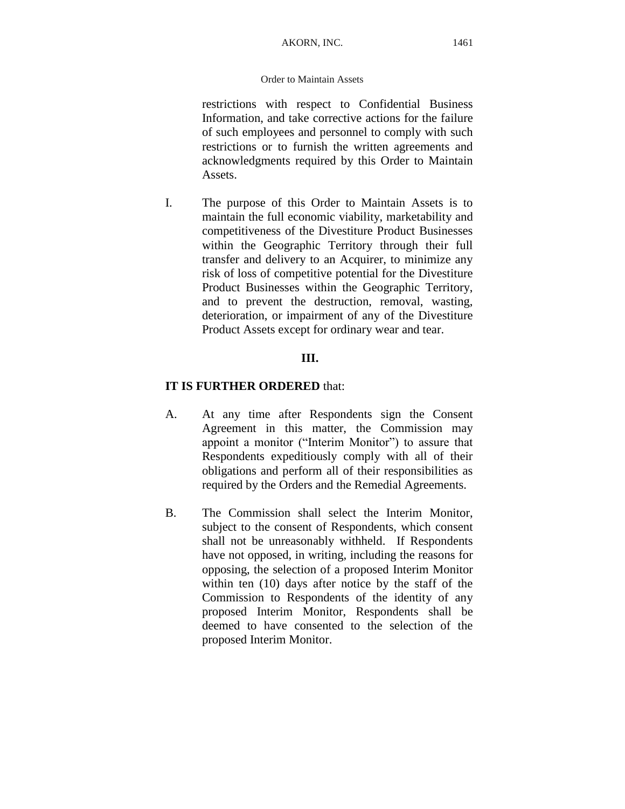restrictions with respect to Confidential Business Information, and take corrective actions for the failure of such employees and personnel to comply with such restrictions or to furnish the written agreements and acknowledgments required by this Order to Maintain Assets.

I. The purpose of this Order to Maintain Assets is to maintain the full economic viability, marketability and competitiveness of the Divestiture Product Businesses within the Geographic Territory through their full transfer and delivery to an Acquirer, to minimize any risk of loss of competitive potential for the Divestiture Product Businesses within the Geographic Territory, and to prevent the destruction, removal, wasting, deterioration, or impairment of any of the Divestiture Product Assets except for ordinary wear and tear.

## **III.**

## **IT IS FURTHER ORDERED** that:

- A. At any time after Respondents sign the Consent Agreement in this matter, the Commission may appoint a monitor ("Interim Monitor") to assure that Respondents expeditiously comply with all of their obligations and perform all of their responsibilities as required by the Orders and the Remedial Agreements.
- B. The Commission shall select the Interim Monitor, subject to the consent of Respondents, which consent shall not be unreasonably withheld. If Respondents have not opposed, in writing, including the reasons for opposing, the selection of a proposed Interim Monitor within ten (10) days after notice by the staff of the Commission to Respondents of the identity of any proposed Interim Monitor, Respondents shall be deemed to have consented to the selection of the proposed Interim Monitor.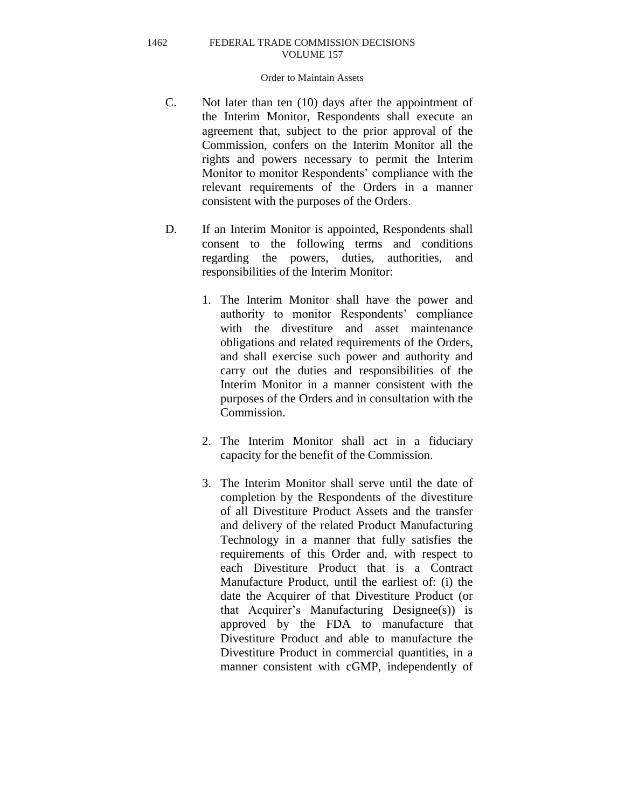### Order to Maintain Assets

- C. Not later than ten (10) days after the appointment of the Interim Monitor, Respondents shall execute an agreement that, subject to the prior approval of the Commission, confers on the Interim Monitor all the rights and powers necessary to permit the Interim Monitor to monitor Respondents' compliance with the relevant requirements of the Orders in a manner consistent with the purposes of the Orders.
- D. If an Interim Monitor is appointed, Respondents shall consent to the following terms and conditions regarding the powers, duties, authorities, and responsibilities of the Interim Monitor:
	- 1. The Interim Monitor shall have the power and authority to monitor Respondents' compliance with the divestiture and asset maintenance obligations and related requirements of the Orders, and shall exercise such power and authority and carry out the duties and responsibilities of the Interim Monitor in a manner consistent with the purposes of the Orders and in consultation with the Commission.
	- 2. The Interim Monitor shall act in a fiduciary capacity for the benefit of the Commission.
	- 3. The Interim Monitor shall serve until the date of completion by the Respondents of the divestiture of all Divestiture Product Assets and the transfer and delivery of the related Product Manufacturing Technology in a manner that fully satisfies the requirements of this Order and, with respect to each Divestiture Product that is a Contract Manufacture Product, until the earliest of: (i) the date the Acquirer of that Divestiture Product (or that Acquirer's Manufacturing Designee(s)) is approved by the FDA to manufacture that Divestiture Product and able to manufacture the Divestiture Product in commercial quantities, in a manner consistent with cGMP, independently of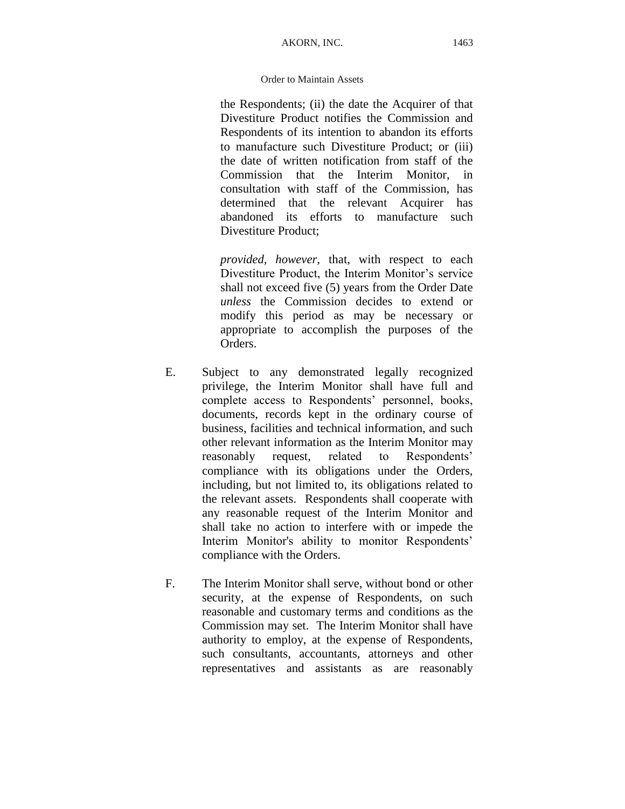the Respondents; (ii) the date the Acquirer of that Divestiture Product notifies the Commission and Respondents of its intention to abandon its efforts to manufacture such Divestiture Product; or (iii) the date of written notification from staff of the Commission that the Interim Monitor, in consultation with staff of the Commission, has determined that the relevant Acquirer has abandoned its efforts to manufacture such Divestiture Product;

*provided, however,* that, with respect to each Divestiture Product, the Interim Monitor's service shall not exceed five (5) years from the Order Date *unless* the Commission decides to extend or modify this period as may be necessary or appropriate to accomplish the purposes of the Orders.

- E. Subject to any demonstrated legally recognized privilege, the Interim Monitor shall have full and complete access to Respondents' personnel, books, documents, records kept in the ordinary course of business, facilities and technical information, and such other relevant information as the Interim Monitor may reasonably request, related to Respondents' compliance with its obligations under the Orders, including, but not limited to, its obligations related to the relevant assets. Respondents shall cooperate with any reasonable request of the Interim Monitor and shall take no action to interfere with or impede the Interim Monitor's ability to monitor Respondents' compliance with the Orders.
- F. The Interim Monitor shall serve, without bond or other security, at the expense of Respondents, on such reasonable and customary terms and conditions as the Commission may set. The Interim Monitor shall have authority to employ, at the expense of Respondents, such consultants, accountants, attorneys and other representatives and assistants as are reasonably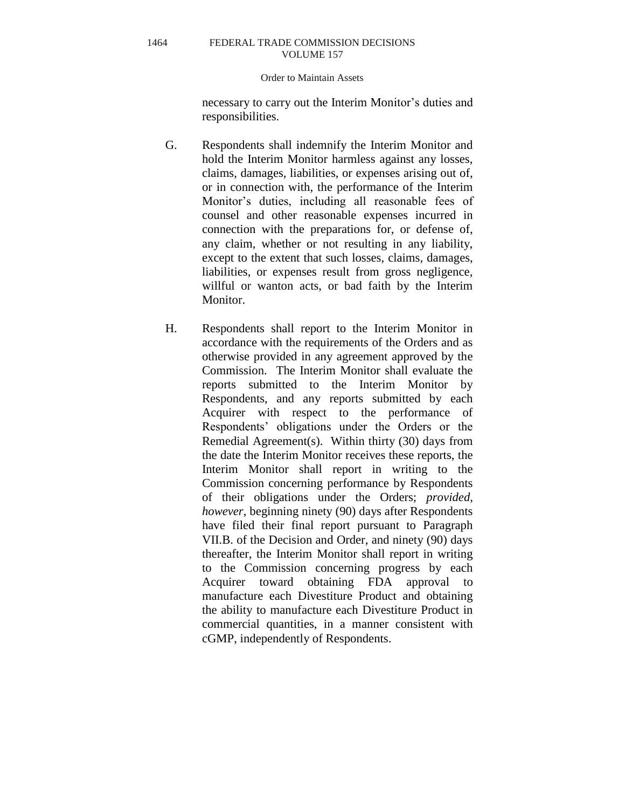#### Order to Maintain Assets

necessary to carry out the Interim Monitor's duties and responsibilities.

- G. Respondents shall indemnify the Interim Monitor and hold the Interim Monitor harmless against any losses, claims, damages, liabilities, or expenses arising out of, or in connection with, the performance of the Interim Monitor's duties, including all reasonable fees of counsel and other reasonable expenses incurred in connection with the preparations for, or defense of, any claim, whether or not resulting in any liability, except to the extent that such losses, claims, damages, liabilities, or expenses result from gross negligence, willful or wanton acts, or bad faith by the Interim Monitor.
- H. Respondents shall report to the Interim Monitor in accordance with the requirements of the Orders and as otherwise provided in any agreement approved by the Commission. The Interim Monitor shall evaluate the reports submitted to the Interim Monitor by Respondents, and any reports submitted by each Acquirer with respect to the performance of Respondents' obligations under the Orders or the Remedial Agreement(s). Within thirty (30) days from the date the Interim Monitor receives these reports, the Interim Monitor shall report in writing to the Commission concerning performance by Respondents of their obligations under the Orders; *provided, however*, beginning ninety (90) days after Respondents have filed their final report pursuant to Paragraph VII.B. of the Decision and Order, and ninety (90) days thereafter, the Interim Monitor shall report in writing to the Commission concerning progress by each Acquirer toward obtaining FDA approval to manufacture each Divestiture Product and obtaining the ability to manufacture each Divestiture Product in commercial quantities, in a manner consistent with cGMP, independently of Respondents.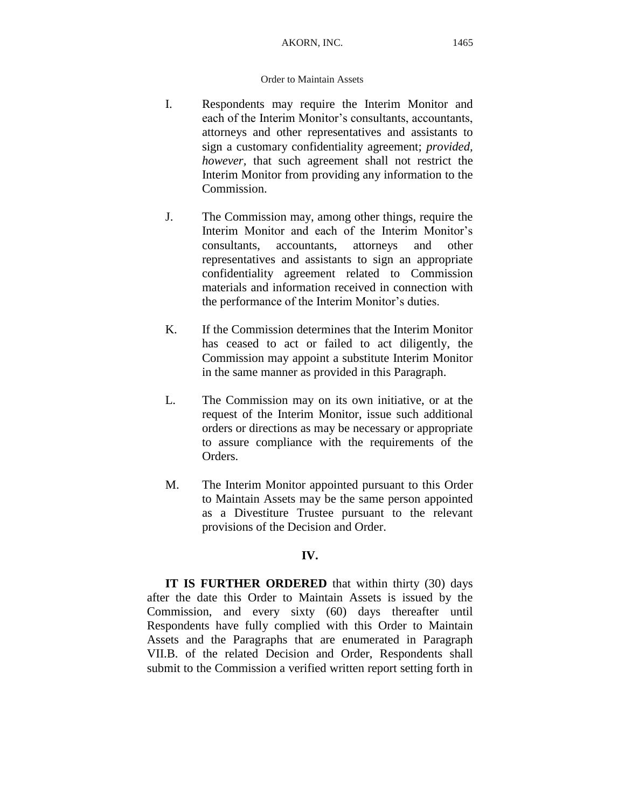- I. Respondents may require the Interim Monitor and each of the Interim Monitor's consultants, accountants, attorneys and other representatives and assistants to sign a customary confidentiality agreement; *provided, however,* that such agreement shall not restrict the Interim Monitor from providing any information to the Commission.
- J. The Commission may, among other things, require the Interim Monitor and each of the Interim Monitor's consultants, accountants, attorneys and other representatives and assistants to sign an appropriate confidentiality agreement related to Commission materials and information received in connection with the performance of the Interim Monitor's duties.
- K. If the Commission determines that the Interim Monitor has ceased to act or failed to act diligently, the Commission may appoint a substitute Interim Monitor in the same manner as provided in this Paragraph.
- L. The Commission may on its own initiative, or at the request of the Interim Monitor, issue such additional orders or directions as may be necessary or appropriate to assure compliance with the requirements of the Orders.
- M. The Interim Monitor appointed pursuant to this Order to Maintain Assets may be the same person appointed as a Divestiture Trustee pursuant to the relevant provisions of the Decision and Order.

## **IV.**

**IT IS FURTHER ORDERED** that within thirty (30) days after the date this Order to Maintain Assets is issued by the Commission, and every sixty (60) days thereafter until Respondents have fully complied with this Order to Maintain Assets and the Paragraphs that are enumerated in Paragraph VII.B. of the related Decision and Order, Respondents shall submit to the Commission a verified written report setting forth in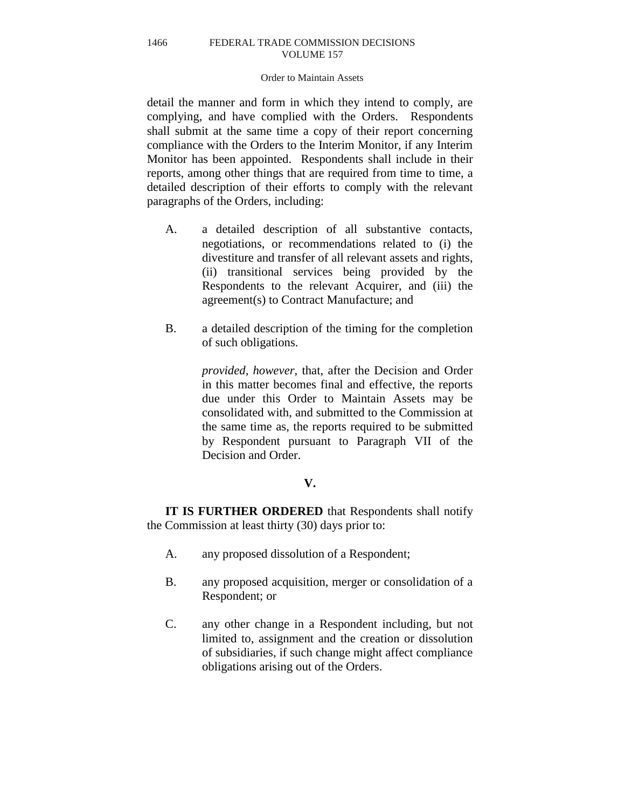### Order to Maintain Assets

detail the manner and form in which they intend to comply, are complying, and have complied with the Orders. Respondents shall submit at the same time a copy of their report concerning compliance with the Orders to the Interim Monitor, if any Interim Monitor has been appointed. Respondents shall include in their reports, among other things that are required from time to time, a detailed description of their efforts to comply with the relevant paragraphs of the Orders, including:

- A. a detailed description of all substantive contacts, negotiations, or recommendations related to (i) the divestiture and transfer of all relevant assets and rights, (ii) transitional services being provided by the Respondents to the relevant Acquirer, and (iii) the agreement(s) to Contract Manufacture; and
- B. a detailed description of the timing for the completion of such obligations.

*provided, however*, that, after the Decision and Order in this matter becomes final and effective, the reports due under this Order to Maintain Assets may be consolidated with, and submitted to the Commission at the same time as, the reports required to be submitted by Respondent pursuant to Paragraph VII of the Decision and Order.

## **V.**

**IT IS FURTHER ORDERED** that Respondents shall notify the Commission at least thirty (30) days prior to:

- A. any proposed dissolution of a Respondent;
- B. any proposed acquisition, merger or consolidation of a Respondent; or
- C. any other change in a Respondent including, but not limited to, assignment and the creation or dissolution of subsidiaries, if such change might affect compliance obligations arising out of the Orders.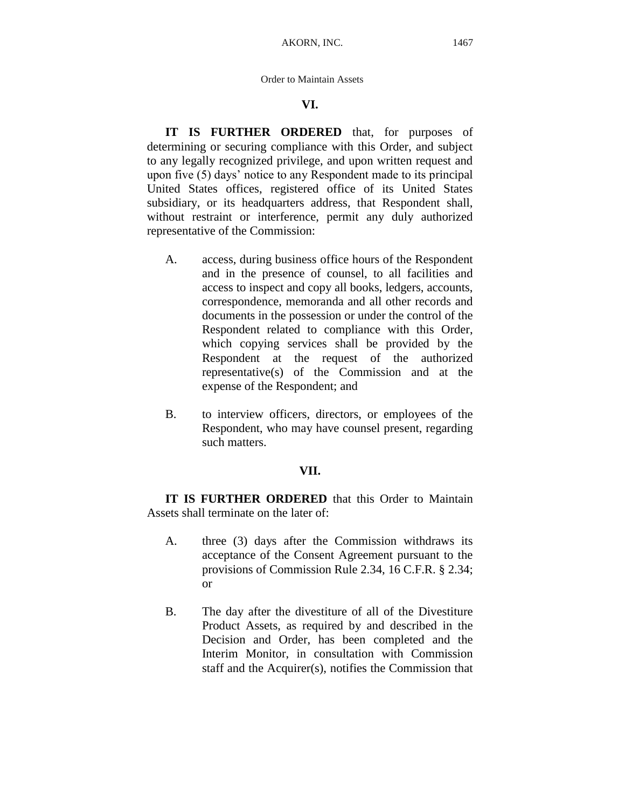## **VI.**

**IT IS FURTHER ORDERED** that, for purposes of determining or securing compliance with this Order, and subject to any legally recognized privilege, and upon written request and upon five (5) days' notice to any Respondent made to its principal United States offices, registered office of its United States subsidiary, or its headquarters address, that Respondent shall, without restraint or interference, permit any duly authorized representative of the Commission:

- A. access, during business office hours of the Respondent and in the presence of counsel, to all facilities and access to inspect and copy all books, ledgers, accounts, correspondence, memoranda and all other records and documents in the possession or under the control of the Respondent related to compliance with this Order, which copying services shall be provided by the Respondent at the request of the authorized representative(s) of the Commission and at the expense of the Respondent; and
- B. to interview officers, directors, or employees of the Respondent, who may have counsel present, regarding such matters.

## **VII.**

**IT IS FURTHER ORDERED** that this Order to Maintain Assets shall terminate on the later of:

- A. three (3) days after the Commission withdraws its acceptance of the Consent Agreement pursuant to the provisions of Commission Rule 2.34, 16 C.F.R. § 2.34; or
- B. The day after the divestiture of all of the Divestiture Product Assets, as required by and described in the Decision and Order, has been completed and the Interim Monitor, in consultation with Commission staff and the Acquirer(s), notifies the Commission that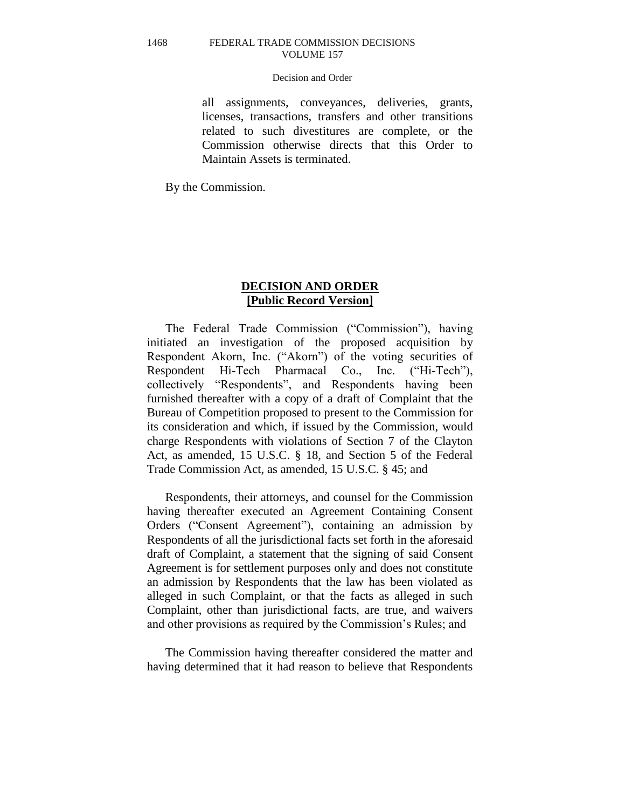#### Decision and Order

all assignments, conveyances, deliveries, grants, licenses, transactions, transfers and other transitions related to such divestitures are complete, or the Commission otherwise directs that this Order to Maintain Assets is terminated.

By the Commission.

## **DECISION AND ORDER [Public Record Version]**

The Federal Trade Commission ("Commission"), having initiated an investigation of the proposed acquisition by Respondent Akorn, Inc. ("Akorn") of the voting securities of Respondent Hi-Tech Pharmacal Co., Inc. ("Hi-Tech"), collectively "Respondents", and Respondents having been furnished thereafter with a copy of a draft of Complaint that the Bureau of Competition proposed to present to the Commission for its consideration and which, if issued by the Commission, would charge Respondents with violations of Section 7 of the Clayton Act, as amended, 15 U.S.C. § 18, and Section 5 of the Federal Trade Commission Act, as amended, 15 U.S.C. § 45; and

Respondents, their attorneys, and counsel for the Commission having thereafter executed an Agreement Containing Consent Orders ("Consent Agreement"), containing an admission by Respondents of all the jurisdictional facts set forth in the aforesaid draft of Complaint, a statement that the signing of said Consent Agreement is for settlement purposes only and does not constitute an admission by Respondents that the law has been violated as alleged in such Complaint, or that the facts as alleged in such Complaint, other than jurisdictional facts, are true, and waivers and other provisions as required by the Commission's Rules; and

The Commission having thereafter considered the matter and having determined that it had reason to believe that Respondents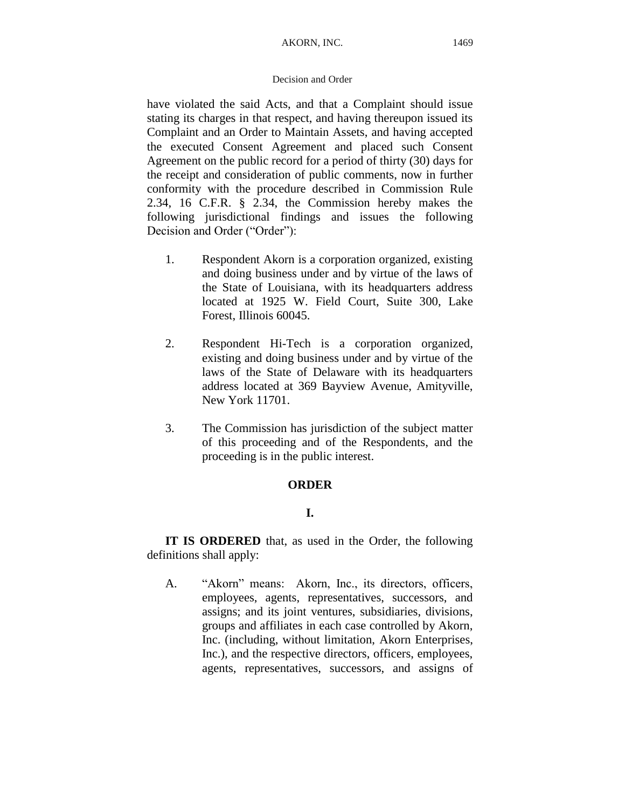## Decision and Order

have violated the said Acts, and that a Complaint should issue stating its charges in that respect, and having thereupon issued its Complaint and an Order to Maintain Assets, and having accepted the executed Consent Agreement and placed such Consent Agreement on the public record for a period of thirty (30) days for the receipt and consideration of public comments, now in further conformity with the procedure described in Commission Rule 2.34, 16 C.F.R. § 2.34, the Commission hereby makes the following jurisdictional findings and issues the following Decision and Order ("Order"):

- 1. Respondent Akorn is a corporation organized, existing and doing business under and by virtue of the laws of the State of Louisiana, with its headquarters address located at 1925 W. Field Court, Suite 300, Lake Forest, Illinois 60045.
- 2. Respondent Hi-Tech is a corporation organized, existing and doing business under and by virtue of the laws of the State of Delaware with its headquarters address located at 369 Bayview Avenue, Amityville, New York 11701.
- 3. The Commission has jurisdiction of the subject matter of this proceeding and of the Respondents, and the proceeding is in the public interest.

## **ORDER**

## **I.**

**IT IS ORDERED** that, as used in the Order, the following definitions shall apply:

A. "Akorn" means: Akorn, Inc., its directors, officers, employees, agents, representatives, successors, and assigns; and its joint ventures, subsidiaries, divisions, groups and affiliates in each case controlled by Akorn, Inc. (including, without limitation, Akorn Enterprises, Inc.), and the respective directors, officers, employees, agents, representatives, successors, and assigns of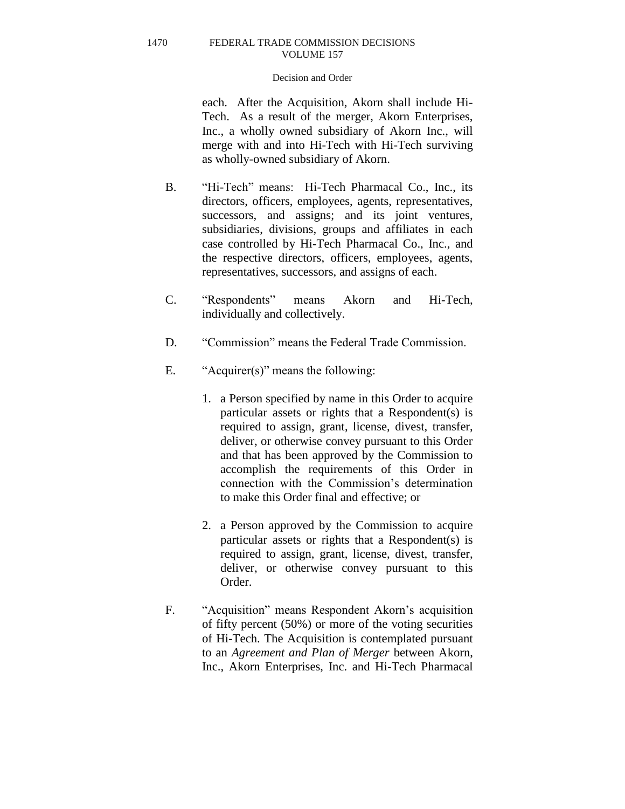#### Decision and Order

each. After the Acquisition, Akorn shall include Hi-Tech. As a result of the merger, Akorn Enterprises, Inc., a wholly owned subsidiary of Akorn Inc., will merge with and into Hi-Tech with Hi-Tech surviving as wholly-owned subsidiary of Akorn.

- B. "Hi-Tech" means: Hi-Tech Pharmacal Co., Inc., its directors, officers, employees, agents, representatives, successors, and assigns; and its joint ventures, subsidiaries, divisions, groups and affiliates in each case controlled by Hi-Tech Pharmacal Co., Inc., and the respective directors, officers, employees, agents, representatives, successors, and assigns of each.
- C. "Respondents" means Akorn and Hi-Tech, individually and collectively.
- D. "Commission" means the Federal Trade Commission.
- E. "Acquirer(s)" means the following:
	- 1. a Person specified by name in this Order to acquire particular assets or rights that a Respondent(s) is required to assign, grant, license, divest, transfer, deliver, or otherwise convey pursuant to this Order and that has been approved by the Commission to accomplish the requirements of this Order in connection with the Commission's determination to make this Order final and effective; or
	- 2. a Person approved by the Commission to acquire particular assets or rights that a Respondent(s) is required to assign, grant, license, divest, transfer, deliver, or otherwise convey pursuant to this Order.
- F. "Acquisition" means Respondent Akorn's acquisition of fifty percent (50%) or more of the voting securities of Hi-Tech. The Acquisition is contemplated pursuant to an *Agreement and Plan of Merger* between Akorn, Inc., Akorn Enterprises, Inc. and Hi-Tech Pharmacal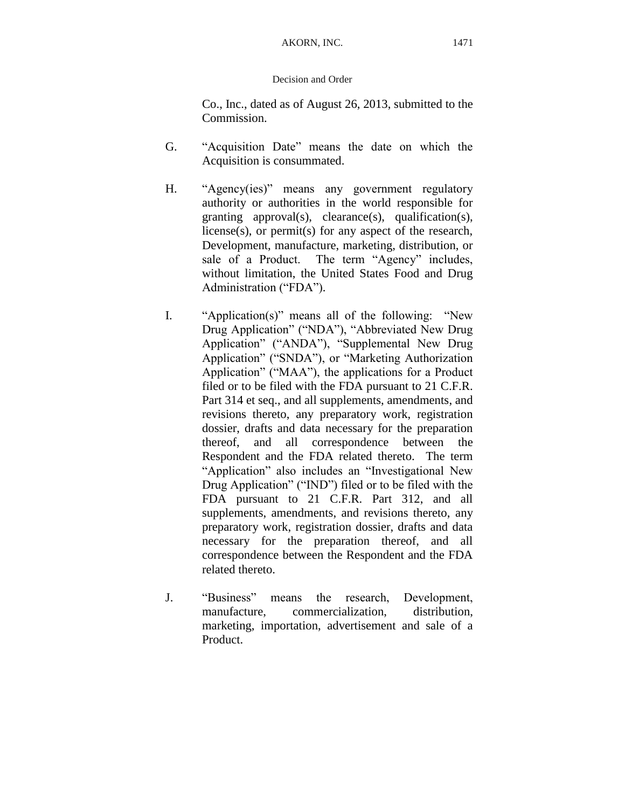## Decision and Order

Co., Inc., dated as of August 26, 2013, submitted to the Commission.

- G. "Acquisition Date" means the date on which the Acquisition is consummated.
- H. "Agency(ies)" means any government regulatory authority or authorities in the world responsible for granting approval(s), clearance(s), qualification(s), license(s), or permit(s) for any aspect of the research, Development, manufacture, marketing, distribution, or sale of a Product. The term "Agency" includes, without limitation, the United States Food and Drug Administration ("FDA").
- I. "Application(s)" means all of the following: "New Drug Application" ("NDA"), "Abbreviated New Drug Application" ("ANDA"), "Supplemental New Drug Application" ("SNDA"), or "Marketing Authorization Application" ("MAA"), the applications for a Product filed or to be filed with the FDA pursuant to 21 C.F.R. Part 314 et seq., and all supplements, amendments, and revisions thereto, any preparatory work, registration dossier, drafts and data necessary for the preparation thereof, and all correspondence between the Respondent and the FDA related thereto. The term "Application" also includes an "Investigational New Drug Application" ("IND") filed or to be filed with the FDA pursuant to 21 C.F.R. Part 312, and all supplements, amendments, and revisions thereto, any preparatory work, registration dossier, drafts and data necessary for the preparation thereof, and all correspondence between the Respondent and the FDA related thereto.
- J. "Business" means the research, Development, manufacture, commercialization, distribution, marketing, importation, advertisement and sale of a Product.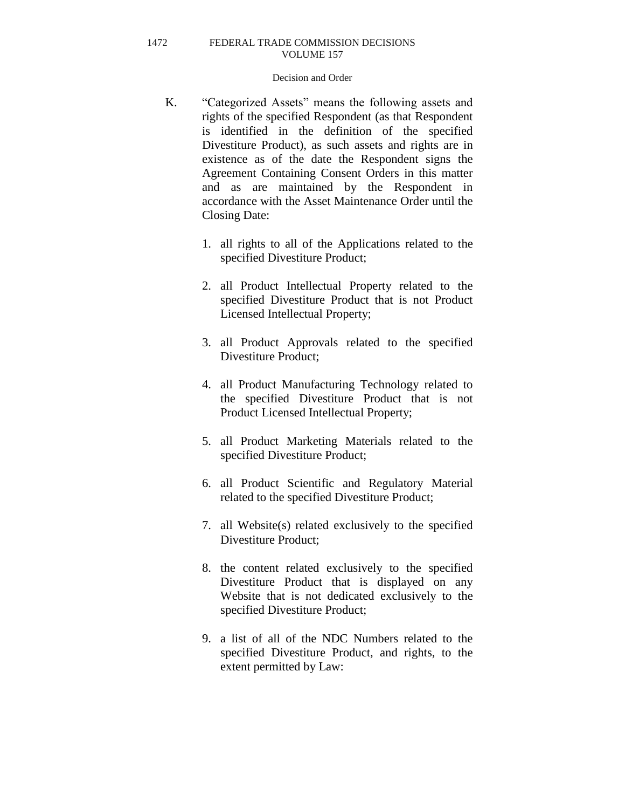- K. "Categorized Assets" means the following assets and rights of the specified Respondent (as that Respondent is identified in the definition of the specified Divestiture Product), as such assets and rights are in existence as of the date the Respondent signs the Agreement Containing Consent Orders in this matter and as are maintained by the Respondent in accordance with the Asset Maintenance Order until the Closing Date:
	- 1. all rights to all of the Applications related to the specified Divestiture Product;
	- 2. all Product Intellectual Property related to the specified Divestiture Product that is not Product Licensed Intellectual Property;
	- 3. all Product Approvals related to the specified Divestiture Product;
	- 4. all Product Manufacturing Technology related to the specified Divestiture Product that is not Product Licensed Intellectual Property;
	- 5. all Product Marketing Materials related to the specified Divestiture Product;
	- 6. all Product Scientific and Regulatory Material related to the specified Divestiture Product;
	- 7. all Website(s) related exclusively to the specified Divestiture Product;
	- 8. the content related exclusively to the specified Divestiture Product that is displayed on any Website that is not dedicated exclusively to the specified Divestiture Product;
	- 9. a list of all of the NDC Numbers related to the specified Divestiture Product, and rights, to the extent permitted by Law: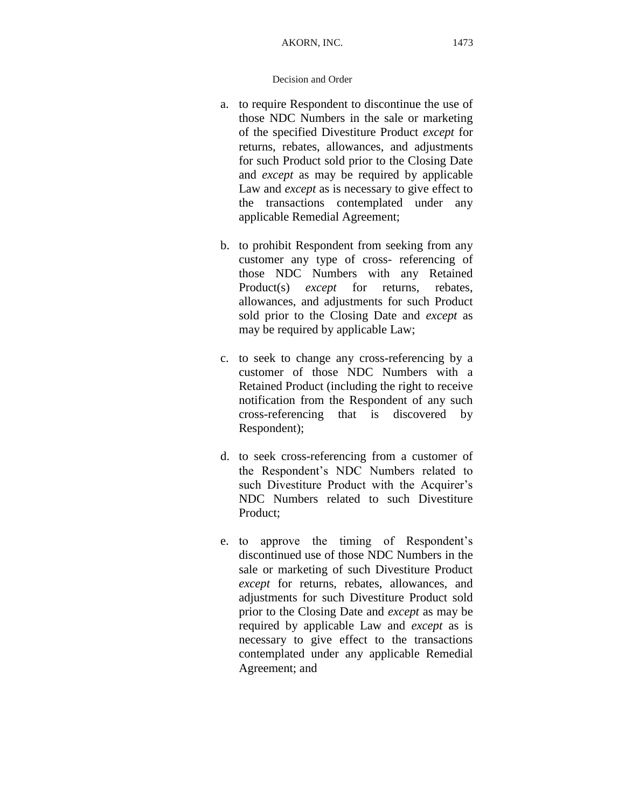- a. to require Respondent to discontinue the use of those NDC Numbers in the sale or marketing of the specified Divestiture Product *except* for returns, rebates, allowances, and adjustments for such Product sold prior to the Closing Date and *except* as may be required by applicable Law and *except* as is necessary to give effect to the transactions contemplated under any applicable Remedial Agreement;
- b. to prohibit Respondent from seeking from any customer any type of cross- referencing of those NDC Numbers with any Retained Product(s) *except* for returns, rebates, allowances, and adjustments for such Product sold prior to the Closing Date and *except* as may be required by applicable Law;
- c. to seek to change any cross-referencing by a customer of those NDC Numbers with a Retained Product (including the right to receive notification from the Respondent of any such cross-referencing that is discovered by Respondent);
- d. to seek cross-referencing from a customer of the Respondent's NDC Numbers related to such Divestiture Product with the Acquirer's NDC Numbers related to such Divestiture Product;
- e. to approve the timing of Respondent's discontinued use of those NDC Numbers in the sale or marketing of such Divestiture Product *except* for returns, rebates, allowances, and adjustments for such Divestiture Product sold prior to the Closing Date and *except* as may be required by applicable Law and *except* as is necessary to give effect to the transactions contemplated under any applicable Remedial Agreement; and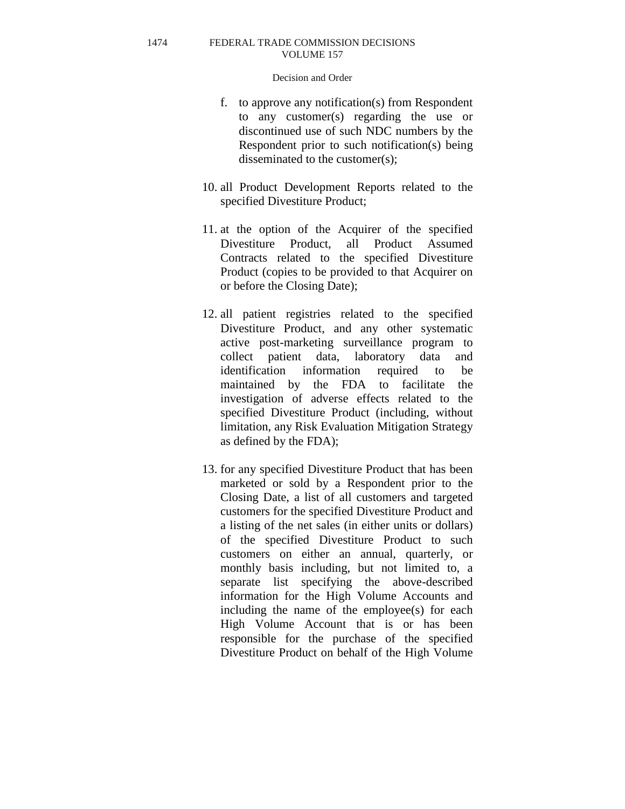- f. to approve any notification(s) from Respondent to any customer(s) regarding the use or discontinued use of such NDC numbers by the Respondent prior to such notification(s) being disseminated to the customer(s);
- 10. all Product Development Reports related to the specified Divestiture Product;
- 11. at the option of the Acquirer of the specified Divestiture Product, all Product Assumed Contracts related to the specified Divestiture Product (copies to be provided to that Acquirer on or before the Closing Date);
- 12. all patient registries related to the specified Divestiture Product, and any other systematic active post-marketing surveillance program to collect patient data, laboratory data and identification information required to be maintained by the FDA to facilitate the investigation of adverse effects related to the specified Divestiture Product (including, without limitation, any Risk Evaluation Mitigation Strategy as defined by the FDA);
- 13. for any specified Divestiture Product that has been marketed or sold by a Respondent prior to the Closing Date, a list of all customers and targeted customers for the specified Divestiture Product and a listing of the net sales (in either units or dollars) of the specified Divestiture Product to such customers on either an annual, quarterly, or monthly basis including, but not limited to, a separate list specifying the above-described information for the High Volume Accounts and including the name of the employee(s) for each High Volume Account that is or has been responsible for the purchase of the specified Divestiture Product on behalf of the High Volume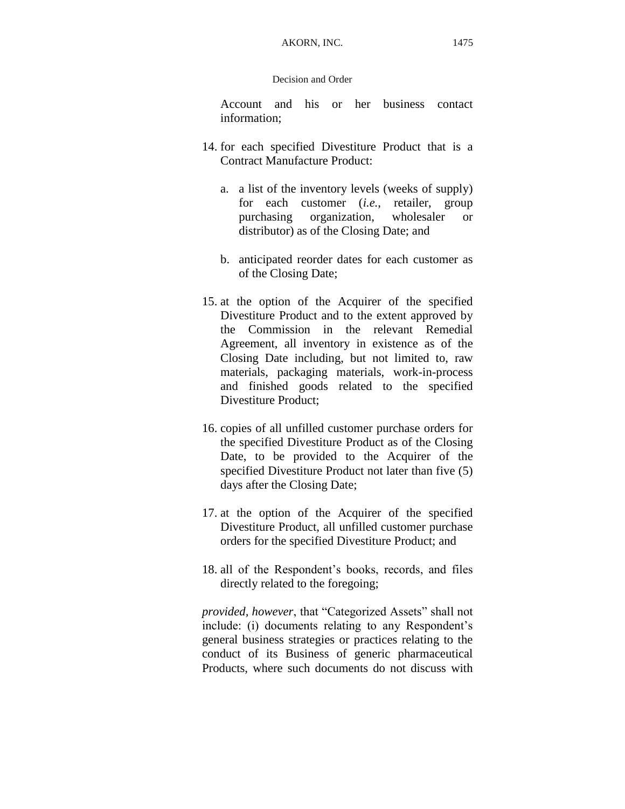### Decision and Order

Account and his or her business contact information;

- 14. for each specified Divestiture Product that is a Contract Manufacture Product:
	- a. a list of the inventory levels (weeks of supply) for each customer (*i.e.*, retailer, group purchasing organization, wholesaler or distributor) as of the Closing Date; and
	- b. anticipated reorder dates for each customer as of the Closing Date;
- 15. at the option of the Acquirer of the specified Divestiture Product and to the extent approved by the Commission in the relevant Remedial Agreement, all inventory in existence as of the Closing Date including, but not limited to, raw materials, packaging materials, work-in-process and finished goods related to the specified Divestiture Product;
- 16. copies of all unfilled customer purchase orders for the specified Divestiture Product as of the Closing Date, to be provided to the Acquirer of the specified Divestiture Product not later than five (5) days after the Closing Date;
- 17. at the option of the Acquirer of the specified Divestiture Product, all unfilled customer purchase orders for the specified Divestiture Product; and
- 18. all of the Respondent's books, records, and files directly related to the foregoing;

*provided, however*, that "Categorized Assets" shall not include: (i) documents relating to any Respondent's general business strategies or practices relating to the conduct of its Business of generic pharmaceutical Products, where such documents do not discuss with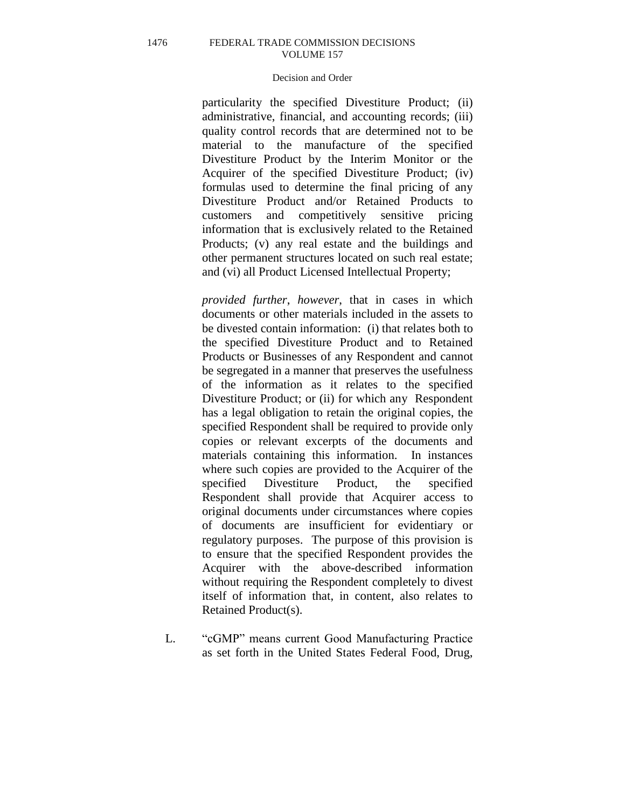### Decision and Order

particularity the specified Divestiture Product; (ii) administrative, financial, and accounting records; (iii) quality control records that are determined not to be material to the manufacture of the specified Divestiture Product by the Interim Monitor or the Acquirer of the specified Divestiture Product; (iv) formulas used to determine the final pricing of any Divestiture Product and/or Retained Products to customers and competitively sensitive pricing information that is exclusively related to the Retained Products; (v) any real estate and the buildings and other permanent structures located on such real estate; and (vi) all Product Licensed Intellectual Property;

*provided further*, *however*, that in cases in which documents or other materials included in the assets to be divested contain information: (i) that relates both to the specified Divestiture Product and to Retained Products or Businesses of any Respondent and cannot be segregated in a manner that preserves the usefulness of the information as it relates to the specified Divestiture Product; or (ii) for which any Respondent has a legal obligation to retain the original copies, the specified Respondent shall be required to provide only copies or relevant excerpts of the documents and materials containing this information. In instances where such copies are provided to the Acquirer of the specified Divestiture Product, the specified Respondent shall provide that Acquirer access to original documents under circumstances where copies of documents are insufficient for evidentiary or regulatory purposes. The purpose of this provision is to ensure that the specified Respondent provides the Acquirer with the above-described information without requiring the Respondent completely to divest itself of information that, in content, also relates to Retained Product(s).

L. "cGMP" means current Good Manufacturing Practice as set forth in the United States Federal Food, Drug,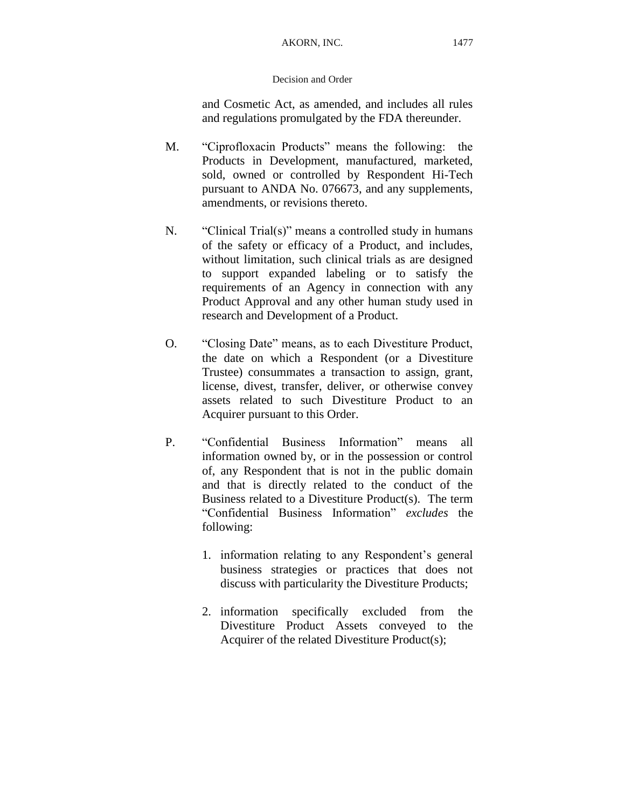## AKORN, INC. 1477

## Decision and Order

and Cosmetic Act, as amended, and includes all rules and regulations promulgated by the FDA thereunder.

- M. "Ciprofloxacin Products" means the following: the Products in Development, manufactured, marketed, sold, owned or controlled by Respondent Hi-Tech pursuant to ANDA No. 076673, and any supplements, amendments, or revisions thereto.
- N. "Clinical Trial(s)" means a controlled study in humans of the safety or efficacy of a Product, and includes, without limitation, such clinical trials as are designed to support expanded labeling or to satisfy the requirements of an Agency in connection with any Product Approval and any other human study used in research and Development of a Product.
- O. "Closing Date" means, as to each Divestiture Product, the date on which a Respondent (or a Divestiture Trustee) consummates a transaction to assign, grant, license, divest, transfer, deliver, or otherwise convey assets related to such Divestiture Product to an Acquirer pursuant to this Order.
- P. "Confidential Business Information" means all information owned by, or in the possession or control of, any Respondent that is not in the public domain and that is directly related to the conduct of the Business related to a Divestiture Product(s). The term "Confidential Business Information" *excludes* the following:
	- 1. information relating to any Respondent's general business strategies or practices that does not discuss with particularity the Divestiture Products;
	- 2. information specifically excluded from the Divestiture Product Assets conveyed to the Acquirer of the related Divestiture Product(s);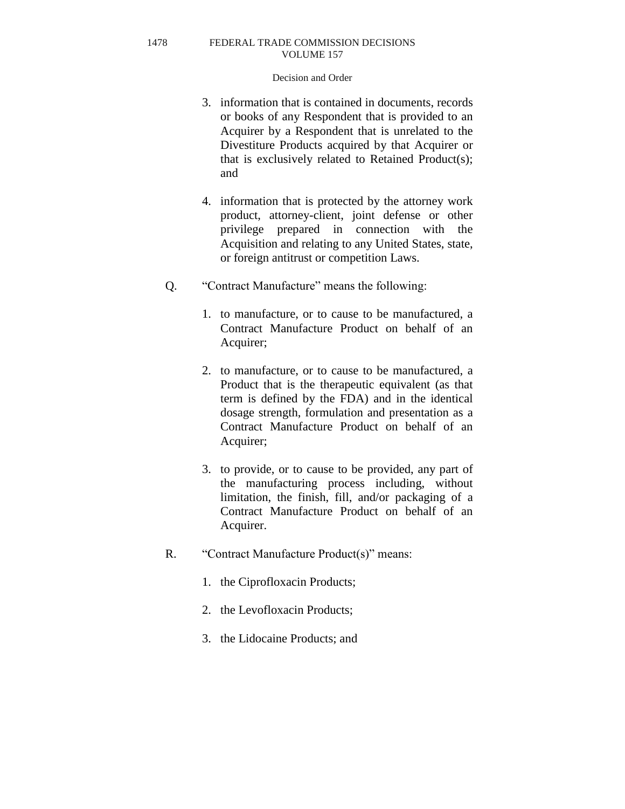- 3. information that is contained in documents, records or books of any Respondent that is provided to an Acquirer by a Respondent that is unrelated to the Divestiture Products acquired by that Acquirer or that is exclusively related to Retained Product(s); and
- 4. information that is protected by the attorney work product, attorney-client, joint defense or other privilege prepared in connection with the Acquisition and relating to any United States, state, or foreign antitrust or competition Laws.
- Q. "Contract Manufacture" means the following:
	- 1. to manufacture, or to cause to be manufactured, a Contract Manufacture Product on behalf of an Acquirer;
	- 2. to manufacture, or to cause to be manufactured, a Product that is the therapeutic equivalent (as that term is defined by the FDA) and in the identical dosage strength, formulation and presentation as a Contract Manufacture Product on behalf of an Acquirer;
	- 3. to provide, or to cause to be provided, any part of the manufacturing process including, without limitation, the finish, fill, and/or packaging of a Contract Manufacture Product on behalf of an Acquirer.
- R. "Contract Manufacture Product(s)" means:
	- 1. the Ciprofloxacin Products;
	- 2. the Levofloxacin Products;
	- 3. the Lidocaine Products; and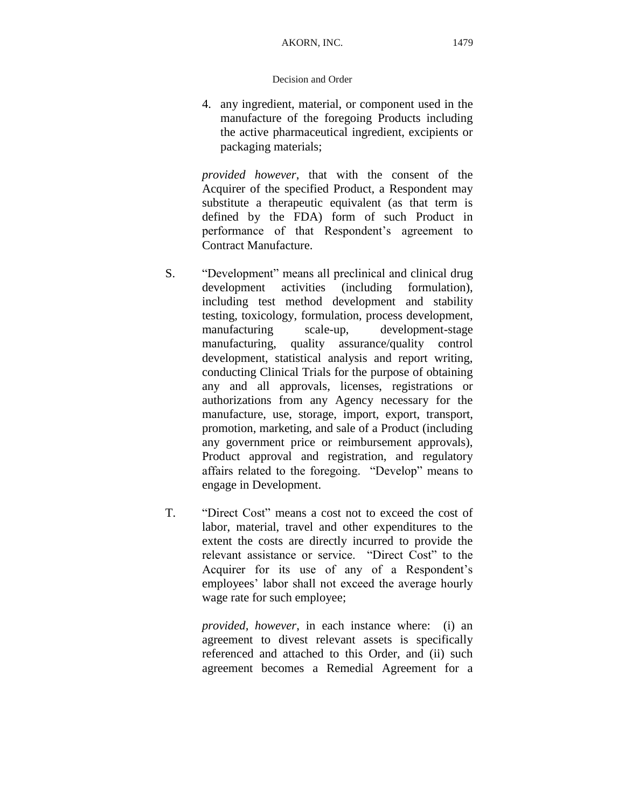### Decision and Order

4. any ingredient, material, or component used in the manufacture of the foregoing Products including the active pharmaceutical ingredient, excipients or packaging materials;

*provided however*, that with the consent of the Acquirer of the specified Product, a Respondent may substitute a therapeutic equivalent (as that term is defined by the FDA) form of such Product in performance of that Respondent's agreement to Contract Manufacture.

- S. "Development" means all preclinical and clinical drug development activities (including formulation), including test method development and stability testing, toxicology, formulation, process development, manufacturing scale-up, development-stage manufacturing, quality assurance/quality control development, statistical analysis and report writing, conducting Clinical Trials for the purpose of obtaining any and all approvals, licenses, registrations or authorizations from any Agency necessary for the manufacture, use, storage, import, export, transport, promotion, marketing, and sale of a Product (including any government price or reimbursement approvals), Product approval and registration, and regulatory affairs related to the foregoing. "Develop" means to engage in Development.
- T. "Direct Cost" means a cost not to exceed the cost of labor, material, travel and other expenditures to the extent the costs are directly incurred to provide the relevant assistance or service. "Direct Cost" to the Acquirer for its use of any of a Respondent's employees' labor shall not exceed the average hourly wage rate for such employee;

*provided, however*, in each instance where: (i) an agreement to divest relevant assets is specifically referenced and attached to this Order, and (ii) such agreement becomes a Remedial Agreement for a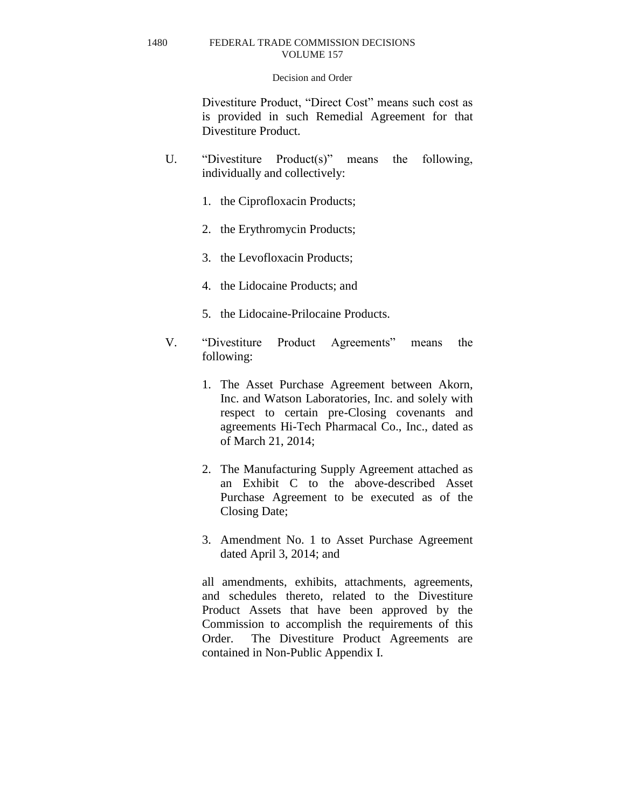#### Decision and Order

Divestiture Product, "Direct Cost" means such cost as is provided in such Remedial Agreement for that Divestiture Product.

- U. "Divestiture Product(s)" means the following, individually and collectively:
	- 1. the Ciprofloxacin Products;
	- 2. the Erythromycin Products;
	- 3. the Levofloxacin Products;
	- 4. the Lidocaine Products; and
	- 5. the Lidocaine-Prilocaine Products.
- V. "Divestiture Product Agreements" means the following:
	- 1. The Asset Purchase Agreement between Akorn, Inc. and Watson Laboratories, Inc. and solely with respect to certain pre-Closing covenants and agreements Hi-Tech Pharmacal Co., Inc., dated as of March 21, 2014;
	- 2. The Manufacturing Supply Agreement attached as an Exhibit C to the above-described Asset Purchase Agreement to be executed as of the Closing Date;
	- 3. Amendment No. 1 to Asset Purchase Agreement dated April 3, 2014; and

all amendments, exhibits, attachments, agreements, and schedules thereto, related to the Divestiture Product Assets that have been approved by the Commission to accomplish the requirements of this Order. The Divestiture Product Agreements are contained in Non-Public Appendix I.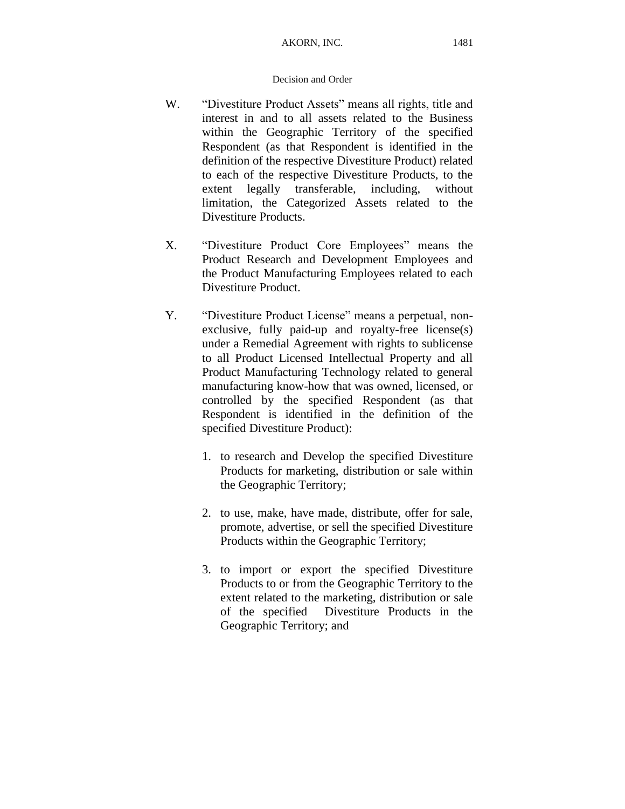- W. "Divestiture Product Assets" means all rights, title and interest in and to all assets related to the Business within the Geographic Territory of the specified Respondent (as that Respondent is identified in the definition of the respective Divestiture Product) related to each of the respective Divestiture Products, to the extent legally transferable, including, without limitation, the Categorized Assets related to the Divestiture Products.
- X. "Divestiture Product Core Employees" means the Product Research and Development Employees and the Product Manufacturing Employees related to each Divestiture Product.
- Y. "Divestiture Product License" means a perpetual, nonexclusive, fully paid-up and royalty-free license(s) under a Remedial Agreement with rights to sublicense to all Product Licensed Intellectual Property and all Product Manufacturing Technology related to general manufacturing know-how that was owned, licensed, or controlled by the specified Respondent (as that Respondent is identified in the definition of the specified Divestiture Product):
	- 1. to research and Develop the specified Divestiture Products for marketing, distribution or sale within the Geographic Territory;
	- 2. to use, make, have made, distribute, offer for sale, promote, advertise, or sell the specified Divestiture Products within the Geographic Territory;
	- 3. to import or export the specified Divestiture Products to or from the Geographic Territory to the extent related to the marketing, distribution or sale of the specified Divestiture Products in the Geographic Territory; and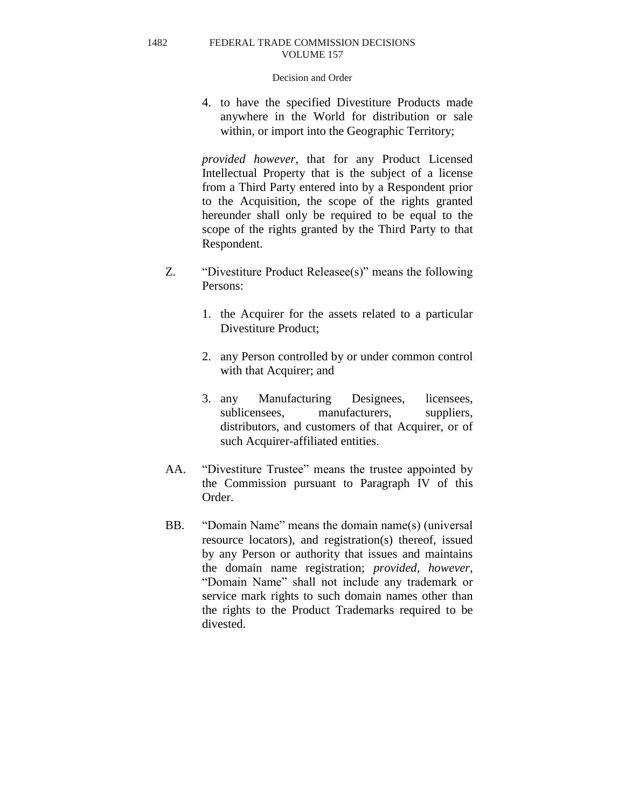### Decision and Order

4. to have the specified Divestiture Products made anywhere in the World for distribution or sale within, or import into the Geographic Territory;

*provided however*, that for any Product Licensed Intellectual Property that is the subject of a license from a Third Party entered into by a Respondent prior to the Acquisition, the scope of the rights granted hereunder shall only be required to be equal to the scope of the rights granted by the Third Party to that Respondent.

- Z. "Divestiture Product Releasee(s)" means the following Persons:
	- 1. the Acquirer for the assets related to a particular Divestiture Product;
	- 2. any Person controlled by or under common control with that Acquirer; and
	- 3. any Manufacturing Designees, licensees, sublicensees, manufacturers, suppliers, distributors, and customers of that Acquirer, or of such Acquirer-affiliated entities.
- AA. "Divestiture Trustee" means the trustee appointed by the Commission pursuant to Paragraph IV of this Order.
- BB. "Domain Name" means the domain name(s) (universal resource locators), and registration(s) thereof, issued by any Person or authority that issues and maintains the domain name registration; *provided, however*, "Domain Name" shall not include any trademark or service mark rights to such domain names other than the rights to the Product Trademarks required to be divested.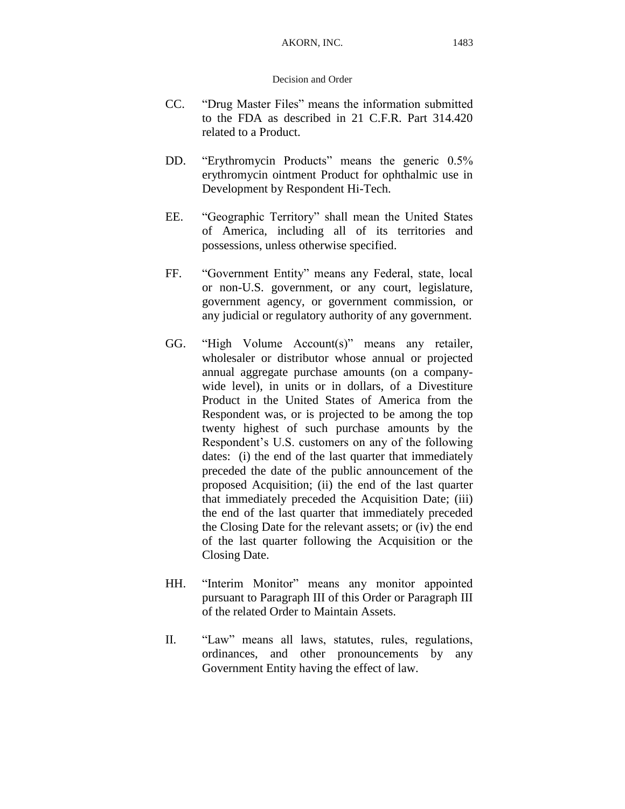- CC. "Drug Master Files" means the information submitted to the FDA as described in 21 C.F.R. Part 314.420 related to a Product.
- DD. "Erythromycin Products" means the generic 0.5% erythromycin ointment Product for ophthalmic use in Development by Respondent Hi-Tech.
- EE. "Geographic Territory" shall mean the United States of America, including all of its territories and possessions, unless otherwise specified.
- FF. "Government Entity" means any Federal, state, local or non-U.S. government, or any court, legislature, government agency, or government commission, or any judicial or regulatory authority of any government.
- GG. "High Volume Account(s)" means any retailer, wholesaler or distributor whose annual or projected annual aggregate purchase amounts (on a companywide level), in units or in dollars, of a Divestiture Product in the United States of America from the Respondent was, or is projected to be among the top twenty highest of such purchase amounts by the Respondent's U.S. customers on any of the following dates: (i) the end of the last quarter that immediately preceded the date of the public announcement of the proposed Acquisition; (ii) the end of the last quarter that immediately preceded the Acquisition Date; (iii) the end of the last quarter that immediately preceded the Closing Date for the relevant assets; or (iv) the end of the last quarter following the Acquisition or the Closing Date.
- HH. "Interim Monitor" means any monitor appointed pursuant to Paragraph III of this Order or Paragraph III of the related Order to Maintain Assets.
- II. "Law" means all laws, statutes, rules, regulations, ordinances, and other pronouncements by any Government Entity having the effect of law.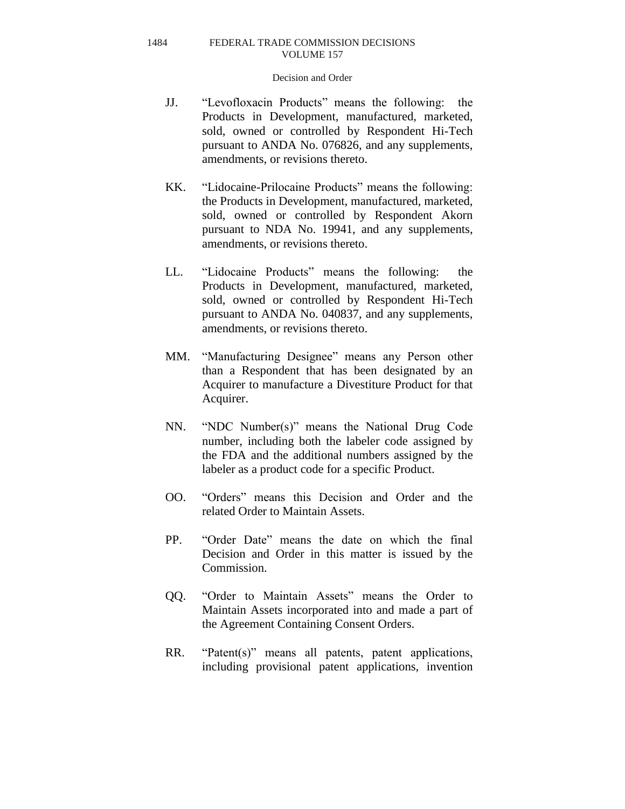- JJ. "Levofloxacin Products" means the following: the Products in Development, manufactured, marketed, sold, owned or controlled by Respondent Hi-Tech pursuant to ANDA No. 076826, and any supplements, amendments, or revisions thereto.
- KK. "Lidocaine-Prilocaine Products" means the following: the Products in Development, manufactured, marketed, sold, owned or controlled by Respondent Akorn pursuant to NDA No. 19941, and any supplements, amendments, or revisions thereto.
- LL. "Lidocaine Products" means the following: the Products in Development, manufactured, marketed, sold, owned or controlled by Respondent Hi-Tech pursuant to ANDA No. 040837, and any supplements, amendments, or revisions thereto.
- MM. "Manufacturing Designee" means any Person other than a Respondent that has been designated by an Acquirer to manufacture a Divestiture Product for that Acquirer.
- NN. "NDC Number(s)" means the National Drug Code number, including both the labeler code assigned by the FDA and the additional numbers assigned by the labeler as a product code for a specific Product.
- OO. "Orders" means this Decision and Order and the related Order to Maintain Assets.
- PP. "Order Date" means the date on which the final Decision and Order in this matter is issued by the Commission.
- QQ. "Order to Maintain Assets" means the Order to Maintain Assets incorporated into and made a part of the Agreement Containing Consent Orders.
- RR. "Patent(s)" means all patents, patent applications, including provisional patent applications, invention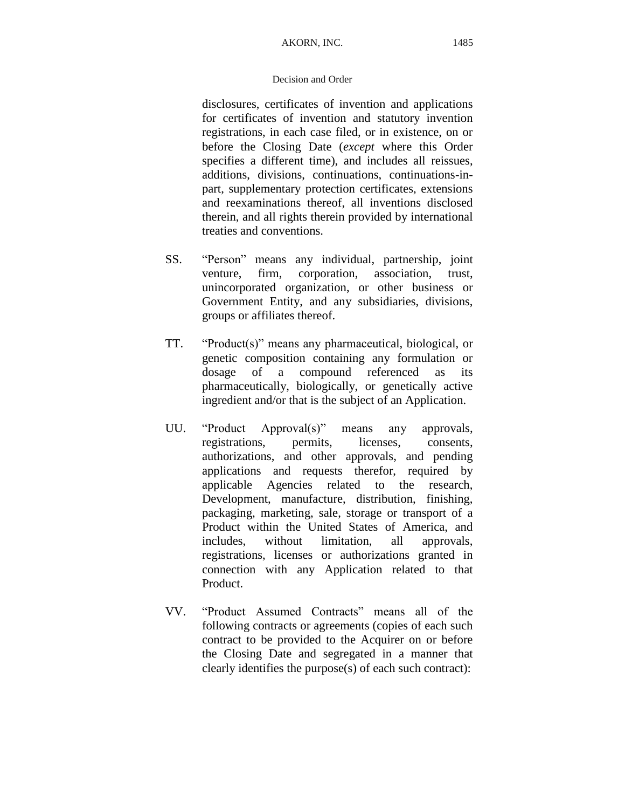disclosures, certificates of invention and applications for certificates of invention and statutory invention registrations, in each case filed, or in existence, on or before the Closing Date (*except* where this Order specifies a different time), and includes all reissues, additions, divisions, continuations, continuations-inpart, supplementary protection certificates, extensions and reexaminations thereof, all inventions disclosed therein, and all rights therein provided by international treaties and conventions.

- SS. "Person" means any individual, partnership, joint venture, firm, corporation, association, trust, unincorporated organization, or other business or Government Entity, and any subsidiaries, divisions, groups or affiliates thereof.
- TT. "Product(s)" means any pharmaceutical, biological, or genetic composition containing any formulation or dosage of a compound referenced as its pharmaceutically, biologically, or genetically active ingredient and/or that is the subject of an Application.
- UU. "Product Approval(s)" means any approvals, registrations, permits, licenses, consents, authorizations, and other approvals, and pending applications and requests therefor, required by applicable Agencies related to the research, Development, manufacture, distribution, finishing, packaging, marketing, sale, storage or transport of a Product within the United States of America, and includes, without limitation, all approvals, registrations, licenses or authorizations granted in connection with any Application related to that Product.
- VV. "Product Assumed Contracts" means all of the following contracts or agreements (copies of each such contract to be provided to the Acquirer on or before the Closing Date and segregated in a manner that clearly identifies the purpose(s) of each such contract):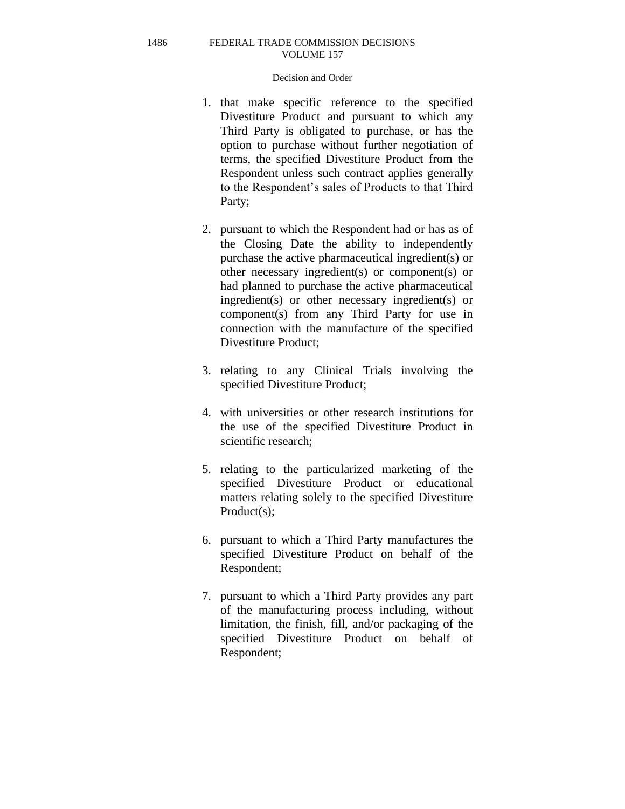- 1. that make specific reference to the specified Divestiture Product and pursuant to which any Third Party is obligated to purchase, or has the option to purchase without further negotiation of terms, the specified Divestiture Product from the Respondent unless such contract applies generally to the Respondent's sales of Products to that Third Party;
- 2. pursuant to which the Respondent had or has as of the Closing Date the ability to independently purchase the active pharmaceutical ingredient(s) or other necessary ingredient(s) or component(s) or had planned to purchase the active pharmaceutical ingredient(s) or other necessary ingredient(s) or component(s) from any Third Party for use in connection with the manufacture of the specified Divestiture Product;
- 3. relating to any Clinical Trials involving the specified Divestiture Product;
- 4. with universities or other research institutions for the use of the specified Divestiture Product in scientific research;
- 5. relating to the particularized marketing of the specified Divestiture Product or educational matters relating solely to the specified Divestiture Product(s);
- 6. pursuant to which a Third Party manufactures the specified Divestiture Product on behalf of the Respondent;
- 7. pursuant to which a Third Party provides any part of the manufacturing process including, without limitation, the finish, fill, and/or packaging of the specified Divestiture Product on behalf of Respondent;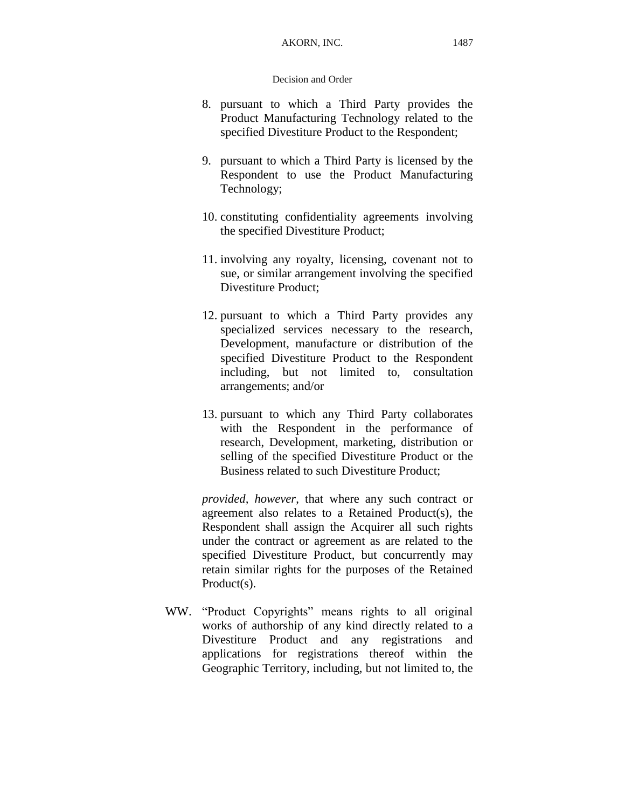- 8. pursuant to which a Third Party provides the Product Manufacturing Technology related to the specified Divestiture Product to the Respondent;
- 9. pursuant to which a Third Party is licensed by the Respondent to use the Product Manufacturing Technology;
- 10. constituting confidentiality agreements involving the specified Divestiture Product;
- 11. involving any royalty, licensing, covenant not to sue, or similar arrangement involving the specified Divestiture Product;
- 12. pursuant to which a Third Party provides any specialized services necessary to the research, Development, manufacture or distribution of the specified Divestiture Product to the Respondent including, but not limited to, consultation arrangements; and/or
- 13. pursuant to which any Third Party collaborates with the Respondent in the performance of research, Development, marketing, distribution or selling of the specified Divestiture Product or the Business related to such Divestiture Product;

*provided, however*, that where any such contract or agreement also relates to a Retained Product(s), the Respondent shall assign the Acquirer all such rights under the contract or agreement as are related to the specified Divestiture Product, but concurrently may retain similar rights for the purposes of the Retained Product(s).

WW. "Product Copyrights" means rights to all original works of authorship of any kind directly related to a Divestiture Product and any registrations and applications for registrations thereof within the Geographic Territory, including, but not limited to, the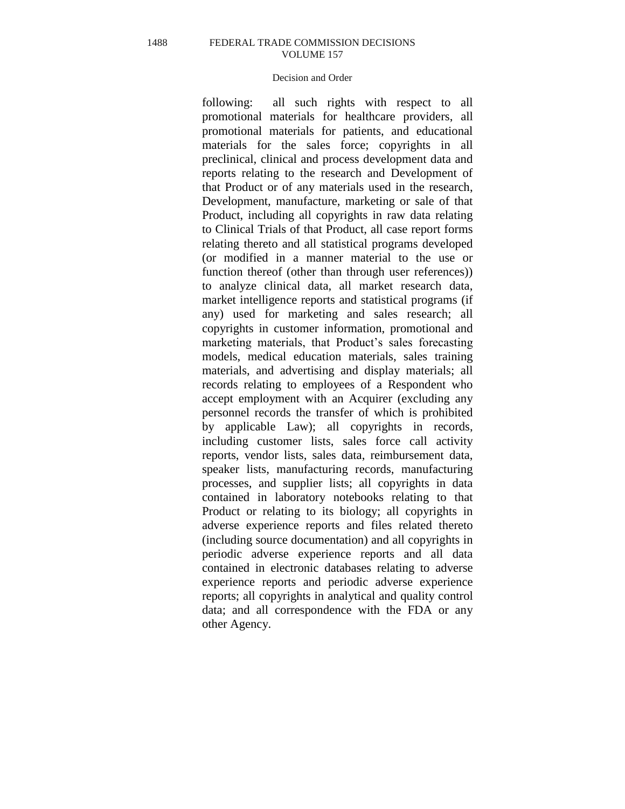# Decision and Order

following: all such rights with respect to all promotional materials for healthcare providers, all promotional materials for patients, and educational materials for the sales force; copyrights in all preclinical, clinical and process development data and reports relating to the research and Development of that Product or of any materials used in the research, Development, manufacture, marketing or sale of that Product, including all copyrights in raw data relating to Clinical Trials of that Product, all case report forms relating thereto and all statistical programs developed (or modified in a manner material to the use or function thereof (other than through user references)) to analyze clinical data, all market research data, market intelligence reports and statistical programs (if any) used for marketing and sales research; all copyrights in customer information, promotional and marketing materials, that Product's sales forecasting models, medical education materials, sales training materials, and advertising and display materials; all records relating to employees of a Respondent who accept employment with an Acquirer (excluding any personnel records the transfer of which is prohibited by applicable Law); all copyrights in records, including customer lists, sales force call activity reports, vendor lists, sales data, reimbursement data, speaker lists, manufacturing records, manufacturing processes, and supplier lists; all copyrights in data contained in laboratory notebooks relating to that Product or relating to its biology; all copyrights in adverse experience reports and files related thereto (including source documentation) and all copyrights in periodic adverse experience reports and all data contained in electronic databases relating to adverse experience reports and periodic adverse experience reports; all copyrights in analytical and quality control data; and all correspondence with the FDA or any other Agency.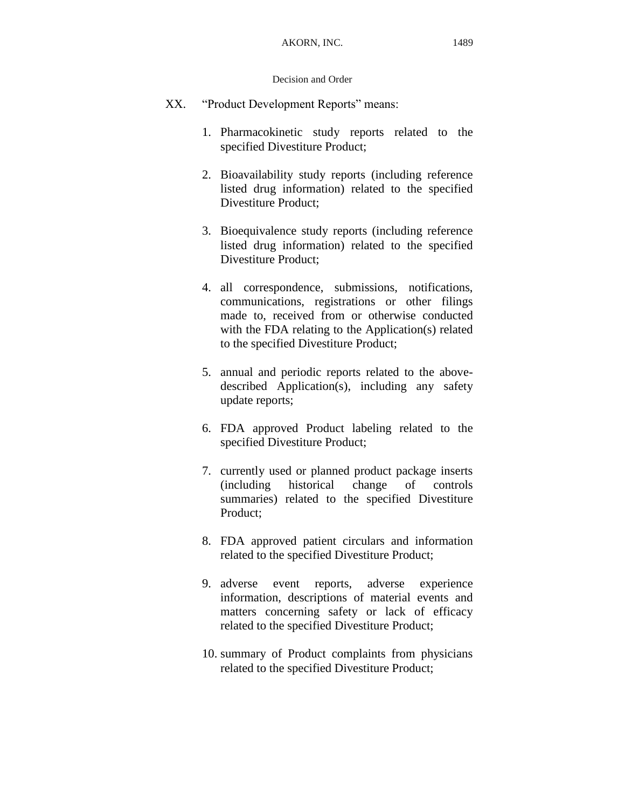- XX. "Product Development Reports" means:
	- 1. Pharmacokinetic study reports related to the specified Divestiture Product;
	- 2. Bioavailability study reports (including reference listed drug information) related to the specified Divestiture Product;
	- 3. Bioequivalence study reports (including reference listed drug information) related to the specified Divestiture Product;
	- 4. all correspondence, submissions, notifications, communications, registrations or other filings made to, received from or otherwise conducted with the FDA relating to the Application(s) related to the specified Divestiture Product;
	- 5. annual and periodic reports related to the abovedescribed Application(s), including any safety update reports;
	- 6. FDA approved Product labeling related to the specified Divestiture Product;
	- 7. currently used or planned product package inserts (including historical change of controls summaries) related to the specified Divestiture Product;
	- 8. FDA approved patient circulars and information related to the specified Divestiture Product;
	- 9. adverse event reports, adverse experience information, descriptions of material events and matters concerning safety or lack of efficacy related to the specified Divestiture Product;
	- 10. summary of Product complaints from physicians related to the specified Divestiture Product;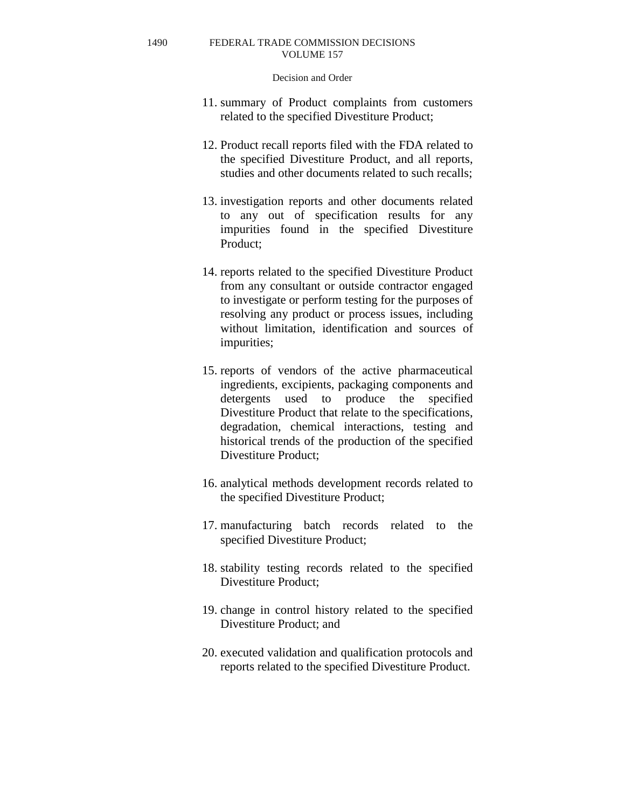- 11. summary of Product complaints from customers related to the specified Divestiture Product;
- 12. Product recall reports filed with the FDA related to the specified Divestiture Product, and all reports, studies and other documents related to such recalls;
- 13. investigation reports and other documents related to any out of specification results for any impurities found in the specified Divestiture Product;
- 14. reports related to the specified Divestiture Product from any consultant or outside contractor engaged to investigate or perform testing for the purposes of resolving any product or process issues, including without limitation, identification and sources of impurities;
- 15. reports of vendors of the active pharmaceutical ingredients, excipients, packaging components and detergents used to produce the specified Divestiture Product that relate to the specifications, degradation, chemical interactions, testing and historical trends of the production of the specified Divestiture Product;
- 16. analytical methods development records related to the specified Divestiture Product;
- 17. manufacturing batch records related to the specified Divestiture Product;
- 18. stability testing records related to the specified Divestiture Product;
- 19. change in control history related to the specified Divestiture Product; and
- 20. executed validation and qualification protocols and reports related to the specified Divestiture Product.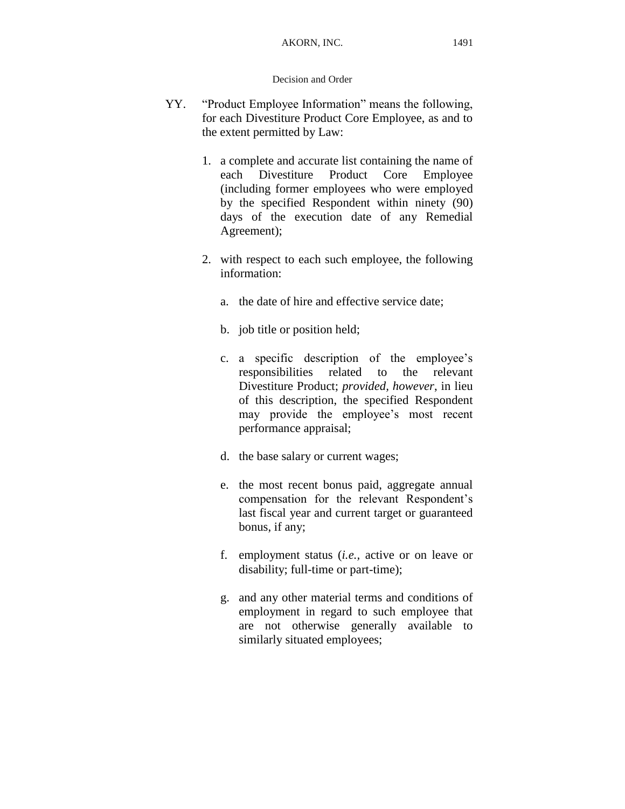- YY. "Product Employee Information" means the following, for each Divestiture Product Core Employee, as and to the extent permitted by Law:
	- 1. a complete and accurate list containing the name of each Divestiture Product Core Employee (including former employees who were employed by the specified Respondent within ninety (90) days of the execution date of any Remedial Agreement);
	- 2. with respect to each such employee, the following information:
		- a. the date of hire and effective service date;
		- b. job title or position held;
		- c. a specific description of the employee's responsibilities related to the relevant Divestiture Product; *provided, however*, in lieu of this description, the specified Respondent may provide the employee's most recent performance appraisal;
		- d. the base salary or current wages;
		- e. the most recent bonus paid, aggregate annual compensation for the relevant Respondent's last fiscal year and current target or guaranteed bonus, if any;
		- f. employment status (*i.e.,* active or on leave or disability; full-time or part-time);
		- g. and any other material terms and conditions of employment in regard to such employee that are not otherwise generally available to similarly situated employees;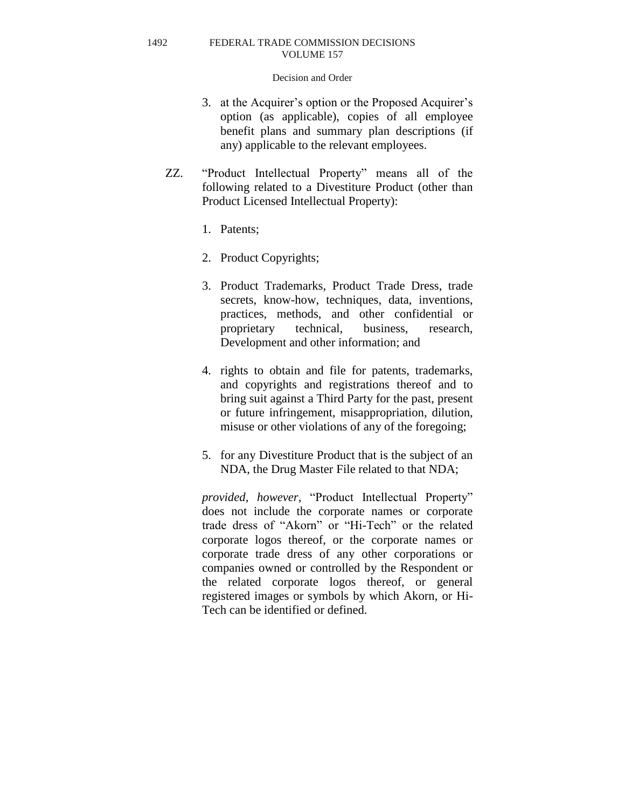### Decision and Order

- 3. at the Acquirer's option or the Proposed Acquirer's option (as applicable), copies of all employee benefit plans and summary plan descriptions (if any) applicable to the relevant employees.
- ZZ. "Product Intellectual Property" means all of the following related to a Divestiture Product (other than Product Licensed Intellectual Property):
	- 1. Patents;
	- 2. Product Copyrights;
	- 3. Product Trademarks, Product Trade Dress, trade secrets, know-how, techniques, data, inventions, practices, methods, and other confidential or proprietary technical, business, research, Development and other information; and
	- 4. rights to obtain and file for patents, trademarks, and copyrights and registrations thereof and to bring suit against a Third Party for the past, present or future infringement, misappropriation, dilution, misuse or other violations of any of the foregoing;
	- 5. for any Divestiture Product that is the subject of an NDA, the Drug Master File related to that NDA;

*provided, however,* "Product Intellectual Property" does not include the corporate names or corporate trade dress of "Akorn" or "Hi-Tech" or the related corporate logos thereof, or the corporate names or corporate trade dress of any other corporations or companies owned or controlled by the Respondent or the related corporate logos thereof, or general registered images or symbols by which Akorn, or Hi-Tech can be identified or defined.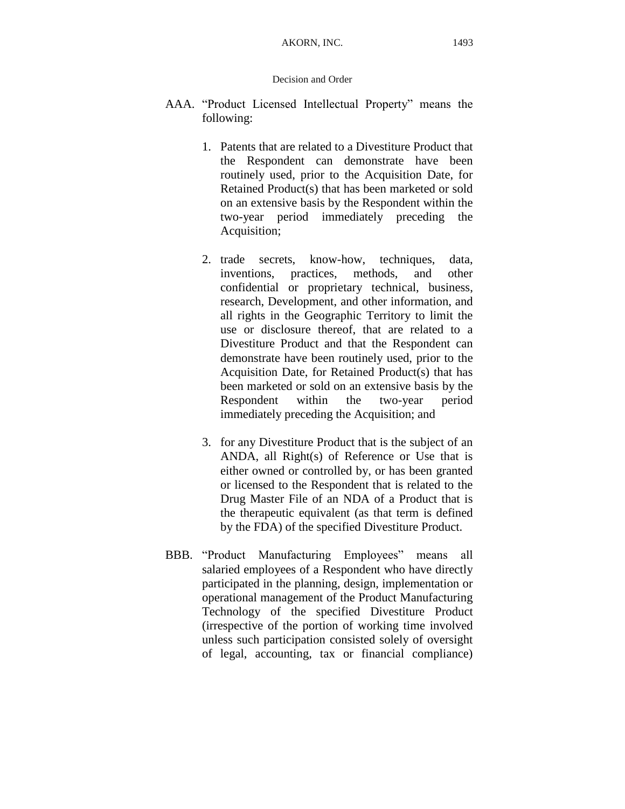- AAA. "Product Licensed Intellectual Property" means the following:
	- 1. Patents that are related to a Divestiture Product that the Respondent can demonstrate have been routinely used, prior to the Acquisition Date, for Retained Product(s) that has been marketed or sold on an extensive basis by the Respondent within the two-year period immediately preceding the Acquisition;
	- 2. trade secrets, know-how, techniques, data, inventions, practices, methods, and other confidential or proprietary technical, business, research, Development, and other information, and all rights in the Geographic Territory to limit the use or disclosure thereof, that are related to a Divestiture Product and that the Respondent can demonstrate have been routinely used, prior to the Acquisition Date, for Retained Product(s) that has been marketed or sold on an extensive basis by the Respondent within the two-year period immediately preceding the Acquisition; and
	- 3. for any Divestiture Product that is the subject of an ANDA, all Right(s) of Reference or Use that is either owned or controlled by, or has been granted or licensed to the Respondent that is related to the Drug Master File of an NDA of a Product that is the therapeutic equivalent (as that term is defined by the FDA) of the specified Divestiture Product.
- BBB. "Product Manufacturing Employees" means all salaried employees of a Respondent who have directly participated in the planning, design, implementation or operational management of the Product Manufacturing Technology of the specified Divestiture Product (irrespective of the portion of working time involved unless such participation consisted solely of oversight of legal, accounting, tax or financial compliance)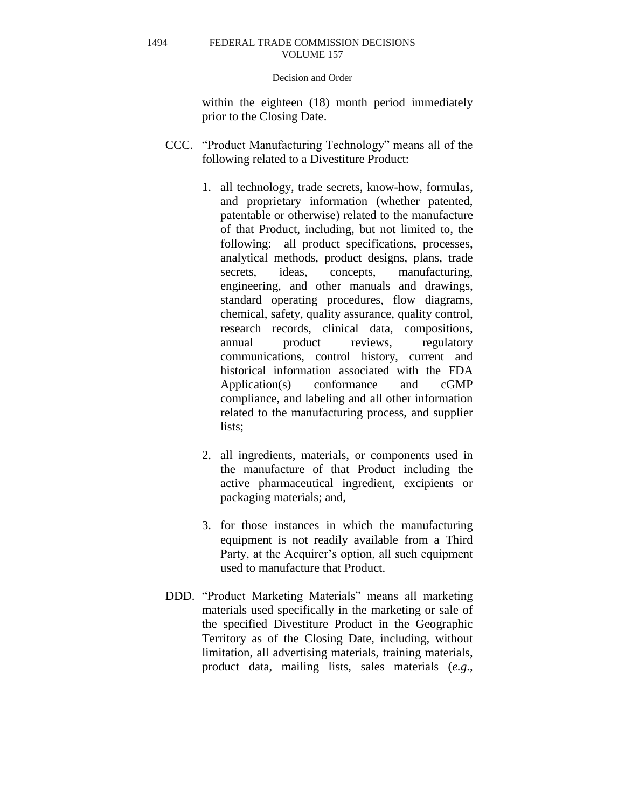### Decision and Order

within the eighteen (18) month period immediately prior to the Closing Date.

- CCC. "Product Manufacturing Technology" means all of the following related to a Divestiture Product:
	- 1. all technology, trade secrets, know-how, formulas, and proprietary information (whether patented, patentable or otherwise) related to the manufacture of that Product, including, but not limited to, the following: all product specifications, processes, analytical methods, product designs, plans, trade secrets, ideas, concepts, manufacturing, engineering, and other manuals and drawings, standard operating procedures, flow diagrams, chemical, safety, quality assurance, quality control, research records, clinical data, compositions, annual product reviews, regulatory communications, control history, current and historical information associated with the FDA Application(s) conformance and cGMP compliance, and labeling and all other information related to the manufacturing process, and supplier lists;
	- 2. all ingredients, materials, or components used in the manufacture of that Product including the active pharmaceutical ingredient, excipients or packaging materials; and,
	- 3. for those instances in which the manufacturing equipment is not readily available from a Third Party, at the Acquirer's option, all such equipment used to manufacture that Product.
- DDD. "Product Marketing Materials" means all marketing materials used specifically in the marketing or sale of the specified Divestiture Product in the Geographic Territory as of the Closing Date, including, without limitation, all advertising materials, training materials, product data, mailing lists, sales materials (*e.g*.,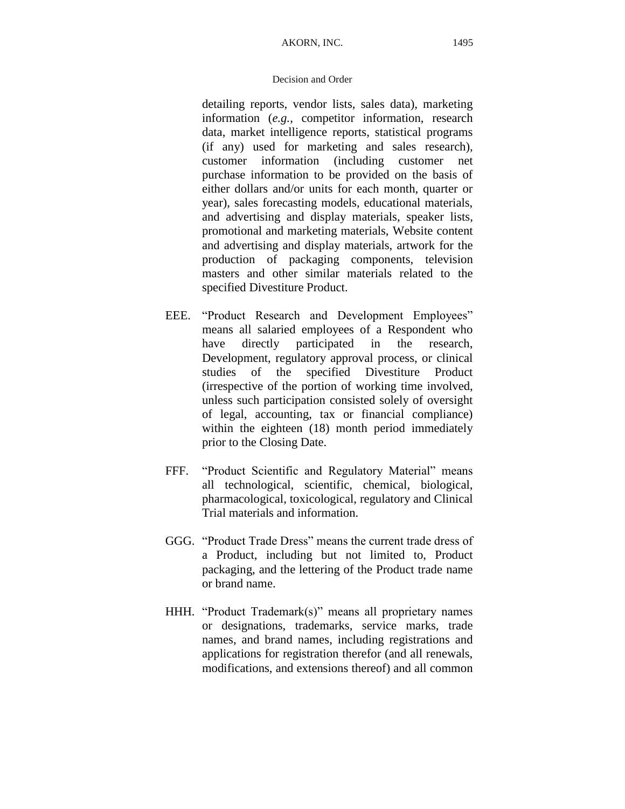detailing reports, vendor lists, sales data), marketing information (*e.g.*, competitor information, research data, market intelligence reports, statistical programs (if any) used for marketing and sales research), customer information (including customer net purchase information to be provided on the basis of either dollars and/or units for each month, quarter or year), sales forecasting models, educational materials, and advertising and display materials, speaker lists, promotional and marketing materials, Website content and advertising and display materials, artwork for the production of packaging components, television masters and other similar materials related to the specified Divestiture Product.

- EEE. "Product Research and Development Employees" means all salaried employees of a Respondent who have directly participated in the research, Development, regulatory approval process, or clinical studies of the specified Divestiture Product (irrespective of the portion of working time involved, unless such participation consisted solely of oversight of legal, accounting, tax or financial compliance) within the eighteen (18) month period immediately prior to the Closing Date.
- FFF. "Product Scientific and Regulatory Material" means all technological, scientific, chemical, biological, pharmacological, toxicological, regulatory and Clinical Trial materials and information.
- GGG. "Product Trade Dress" means the current trade dress of a Product, including but not limited to, Product packaging, and the lettering of the Product trade name or brand name.
- HHH. "Product Trademark(s)" means all proprietary names or designations, trademarks, service marks, trade names, and brand names, including registrations and applications for registration therefor (and all renewals, modifications, and extensions thereof) and all common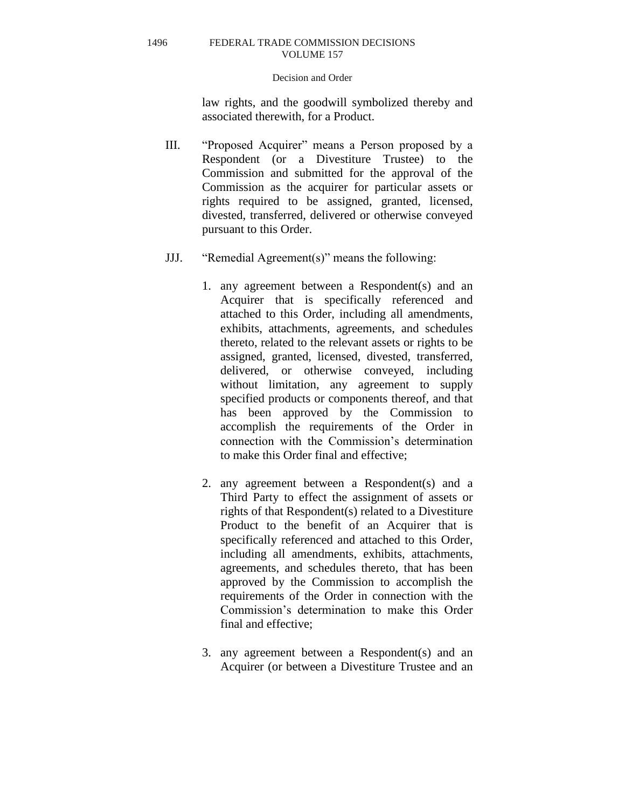## Decision and Order

law rights, and the goodwill symbolized thereby and associated therewith, for a Product.

- III. "Proposed Acquirer" means a Person proposed by a Respondent (or a Divestiture Trustee) to the Commission and submitted for the approval of the Commission as the acquirer for particular assets or rights required to be assigned, granted, licensed, divested, transferred, delivered or otherwise conveyed pursuant to this Order.
- JJJ. "Remedial Agreement(s)" means the following:
	- 1. any agreement between a Respondent(s) and an Acquirer that is specifically referenced and attached to this Order, including all amendments, exhibits, attachments, agreements, and schedules thereto, related to the relevant assets or rights to be assigned, granted, licensed, divested, transferred, delivered, or otherwise conveyed, including without limitation, any agreement to supply specified products or components thereof, and that has been approved by the Commission to accomplish the requirements of the Order in connection with the Commission's determination to make this Order final and effective;
	- 2. any agreement between a Respondent(s) and a Third Party to effect the assignment of assets or rights of that Respondent(s) related to a Divestiture Product to the benefit of an Acquirer that is specifically referenced and attached to this Order, including all amendments, exhibits, attachments, agreements, and schedules thereto, that has been approved by the Commission to accomplish the requirements of the Order in connection with the Commission's determination to make this Order final and effective;
	- 3. any agreement between a Respondent(s) and an Acquirer (or between a Divestiture Trustee and an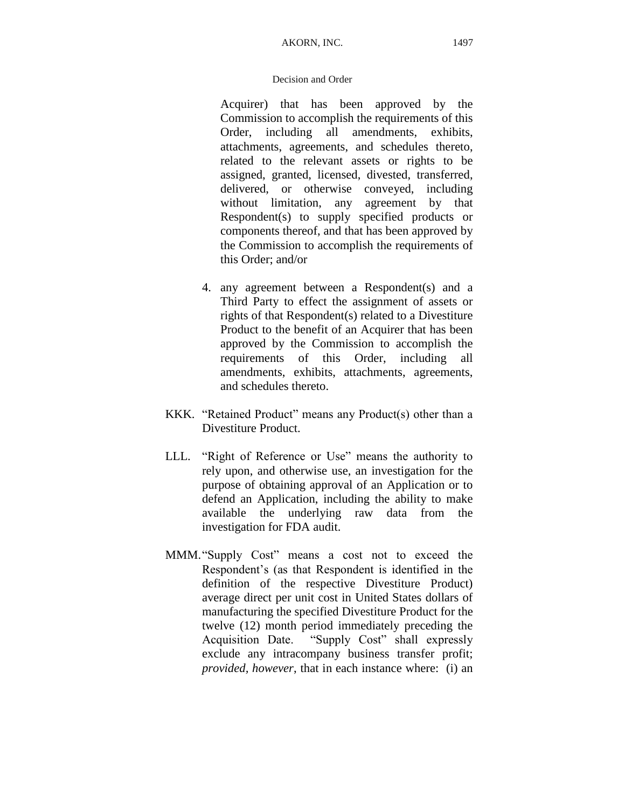Acquirer) that has been approved by the Commission to accomplish the requirements of this Order, including all amendments, exhibits, attachments, agreements, and schedules thereto, related to the relevant assets or rights to be assigned, granted, licensed, divested, transferred, delivered, or otherwise conveyed, including without limitation, any agreement by that Respondent(s) to supply specified products or components thereof, and that has been approved by the Commission to accomplish the requirements of this Order; and/or

- 4. any agreement between a Respondent(s) and a Third Party to effect the assignment of assets or rights of that Respondent(s) related to a Divestiture Product to the benefit of an Acquirer that has been approved by the Commission to accomplish the requirements of this Order, including all amendments, exhibits, attachments, agreements, and schedules thereto.
- KKK. "Retained Product" means any Product(s) other than a Divestiture Product.
- LLL. "Right of Reference or Use" means the authority to rely upon, and otherwise use, an investigation for the purpose of obtaining approval of an Application or to defend an Application, including the ability to make available the underlying raw data from the investigation for FDA audit.
- MMM."Supply Cost" means a cost not to exceed the Respondent's (as that Respondent is identified in the definition of the respective Divestiture Product) average direct per unit cost in United States dollars of manufacturing the specified Divestiture Product for the twelve (12) month period immediately preceding the Acquisition Date. "Supply Cost" shall expressly exclude any intracompany business transfer profit; *provided, however*, that in each instance where: (i) an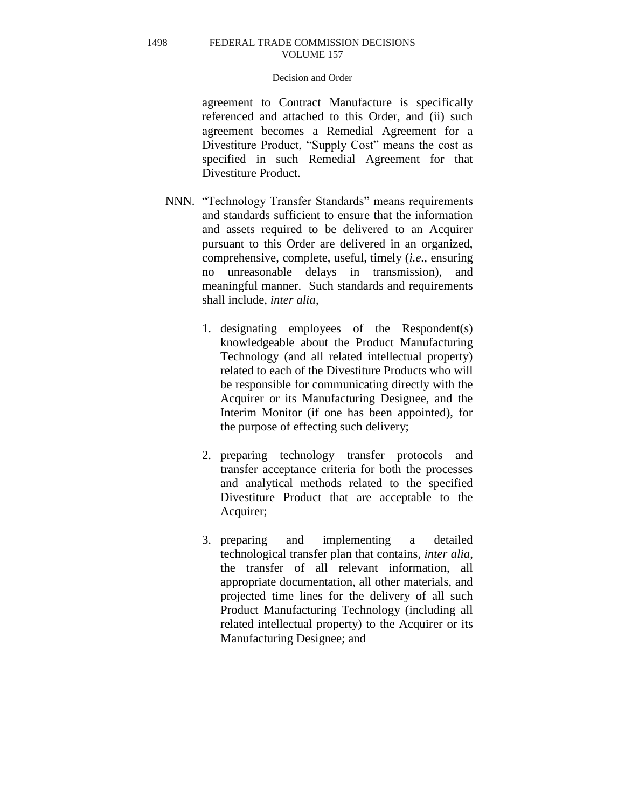# Decision and Order

agreement to Contract Manufacture is specifically referenced and attached to this Order, and (ii) such agreement becomes a Remedial Agreement for a Divestiture Product, "Supply Cost" means the cost as specified in such Remedial Agreement for that Divestiture Product.

- NNN. "Technology Transfer Standards" means requirements and standards sufficient to ensure that the information and assets required to be delivered to an Acquirer pursuant to this Order are delivered in an organized, comprehensive, complete, useful, timely (*i.e.*, ensuring no unreasonable delays in transmission), and meaningful manner. Such standards and requirements shall include, *inter alia*,
	- 1. designating employees of the Respondent(s) knowledgeable about the Product Manufacturing Technology (and all related intellectual property) related to each of the Divestiture Products who will be responsible for communicating directly with the Acquirer or its Manufacturing Designee, and the Interim Monitor (if one has been appointed), for the purpose of effecting such delivery;
	- 2. preparing technology transfer protocols and transfer acceptance criteria for both the processes and analytical methods related to the specified Divestiture Product that are acceptable to the Acquirer;
	- 3. preparing and implementing a detailed technological transfer plan that contains, *inter alia*, the transfer of all relevant information, all appropriate documentation, all other materials, and projected time lines for the delivery of all such Product Manufacturing Technology (including all related intellectual property) to the Acquirer or its Manufacturing Designee; and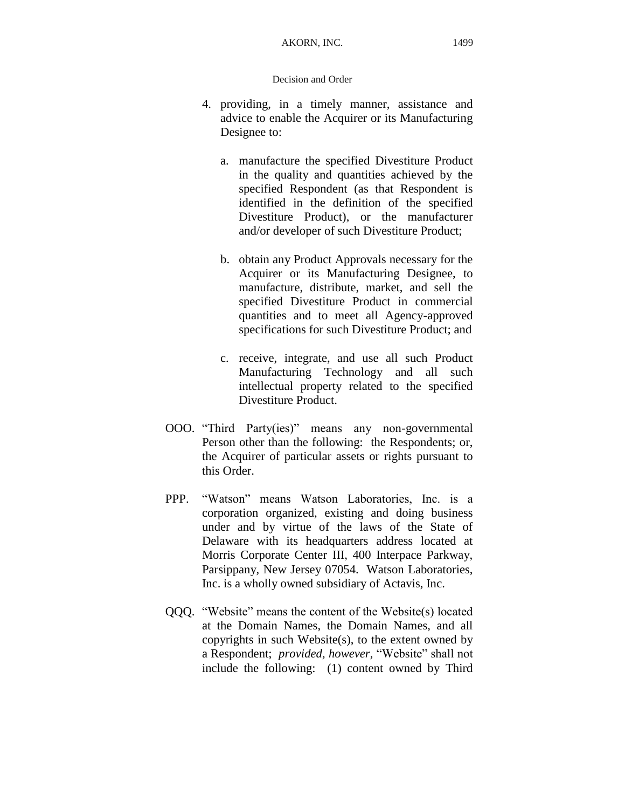- 4. providing, in a timely manner, assistance and advice to enable the Acquirer or its Manufacturing Designee to:
	- a. manufacture the specified Divestiture Product in the quality and quantities achieved by the specified Respondent (as that Respondent is identified in the definition of the specified Divestiture Product), or the manufacturer and/or developer of such Divestiture Product;
	- b. obtain any Product Approvals necessary for the Acquirer or its Manufacturing Designee, to manufacture, distribute, market, and sell the specified Divestiture Product in commercial quantities and to meet all Agency-approved specifications for such Divestiture Product; and
	- c. receive, integrate, and use all such Product Manufacturing Technology and all such intellectual property related to the specified Divestiture Product.
- OOO. "Third Party(ies)" means any non-governmental Person other than the following: the Respondents; or, the Acquirer of particular assets or rights pursuant to this Order.
- PPP. "Watson" means Watson Laboratories, Inc. is a corporation organized, existing and doing business under and by virtue of the laws of the State of Delaware with its headquarters address located at Morris Corporate Center III, 400 Interpace Parkway, Parsippany, New Jersey 07054. Watson Laboratories, Inc. is a wholly owned subsidiary of Actavis, Inc.
- QQQ. "Website" means the content of the Website(s) located at the Domain Names, the Domain Names, and all copyrights in such Website(s), to the extent owned by a Respondent; *provided, however,* "Website" shall not include the following: (1) content owned by Third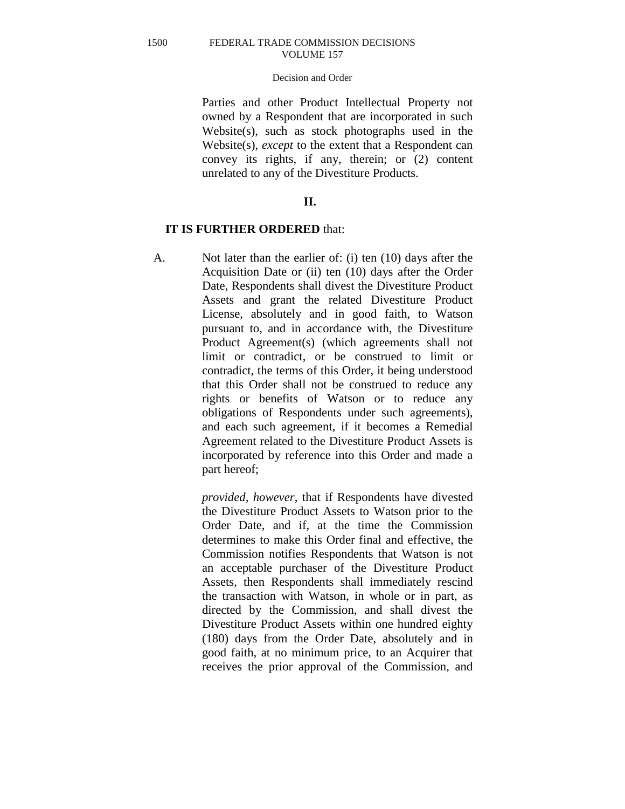# Decision and Order

Parties and other Product Intellectual Property not owned by a Respondent that are incorporated in such Website(s), such as stock photographs used in the Website(s), *except* to the extent that a Respondent can convey its rights, if any, therein; or (2) content unrelated to any of the Divestiture Products.

# **II.**

# **IT IS FURTHER ORDERED** that:

A. Not later than the earlier of: (i) ten (10) days after the Acquisition Date or (ii) ten (10) days after the Order Date, Respondents shall divest the Divestiture Product Assets and grant the related Divestiture Product License, absolutely and in good faith, to Watson pursuant to, and in accordance with, the Divestiture Product Agreement(s) (which agreements shall not limit or contradict, or be construed to limit or contradict, the terms of this Order, it being understood that this Order shall not be construed to reduce any rights or benefits of Watson or to reduce any obligations of Respondents under such agreements), and each such agreement, if it becomes a Remedial Agreement related to the Divestiture Product Assets is incorporated by reference into this Order and made a part hereof;

> *provided, however*, that if Respondents have divested the Divestiture Product Assets to Watson prior to the Order Date, and if, at the time the Commission determines to make this Order final and effective, the Commission notifies Respondents that Watson is not an acceptable purchaser of the Divestiture Product Assets, then Respondents shall immediately rescind the transaction with Watson, in whole or in part, as directed by the Commission, and shall divest the Divestiture Product Assets within one hundred eighty (180) days from the Order Date, absolutely and in good faith, at no minimum price, to an Acquirer that receives the prior approval of the Commission, and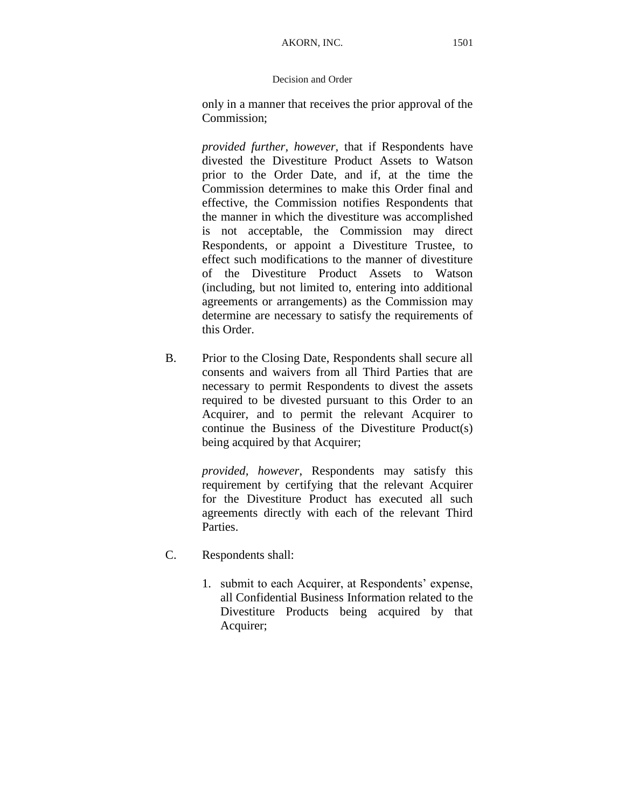only in a manner that receives the prior approval of the Commission;

*provided further, however,* that if Respondents have divested the Divestiture Product Assets to Watson prior to the Order Date, and if, at the time the Commission determines to make this Order final and effective, the Commission notifies Respondents that the manner in which the divestiture was accomplished is not acceptable, the Commission may direct Respondents, or appoint a Divestiture Trustee, to effect such modifications to the manner of divestiture of the Divestiture Product Assets to Watson (including, but not limited to, entering into additional agreements or arrangements) as the Commission may determine are necessary to satisfy the requirements of this Order.

B. Prior to the Closing Date, Respondents shall secure all consents and waivers from all Third Parties that are necessary to permit Respondents to divest the assets required to be divested pursuant to this Order to an Acquirer, and to permit the relevant Acquirer to continue the Business of the Divestiture Product(s) being acquired by that Acquirer;

> *provided, however*, Respondents may satisfy this requirement by certifying that the relevant Acquirer for the Divestiture Product has executed all such agreements directly with each of the relevant Third Parties.

- C. Respondents shall:
	- 1. submit to each Acquirer, at Respondents' expense, all Confidential Business Information related to the Divestiture Products being acquired by that Acquirer;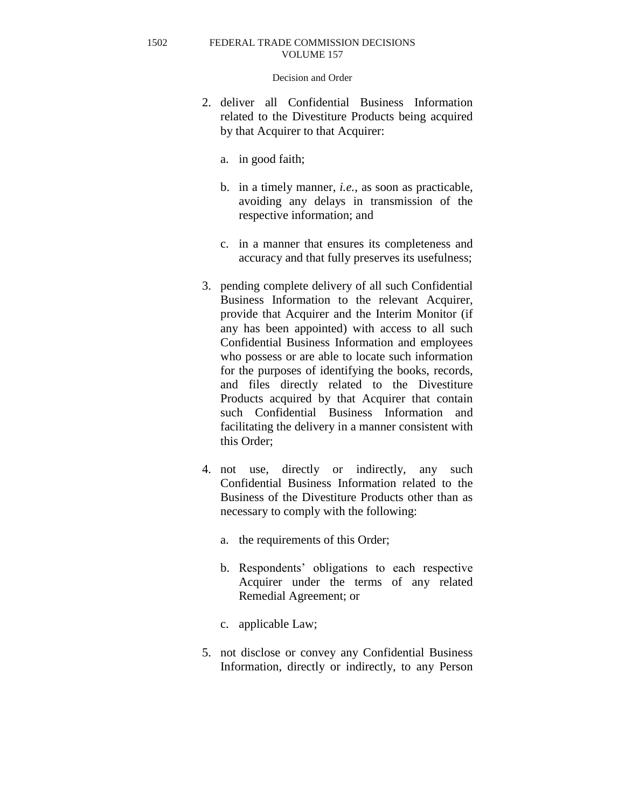- 2. deliver all Confidential Business Information related to the Divestiture Products being acquired by that Acquirer to that Acquirer:
	- a. in good faith;
	- b. in a timely manner, *i.e.*, as soon as practicable, avoiding any delays in transmission of the respective information; and
	- c. in a manner that ensures its completeness and accuracy and that fully preserves its usefulness;
- 3. pending complete delivery of all such Confidential Business Information to the relevant Acquirer, provide that Acquirer and the Interim Monitor (if any has been appointed) with access to all such Confidential Business Information and employees who possess or are able to locate such information for the purposes of identifying the books, records, and files directly related to the Divestiture Products acquired by that Acquirer that contain such Confidential Business Information and facilitating the delivery in a manner consistent with this Order;
- 4. not use, directly or indirectly, any such Confidential Business Information related to the Business of the Divestiture Products other than as necessary to comply with the following:
	- a. the requirements of this Order;
	- b. Respondents' obligations to each respective Acquirer under the terms of any related Remedial Agreement; or
	- c. applicable Law;
- 5. not disclose or convey any Confidential Business Information, directly or indirectly, to any Person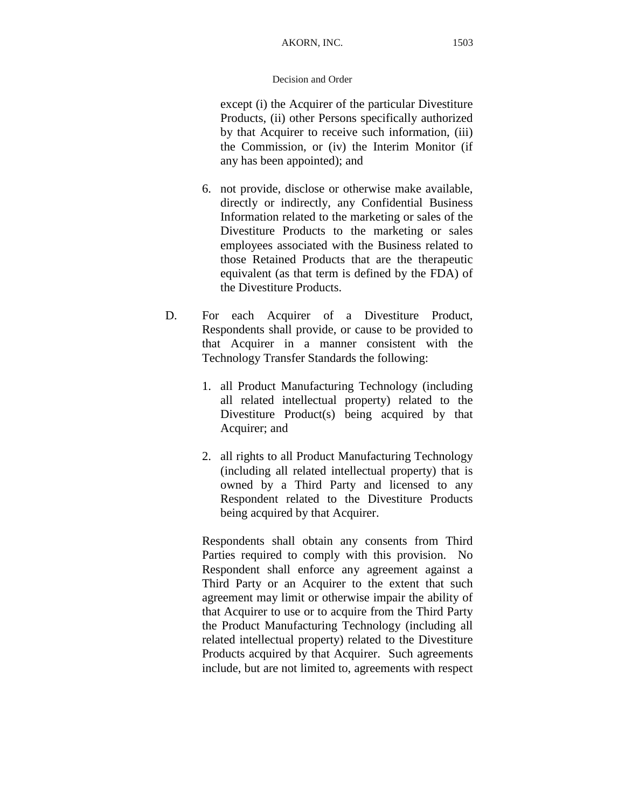except (i) the Acquirer of the particular Divestiture Products, (ii) other Persons specifically authorized by that Acquirer to receive such information, (iii) the Commission, or (iv) the Interim Monitor (if any has been appointed); and

- 6. not provide, disclose or otherwise make available, directly or indirectly, any Confidential Business Information related to the marketing or sales of the Divestiture Products to the marketing or sales employees associated with the Business related to those Retained Products that are the therapeutic equivalent (as that term is defined by the FDA) of the Divestiture Products.
- D. For each Acquirer of a Divestiture Product, Respondents shall provide, or cause to be provided to that Acquirer in a manner consistent with the Technology Transfer Standards the following:
	- 1. all Product Manufacturing Technology (including all related intellectual property) related to the Divestiture Product(s) being acquired by that Acquirer; and
	- 2. all rights to all Product Manufacturing Technology (including all related intellectual property) that is owned by a Third Party and licensed to any Respondent related to the Divestiture Products being acquired by that Acquirer.

Respondents shall obtain any consents from Third Parties required to comply with this provision. No Respondent shall enforce any agreement against a Third Party or an Acquirer to the extent that such agreement may limit or otherwise impair the ability of that Acquirer to use or to acquire from the Third Party the Product Manufacturing Technology (including all related intellectual property) related to the Divestiture Products acquired by that Acquirer. Such agreements include, but are not limited to, agreements with respect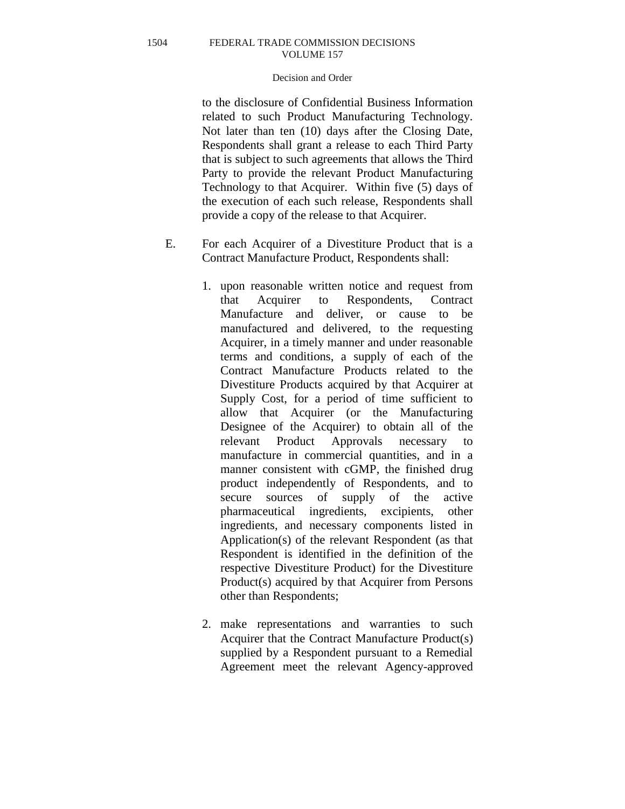# Decision and Order

to the disclosure of Confidential Business Information related to such Product Manufacturing Technology. Not later than ten (10) days after the Closing Date, Respondents shall grant a release to each Third Party that is subject to such agreements that allows the Third Party to provide the relevant Product Manufacturing Technology to that Acquirer. Within five (5) days of the execution of each such release, Respondents shall provide a copy of the release to that Acquirer.

- E. For each Acquirer of a Divestiture Product that is a Contract Manufacture Product, Respondents shall:
	- 1. upon reasonable written notice and request from that Acquirer to Respondents, Contract Manufacture and deliver, or cause to be manufactured and delivered, to the requesting Acquirer, in a timely manner and under reasonable terms and conditions, a supply of each of the Contract Manufacture Products related to the Divestiture Products acquired by that Acquirer at Supply Cost, for a period of time sufficient to allow that Acquirer (or the Manufacturing Designee of the Acquirer) to obtain all of the relevant Product Approvals necessary to manufacture in commercial quantities, and in a manner consistent with cGMP, the finished drug product independently of Respondents, and to secure sources of supply of the active pharmaceutical ingredients, excipients, other ingredients, and necessary components listed in Application(s) of the relevant Respondent (as that Respondent is identified in the definition of the respective Divestiture Product) for the Divestiture Product(s) acquired by that Acquirer from Persons other than Respondents;
	- 2. make representations and warranties to such Acquirer that the Contract Manufacture Product(s) supplied by a Respondent pursuant to a Remedial Agreement meet the relevant Agency-approved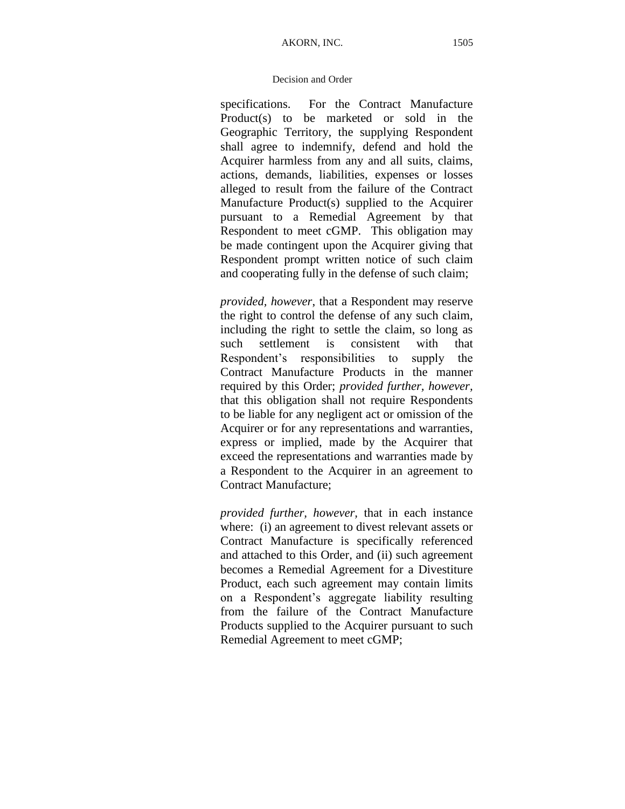specifications. For the Contract Manufacture Product(s) to be marketed or sold in the Geographic Territory, the supplying Respondent shall agree to indemnify, defend and hold the Acquirer harmless from any and all suits, claims, actions, demands, liabilities, expenses or losses alleged to result from the failure of the Contract Manufacture Product(s) supplied to the Acquirer pursuant to a Remedial Agreement by that Respondent to meet cGMP. This obligation may be made contingent upon the Acquirer giving that Respondent prompt written notice of such claim and cooperating fully in the defense of such claim;

*provided, however*, that a Respondent may reserve the right to control the defense of any such claim, including the right to settle the claim, so long as such settlement is consistent with that Respondent's responsibilities to supply the Contract Manufacture Products in the manner required by this Order; *provided further, however,*  that this obligation shall not require Respondents to be liable for any negligent act or omission of the Acquirer or for any representations and warranties, express or implied, made by the Acquirer that exceed the representations and warranties made by a Respondent to the Acquirer in an agreement to Contract Manufacture;

*provided further, however,* that in each instance where: (i) an agreement to divest relevant assets or Contract Manufacture is specifically referenced and attached to this Order, and (ii) such agreement becomes a Remedial Agreement for a Divestiture Product, each such agreement may contain limits on a Respondent's aggregate liability resulting from the failure of the Contract Manufacture Products supplied to the Acquirer pursuant to such Remedial Agreement to meet cGMP;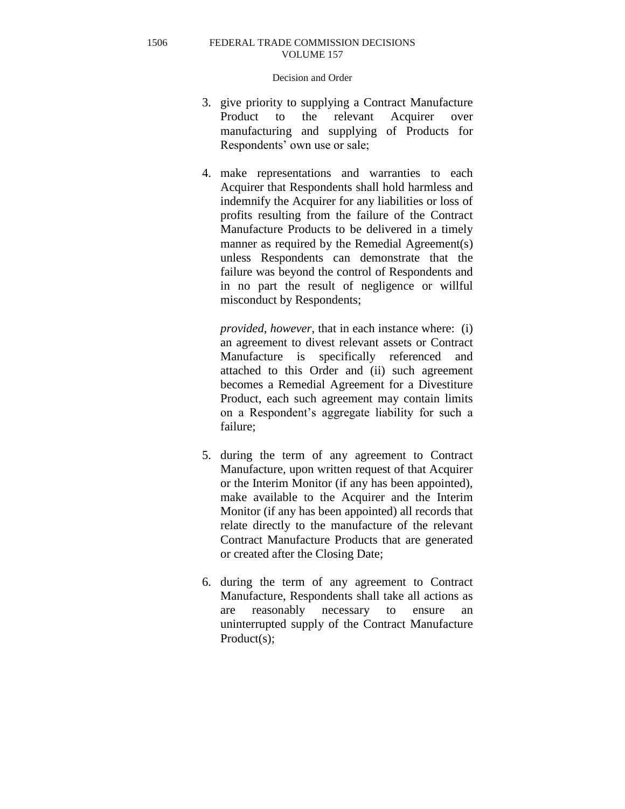# Decision and Order

- 3. give priority to supplying a Contract Manufacture Product to the relevant Acquirer over manufacturing and supplying of Products for Respondents' own use or sale;
- 4. make representations and warranties to each Acquirer that Respondents shall hold harmless and indemnify the Acquirer for any liabilities or loss of profits resulting from the failure of the Contract Manufacture Products to be delivered in a timely manner as required by the Remedial Agreement(s) unless Respondents can demonstrate that the failure was beyond the control of Respondents and in no part the result of negligence or willful misconduct by Respondents;

*provided, however*, that in each instance where: (i) an agreement to divest relevant assets or Contract Manufacture is specifically referenced and attached to this Order and (ii) such agreement becomes a Remedial Agreement for a Divestiture Product, each such agreement may contain limits on a Respondent's aggregate liability for such a failure;

- 5. during the term of any agreement to Contract Manufacture, upon written request of that Acquirer or the Interim Monitor (if any has been appointed), make available to the Acquirer and the Interim Monitor (if any has been appointed) all records that relate directly to the manufacture of the relevant Contract Manufacture Products that are generated or created after the Closing Date;
- 6. during the term of any agreement to Contract Manufacture, Respondents shall take all actions as are reasonably necessary to ensure an uninterrupted supply of the Contract Manufacture Product(s);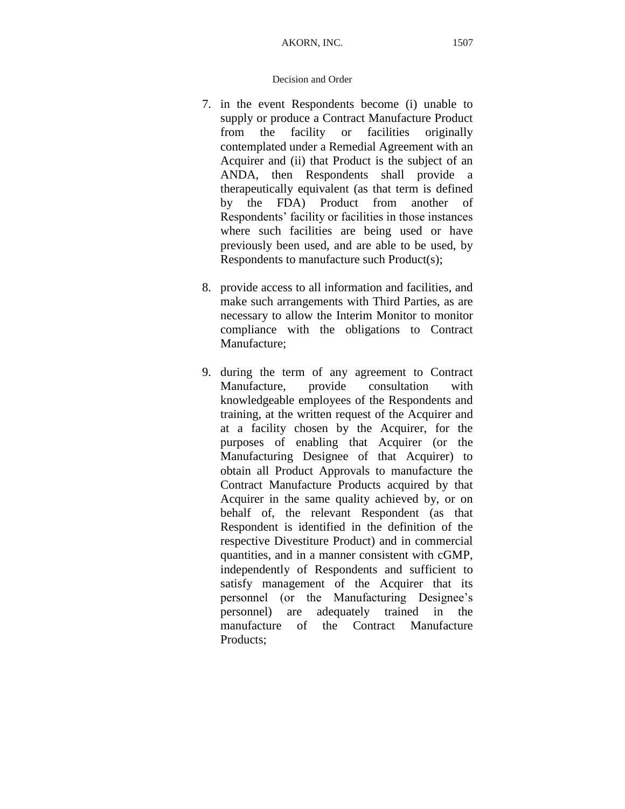- 7. in the event Respondents become (i) unable to supply or produce a Contract Manufacture Product from the facility or facilities originally contemplated under a Remedial Agreement with an Acquirer and (ii) that Product is the subject of an ANDA, then Respondents shall provide a therapeutically equivalent (as that term is defined by the FDA) Product from another of Respondents' facility or facilities in those instances where such facilities are being used or have previously been used, and are able to be used, by Respondents to manufacture such Product(s);
- 8. provide access to all information and facilities, and make such arrangements with Third Parties, as are necessary to allow the Interim Monitor to monitor compliance with the obligations to Contract Manufacture;
- 9. during the term of any agreement to Contract Manufacture, provide consultation with knowledgeable employees of the Respondents and training, at the written request of the Acquirer and at a facility chosen by the Acquirer, for the purposes of enabling that Acquirer (or the Manufacturing Designee of that Acquirer) to obtain all Product Approvals to manufacture the Contract Manufacture Products acquired by that Acquirer in the same quality achieved by, or on behalf of, the relevant Respondent (as that Respondent is identified in the definition of the respective Divestiture Product) and in commercial quantities, and in a manner consistent with cGMP, independently of Respondents and sufficient to satisfy management of the Acquirer that its personnel (or the Manufacturing Designee's personnel) are adequately trained in the manufacture of the Contract Manufacture Products;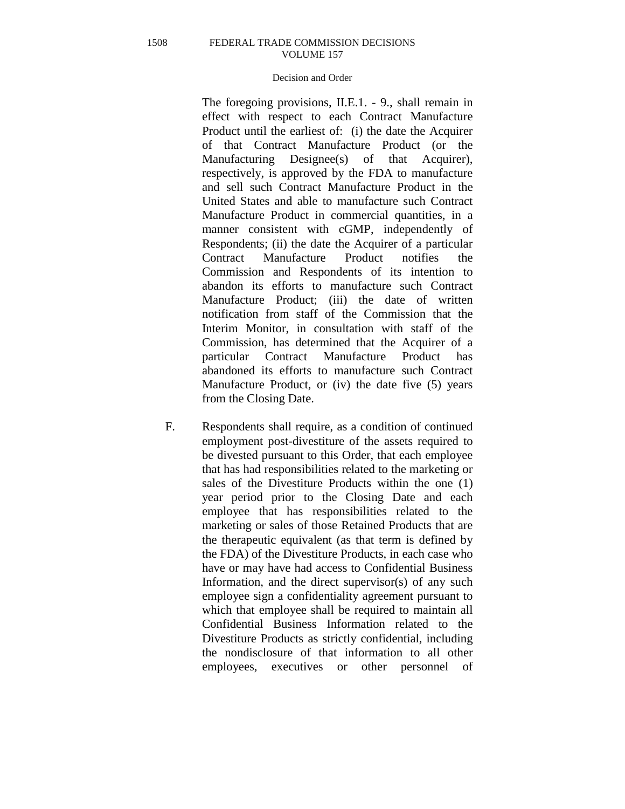# Decision and Order

The foregoing provisions, II.E.1. - 9., shall remain in effect with respect to each Contract Manufacture Product until the earliest of: (i) the date the Acquirer of that Contract Manufacture Product (or the Manufacturing Designee(s) of that Acquirer), respectively, is approved by the FDA to manufacture and sell such Contract Manufacture Product in the United States and able to manufacture such Contract Manufacture Product in commercial quantities, in a manner consistent with cGMP, independently of Respondents; (ii) the date the Acquirer of a particular Contract Manufacture Product notifies the Commission and Respondents of its intention to abandon its efforts to manufacture such Contract Manufacture Product; (iii) the date of written notification from staff of the Commission that the Interim Monitor, in consultation with staff of the Commission, has determined that the Acquirer of a particular Contract Manufacture Product has abandoned its efforts to manufacture such Contract Manufacture Product, or (iv) the date five (5) years from the Closing Date.

F. Respondents shall require, as a condition of continued employment post-divestiture of the assets required to be divested pursuant to this Order, that each employee that has had responsibilities related to the marketing or sales of the Divestiture Products within the one (1) year period prior to the Closing Date and each employee that has responsibilities related to the marketing or sales of those Retained Products that are the therapeutic equivalent (as that term is defined by the FDA) of the Divestiture Products, in each case who have or may have had access to Confidential Business Information, and the direct supervisor(s) of any such employee sign a confidentiality agreement pursuant to which that employee shall be required to maintain all Confidential Business Information related to the Divestiture Products as strictly confidential, including the nondisclosure of that information to all other employees, executives or other personnel of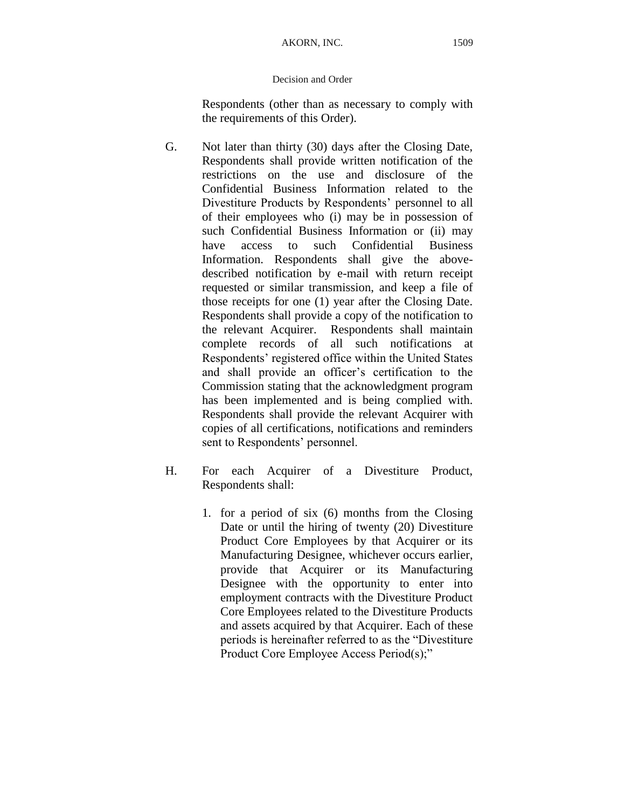Respondents (other than as necessary to comply with the requirements of this Order).

- G. Not later than thirty (30) days after the Closing Date, Respondents shall provide written notification of the restrictions on the use and disclosure of the Confidential Business Information related to the Divestiture Products by Respondents' personnel to all of their employees who (i) may be in possession of such Confidential Business Information or (ii) may have access to such Confidential Business Information. Respondents shall give the abovedescribed notification by e-mail with return receipt requested or similar transmission, and keep a file of those receipts for one (1) year after the Closing Date. Respondents shall provide a copy of the notification to the relevant Acquirer. Respondents shall maintain complete records of all such notifications at Respondents' registered office within the United States and shall provide an officer's certification to the Commission stating that the acknowledgment program has been implemented and is being complied with. Respondents shall provide the relevant Acquirer with copies of all certifications, notifications and reminders sent to Respondents' personnel.
- H. For each Acquirer of a Divestiture Product, Respondents shall:
	- 1. for a period of six (6) months from the Closing Date or until the hiring of twenty (20) Divestiture Product Core Employees by that Acquirer or its Manufacturing Designee, whichever occurs earlier, provide that Acquirer or its Manufacturing Designee with the opportunity to enter into employment contracts with the Divestiture Product Core Employees related to the Divestiture Products and assets acquired by that Acquirer. Each of these periods is hereinafter referred to as the "Divestiture Product Core Employee Access Period(s);"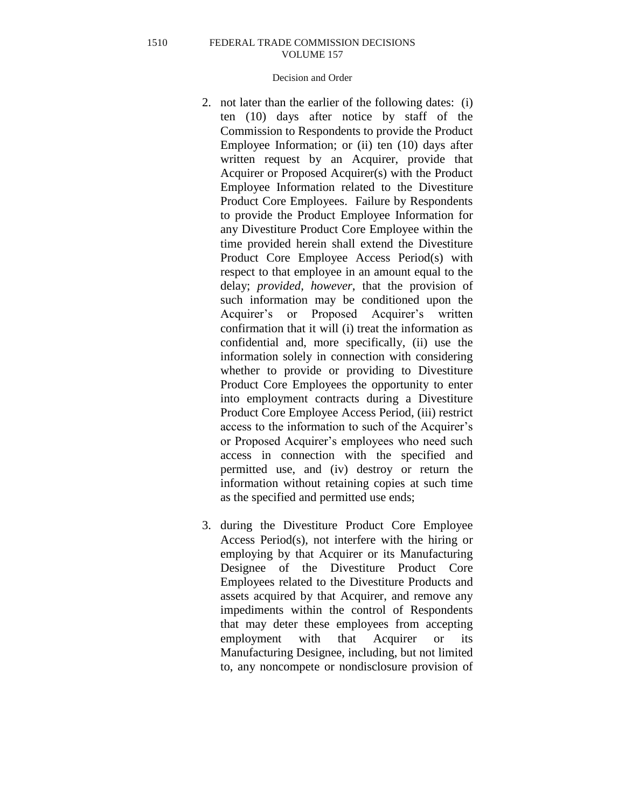- 2. not later than the earlier of the following dates: (i) ten (10) days after notice by staff of the Commission to Respondents to provide the Product Employee Information; or (ii) ten (10) days after written request by an Acquirer, provide that Acquirer or Proposed Acquirer(s) with the Product Employee Information related to the Divestiture Product Core Employees. Failure by Respondents to provide the Product Employee Information for any Divestiture Product Core Employee within the time provided herein shall extend the Divestiture Product Core Employee Access Period(s) with respect to that employee in an amount equal to the delay; *provided, however*, that the provision of such information may be conditioned upon the Acquirer's or Proposed Acquirer's written confirmation that it will (i) treat the information as confidential and, more specifically, (ii) use the information solely in connection with considering whether to provide or providing to Divestiture Product Core Employees the opportunity to enter into employment contracts during a Divestiture Product Core Employee Access Period, (iii) restrict access to the information to such of the Acquirer's or Proposed Acquirer's employees who need such access in connection with the specified and permitted use, and (iv) destroy or return the information without retaining copies at such time as the specified and permitted use ends;
- 3. during the Divestiture Product Core Employee Access Period(s), not interfere with the hiring or employing by that Acquirer or its Manufacturing Designee of the Divestiture Product Core Employees related to the Divestiture Products and assets acquired by that Acquirer, and remove any impediments within the control of Respondents that may deter these employees from accepting employment with that Acquirer or its Manufacturing Designee, including, but not limited to, any noncompete or nondisclosure provision of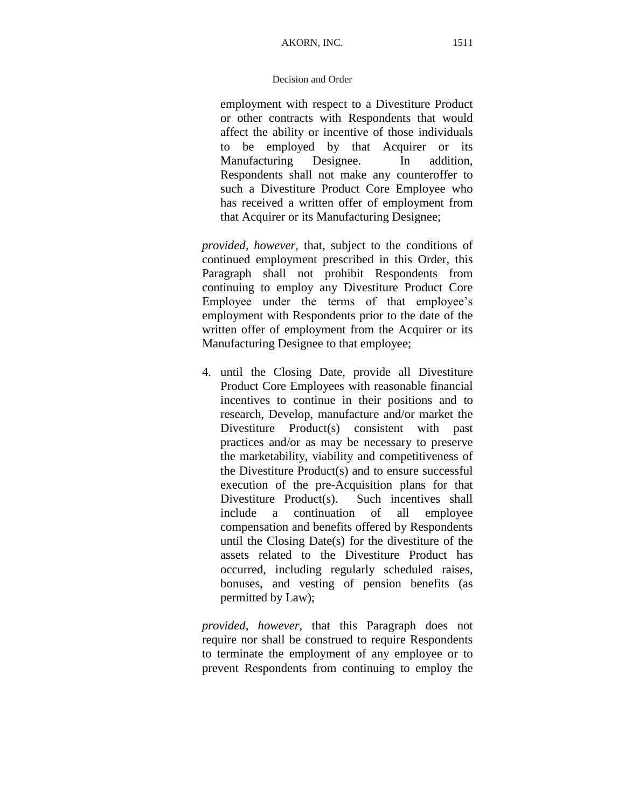employment with respect to a Divestiture Product or other contracts with Respondents that would affect the ability or incentive of those individuals to be employed by that Acquirer or its Manufacturing Designee. In addition, Respondents shall not make any counteroffer to such a Divestiture Product Core Employee who has received a written offer of employment from that Acquirer or its Manufacturing Designee;

*provided, however,* that, subject to the conditions of continued employment prescribed in this Order, this Paragraph shall not prohibit Respondents from continuing to employ any Divestiture Product Core Employee under the terms of that employee's employment with Respondents prior to the date of the written offer of employment from the Acquirer or its Manufacturing Designee to that employee;

4. until the Closing Date, provide all Divestiture Product Core Employees with reasonable financial incentives to continue in their positions and to research, Develop, manufacture and/or market the Divestiture Product(s) consistent with past practices and/or as may be necessary to preserve the marketability, viability and competitiveness of the Divestiture Product(s) and to ensure successful execution of the pre-Acquisition plans for that Divestiture Product(s). Such incentives shall include a continuation of all employee compensation and benefits offered by Respondents until the Closing Date(s) for the divestiture of the assets related to the Divestiture Product has occurred, including regularly scheduled raises, bonuses, and vesting of pension benefits (as permitted by Law);

*provided, however,* that this Paragraph does not require nor shall be construed to require Respondents to terminate the employment of any employee or to prevent Respondents from continuing to employ the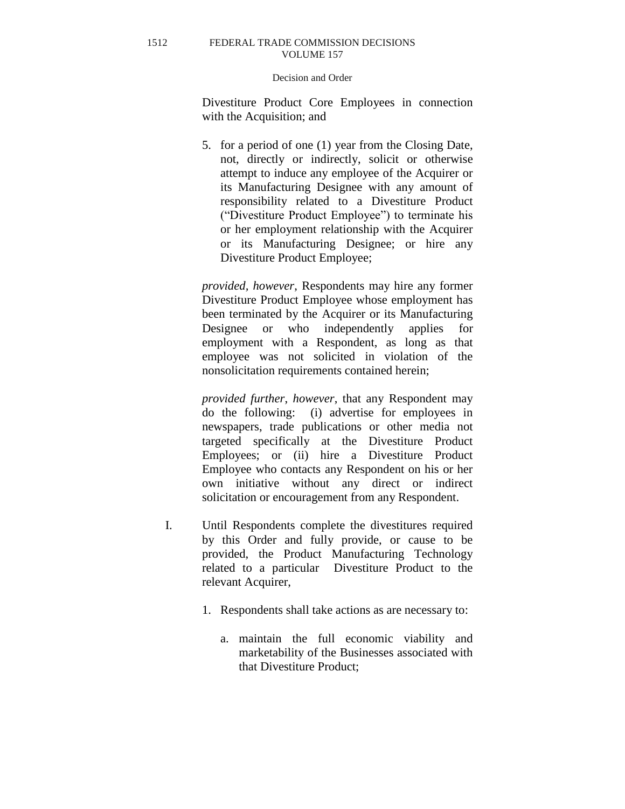### Decision and Order

Divestiture Product Core Employees in connection with the Acquisition; and

5. for a period of one (1) year from the Closing Date, not, directly or indirectly, solicit or otherwise attempt to induce any employee of the Acquirer or its Manufacturing Designee with any amount of responsibility related to a Divestiture Product ("Divestiture Product Employee") to terminate his or her employment relationship with the Acquirer or its Manufacturing Designee; or hire any Divestiture Product Employee;

*provided, however*, Respondents may hire any former Divestiture Product Employee whose employment has been terminated by the Acquirer or its Manufacturing Designee or who independently applies for employment with a Respondent, as long as that employee was not solicited in violation of the nonsolicitation requirements contained herein;

*provided further*, *however*, that any Respondent may do the following: (i) advertise for employees in newspapers, trade publications or other media not targeted specifically at the Divestiture Product Employees; or (ii) hire a Divestiture Product Employee who contacts any Respondent on his or her own initiative without any direct or indirect solicitation or encouragement from any Respondent.

- I. Until Respondents complete the divestitures required by this Order and fully provide, or cause to be provided, the Product Manufacturing Technology related to a particular Divestiture Product to the relevant Acquirer,
	- 1. Respondents shall take actions as are necessary to:
		- a. maintain the full economic viability and marketability of the Businesses associated with that Divestiture Product;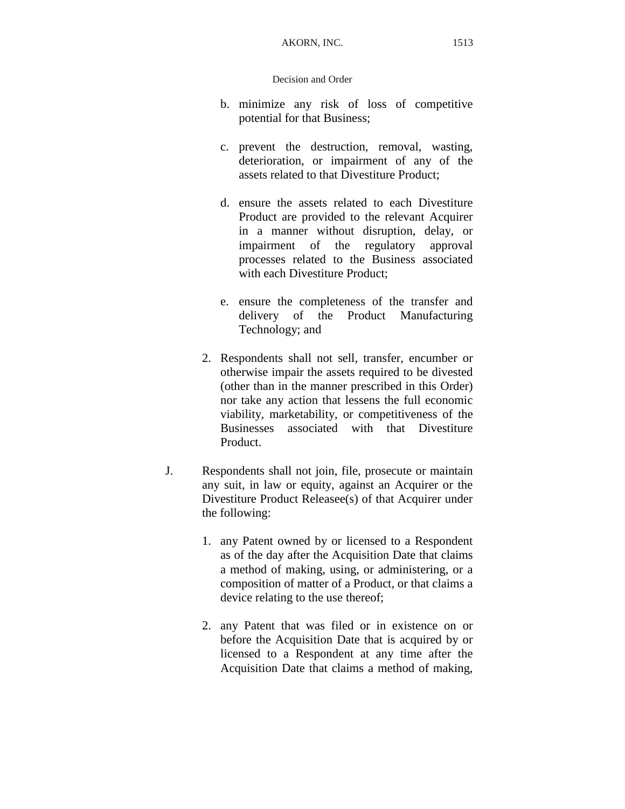- b. minimize any risk of loss of competitive potential for that Business;
- c. prevent the destruction, removal, wasting, deterioration, or impairment of any of the assets related to that Divestiture Product;
- d. ensure the assets related to each Divestiture Product are provided to the relevant Acquirer in a manner without disruption, delay, or impairment of the regulatory approval processes related to the Business associated with each Divestiture Product;
- e. ensure the completeness of the transfer and delivery of the Product Manufacturing Technology; and
- 2. Respondents shall not sell, transfer, encumber or otherwise impair the assets required to be divested (other than in the manner prescribed in this Order) nor take any action that lessens the full economic viability, marketability, or competitiveness of the Businesses associated with that Divestiture Product.
- J. Respondents shall not join, file, prosecute or maintain any suit, in law or equity, against an Acquirer or the Divestiture Product Releasee(s) of that Acquirer under the following:
	- 1. any Patent owned by or licensed to a Respondent as of the day after the Acquisition Date that claims a method of making, using, or administering, or a composition of matter of a Product, or that claims a device relating to the use thereof;
	- 2. any Patent that was filed or in existence on or before the Acquisition Date that is acquired by or licensed to a Respondent at any time after the Acquisition Date that claims a method of making,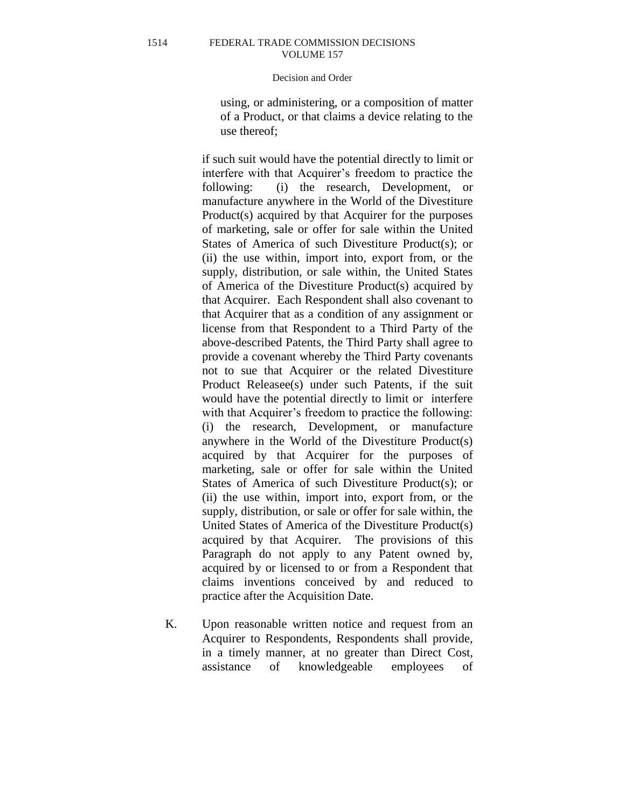# Decision and Order

using, or administering, or a composition of matter of a Product, or that claims a device relating to the use thereof;

if such suit would have the potential directly to limit or interfere with that Acquirer's freedom to practice the following: (i) the research, Development, or manufacture anywhere in the World of the Divestiture Product(s) acquired by that Acquirer for the purposes of marketing, sale or offer for sale within the United States of America of such Divestiture Product(s); or (ii) the use within, import into, export from, or the supply, distribution, or sale within, the United States of America of the Divestiture Product(s) acquired by that Acquirer. Each Respondent shall also covenant to that Acquirer that as a condition of any assignment or license from that Respondent to a Third Party of the above-described Patents, the Third Party shall agree to provide a covenant whereby the Third Party covenants not to sue that Acquirer or the related Divestiture Product Releasee(s) under such Patents, if the suit would have the potential directly to limit or interfere with that Acquirer's freedom to practice the following: (i) the research, Development, or manufacture anywhere in the World of the Divestiture Product(s) acquired by that Acquirer for the purposes of marketing, sale or offer for sale within the United States of America of such Divestiture Product(s); or (ii) the use within, import into, export from, or the supply, distribution, or sale or offer for sale within, the United States of America of the Divestiture Product(s) acquired by that Acquirer. The provisions of this Paragraph do not apply to any Patent owned by, acquired by or licensed to or from a Respondent that claims inventions conceived by and reduced to practice after the Acquisition Date.

K. Upon reasonable written notice and request from an Acquirer to Respondents, Respondents shall provide, in a timely manner, at no greater than Direct Cost, assistance of knowledgeable employees of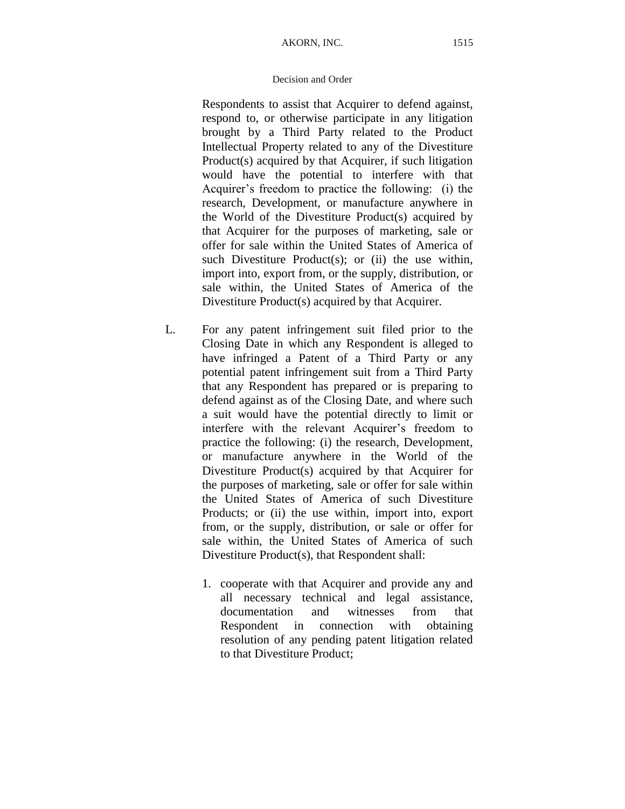Respondents to assist that Acquirer to defend against, respond to, or otherwise participate in any litigation brought by a Third Party related to the Product Intellectual Property related to any of the Divestiture Product(s) acquired by that Acquirer, if such litigation would have the potential to interfere with that Acquirer's freedom to practice the following: (i) the research, Development, or manufacture anywhere in the World of the Divestiture Product(s) acquired by that Acquirer for the purposes of marketing, sale or offer for sale within the United States of America of such Divestiture Product(s); or  $(ii)$  the use within, import into, export from, or the supply, distribution, or sale within, the United States of America of the Divestiture Product(s) acquired by that Acquirer.

- L. For any patent infringement suit filed prior to the Closing Date in which any Respondent is alleged to have infringed a Patent of a Third Party or any potential patent infringement suit from a Third Party that any Respondent has prepared or is preparing to defend against as of the Closing Date, and where such a suit would have the potential directly to limit or interfere with the relevant Acquirer's freedom to practice the following: (i) the research, Development, or manufacture anywhere in the World of the Divestiture Product(s) acquired by that Acquirer for the purposes of marketing, sale or offer for sale within the United States of America of such Divestiture Products; or (ii) the use within, import into, export from, or the supply, distribution, or sale or offer for sale within, the United States of America of such Divestiture Product(s), that Respondent shall:
	- 1. cooperate with that Acquirer and provide any and all necessary technical and legal assistance, documentation and witnesses from that Respondent in connection with obtaining resolution of any pending patent litigation related to that Divestiture Product;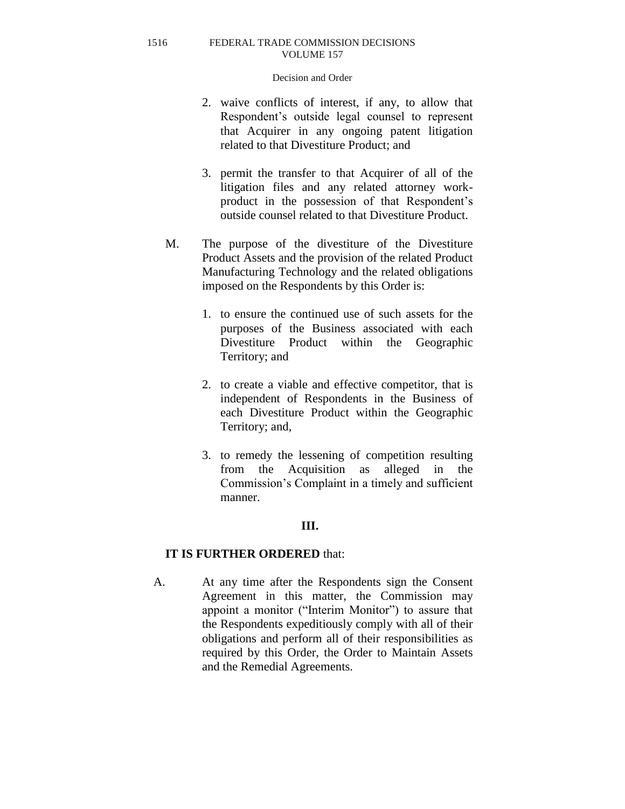### Decision and Order

- 2. waive conflicts of interest, if any, to allow that Respondent's outside legal counsel to represent that Acquirer in any ongoing patent litigation related to that Divestiture Product; and
- 3. permit the transfer to that Acquirer of all of the litigation files and any related attorney workproduct in the possession of that Respondent's outside counsel related to that Divestiture Product.
- M. The purpose of the divestiture of the Divestiture Product Assets and the provision of the related Product Manufacturing Technology and the related obligations imposed on the Respondents by this Order is:
	- 1. to ensure the continued use of such assets for the purposes of the Business associated with each Divestiture Product within the Geographic Territory; and
	- 2. to create a viable and effective competitor, that is independent of Respondents in the Business of each Divestiture Product within the Geographic Territory; and,
	- 3. to remedy the lessening of competition resulting from the Acquisition as alleged in the Commission's Complaint in a timely and sufficient manner.

# **III.**

# **IT IS FURTHER ORDERED** that:

A. At any time after the Respondents sign the Consent Agreement in this matter, the Commission may appoint a monitor ("Interim Monitor") to assure that the Respondents expeditiously comply with all of their obligations and perform all of their responsibilities as required by this Order, the Order to Maintain Assets and the Remedial Agreements.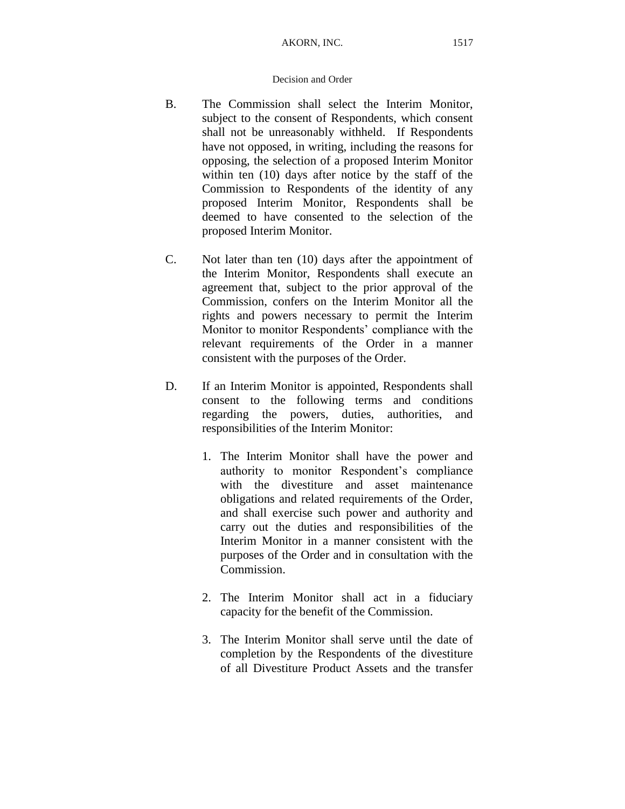- B. The Commission shall select the Interim Monitor, subject to the consent of Respondents, which consent shall not be unreasonably withheld. If Respondents have not opposed, in writing, including the reasons for opposing, the selection of a proposed Interim Monitor within ten (10) days after notice by the staff of the Commission to Respondents of the identity of any proposed Interim Monitor, Respondents shall be deemed to have consented to the selection of the proposed Interim Monitor.
- C. Not later than ten (10) days after the appointment of the Interim Monitor, Respondents shall execute an agreement that, subject to the prior approval of the Commission, confers on the Interim Monitor all the rights and powers necessary to permit the Interim Monitor to monitor Respondents' compliance with the relevant requirements of the Order in a manner consistent with the purposes of the Order.
- D. If an Interim Monitor is appointed, Respondents shall consent to the following terms and conditions regarding the powers, duties, authorities, and responsibilities of the Interim Monitor:
	- 1. The Interim Monitor shall have the power and authority to monitor Respondent's compliance with the divestiture and asset maintenance obligations and related requirements of the Order, and shall exercise such power and authority and carry out the duties and responsibilities of the Interim Monitor in a manner consistent with the purposes of the Order and in consultation with the Commission.
	- 2. The Interim Monitor shall act in a fiduciary capacity for the benefit of the Commission.
	- 3. The Interim Monitor shall serve until the date of completion by the Respondents of the divestiture of all Divestiture Product Assets and the transfer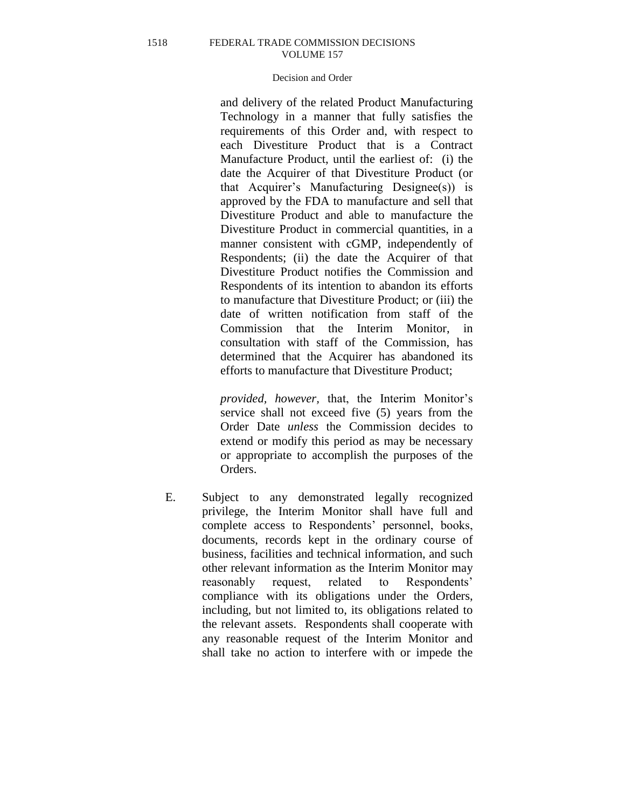# Decision and Order

and delivery of the related Product Manufacturing Technology in a manner that fully satisfies the requirements of this Order and, with respect to each Divestiture Product that is a Contract Manufacture Product, until the earliest of: (i) the date the Acquirer of that Divestiture Product (or that Acquirer's Manufacturing Designee(s)) is approved by the FDA to manufacture and sell that Divestiture Product and able to manufacture the Divestiture Product in commercial quantities, in a manner consistent with cGMP, independently of Respondents; (ii) the date the Acquirer of that Divestiture Product notifies the Commission and Respondents of its intention to abandon its efforts to manufacture that Divestiture Product; or (iii) the date of written notification from staff of the Commission that the Interim Monitor, in consultation with staff of the Commission, has determined that the Acquirer has abandoned its efforts to manufacture that Divestiture Product;

*provided, however,* that, the Interim Monitor's service shall not exceed five (5) years from the Order Date *unless* the Commission decides to extend or modify this period as may be necessary or appropriate to accomplish the purposes of the Orders.

E. Subject to any demonstrated legally recognized privilege, the Interim Monitor shall have full and complete access to Respondents' personnel, books, documents, records kept in the ordinary course of business, facilities and technical information, and such other relevant information as the Interim Monitor may reasonably request, related to Respondents' compliance with its obligations under the Orders, including, but not limited to, its obligations related to the relevant assets. Respondents shall cooperate with any reasonable request of the Interim Monitor and shall take no action to interfere with or impede the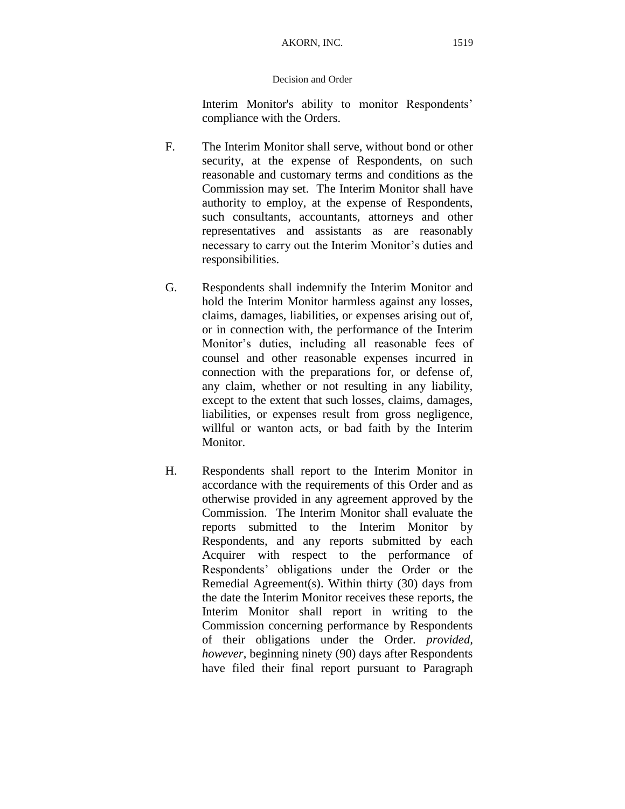Interim Monitor's ability to monitor Respondents' compliance with the Orders.

- F. The Interim Monitor shall serve, without bond or other security, at the expense of Respondents, on such reasonable and customary terms and conditions as the Commission may set. The Interim Monitor shall have authority to employ, at the expense of Respondents, such consultants, accountants, attorneys and other representatives and assistants as are reasonably necessary to carry out the Interim Monitor's duties and responsibilities.
- G. Respondents shall indemnify the Interim Monitor and hold the Interim Monitor harmless against any losses, claims, damages, liabilities, or expenses arising out of, or in connection with, the performance of the Interim Monitor's duties, including all reasonable fees of counsel and other reasonable expenses incurred in connection with the preparations for, or defense of, any claim, whether or not resulting in any liability, except to the extent that such losses, claims, damages, liabilities, or expenses result from gross negligence, willful or wanton acts, or bad faith by the Interim Monitor.
- H. Respondents shall report to the Interim Monitor in accordance with the requirements of this Order and as otherwise provided in any agreement approved by the Commission. The Interim Monitor shall evaluate the reports submitted to the Interim Monitor by Respondents, and any reports submitted by each Acquirer with respect to the performance of Respondents' obligations under the Order or the Remedial Agreement(s). Within thirty (30) days from the date the Interim Monitor receives these reports, the Interim Monitor shall report in writing to the Commission concerning performance by Respondents of their obligations under the Order. *provided, however*, beginning ninety (90) days after Respondents have filed their final report pursuant to Paragraph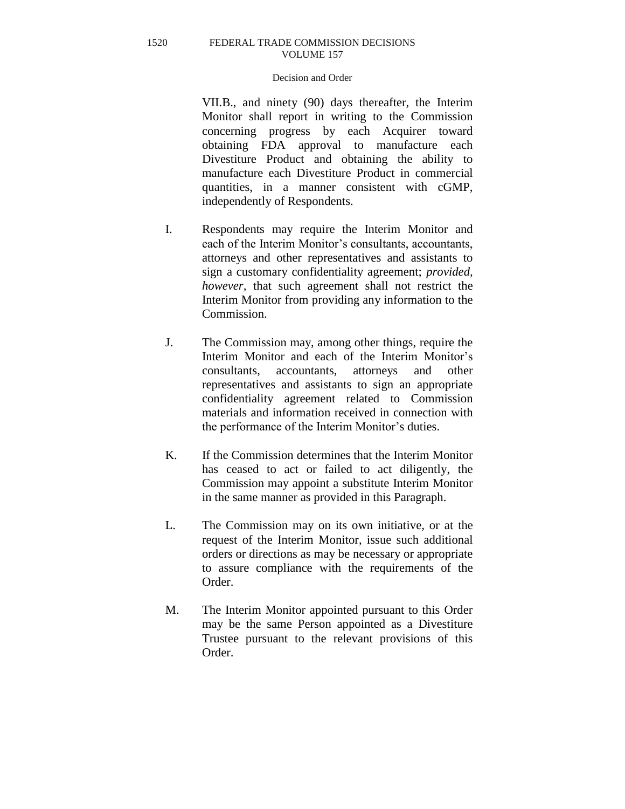## Decision and Order

VII.B., and ninety (90) days thereafter, the Interim Monitor shall report in writing to the Commission concerning progress by each Acquirer toward obtaining FDA approval to manufacture each Divestiture Product and obtaining the ability to manufacture each Divestiture Product in commercial quantities, in a manner consistent with cGMP, independently of Respondents.

- I. Respondents may require the Interim Monitor and each of the Interim Monitor's consultants, accountants, attorneys and other representatives and assistants to sign a customary confidentiality agreement; *provided, however,* that such agreement shall not restrict the Interim Monitor from providing any information to the Commission.
- J. The Commission may, among other things, require the Interim Monitor and each of the Interim Monitor's consultants, accountants, attorneys and other representatives and assistants to sign an appropriate confidentiality agreement related to Commission materials and information received in connection with the performance of the Interim Monitor's duties.
- K. If the Commission determines that the Interim Monitor has ceased to act or failed to act diligently, the Commission may appoint a substitute Interim Monitor in the same manner as provided in this Paragraph.
- L. The Commission may on its own initiative, or at the request of the Interim Monitor, issue such additional orders or directions as may be necessary or appropriate to assure compliance with the requirements of the Order.
- M. The Interim Monitor appointed pursuant to this Order may be the same Person appointed as a Divestiture Trustee pursuant to the relevant provisions of this Order.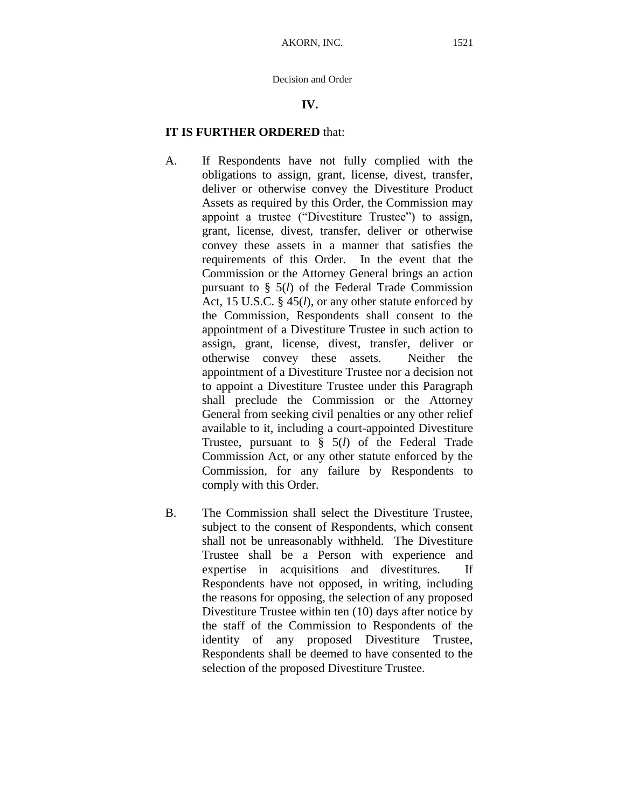# **IV.**

# **IT IS FURTHER ORDERED** that:

- A. If Respondents have not fully complied with the obligations to assign, grant, license, divest, transfer, deliver or otherwise convey the Divestiture Product Assets as required by this Order, the Commission may appoint a trustee ("Divestiture Trustee") to assign, grant, license, divest, transfer, deliver or otherwise convey these assets in a manner that satisfies the requirements of this Order. In the event that the Commission or the Attorney General brings an action pursuant to § 5(*l*) of the Federal Trade Commission Act, 15 U.S.C. § 45(*l*), or any other statute enforced by the Commission, Respondents shall consent to the appointment of a Divestiture Trustee in such action to assign, grant, license, divest, transfer, deliver or otherwise convey these assets. Neither the appointment of a Divestiture Trustee nor a decision not to appoint a Divestiture Trustee under this Paragraph shall preclude the Commission or the Attorney General from seeking civil penalties or any other relief available to it, including a court-appointed Divestiture Trustee, pursuant to § 5(*l*) of the Federal Trade Commission Act, or any other statute enforced by the Commission, for any failure by Respondents to comply with this Order.
- B. The Commission shall select the Divestiture Trustee, subject to the consent of Respondents, which consent shall not be unreasonably withheld. The Divestiture Trustee shall be a Person with experience and expertise in acquisitions and divestitures. If Respondents have not opposed, in writing, including the reasons for opposing, the selection of any proposed Divestiture Trustee within ten (10) days after notice by the staff of the Commission to Respondents of the identity of any proposed Divestiture Trustee, Respondents shall be deemed to have consented to the selection of the proposed Divestiture Trustee.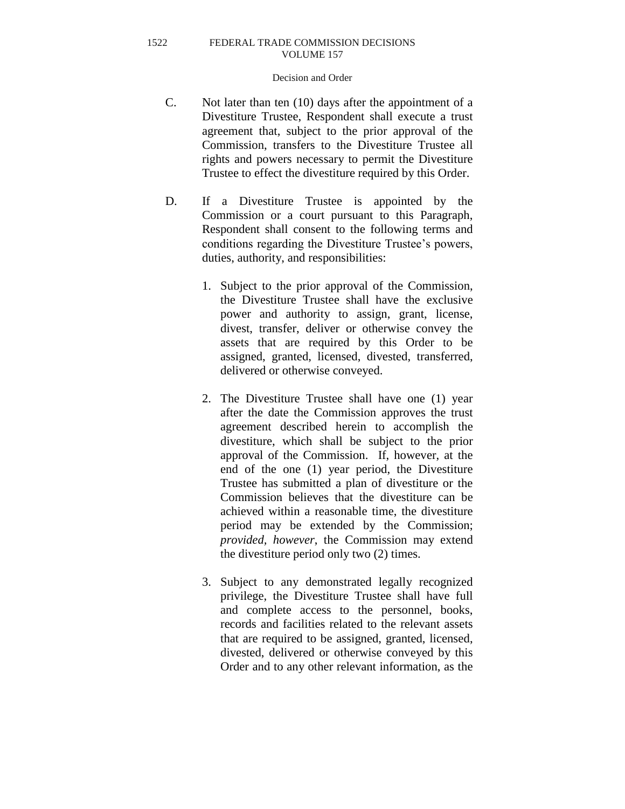## Decision and Order

- C. Not later than ten (10) days after the appointment of a Divestiture Trustee, Respondent shall execute a trust agreement that, subject to the prior approval of the Commission, transfers to the Divestiture Trustee all rights and powers necessary to permit the Divestiture Trustee to effect the divestiture required by this Order.
- D. If a Divestiture Trustee is appointed by the Commission or a court pursuant to this Paragraph, Respondent shall consent to the following terms and conditions regarding the Divestiture Trustee's powers, duties, authority, and responsibilities:
	- 1. Subject to the prior approval of the Commission, the Divestiture Trustee shall have the exclusive power and authority to assign, grant, license, divest, transfer, deliver or otherwise convey the assets that are required by this Order to be assigned, granted, licensed, divested, transferred, delivered or otherwise conveyed.
	- 2. The Divestiture Trustee shall have one (1) year after the date the Commission approves the trust agreement described herein to accomplish the divestiture, which shall be subject to the prior approval of the Commission. If, however, at the end of the one (1) year period, the Divestiture Trustee has submitted a plan of divestiture or the Commission believes that the divestiture can be achieved within a reasonable time, the divestiture period may be extended by the Commission; *provided, however*, the Commission may extend the divestiture period only two (2) times.
	- 3. Subject to any demonstrated legally recognized privilege, the Divestiture Trustee shall have full and complete access to the personnel, books, records and facilities related to the relevant assets that are required to be assigned, granted, licensed, divested, delivered or otherwise conveyed by this Order and to any other relevant information, as the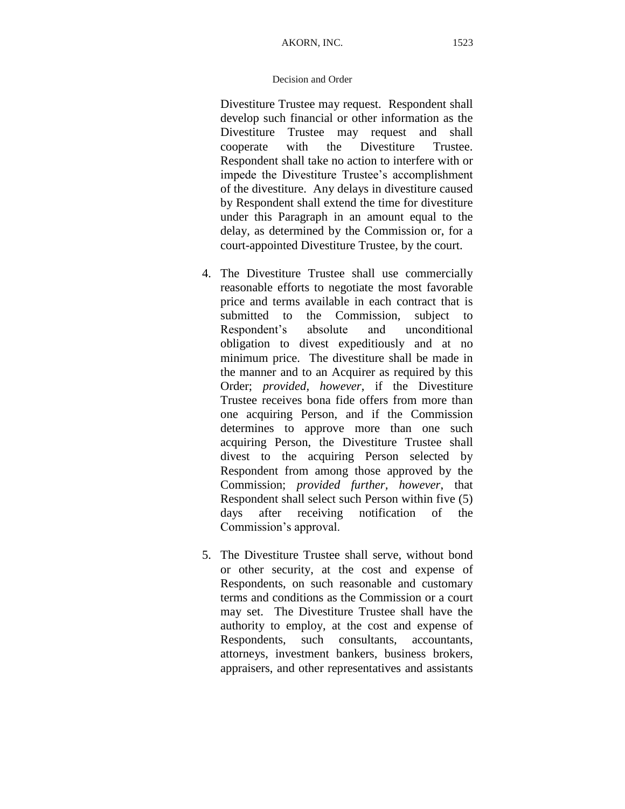Divestiture Trustee may request. Respondent shall develop such financial or other information as the Divestiture Trustee may request and shall cooperate with the Divestiture Trustee. Respondent shall take no action to interfere with or impede the Divestiture Trustee's accomplishment of the divestiture. Any delays in divestiture caused by Respondent shall extend the time for divestiture under this Paragraph in an amount equal to the delay, as determined by the Commission or, for a court-appointed Divestiture Trustee, by the court.

- 4. The Divestiture Trustee shall use commercially reasonable efforts to negotiate the most favorable price and terms available in each contract that is submitted to the Commission, subject to Respondent's absolute and unconditional obligation to divest expeditiously and at no minimum price. The divestiture shall be made in the manner and to an Acquirer as required by this Order; *provided, however*, if the Divestiture Trustee receives bona fide offers from more than one acquiring Person, and if the Commission determines to approve more than one such acquiring Person, the Divestiture Trustee shall divest to the acquiring Person selected by Respondent from among those approved by the Commission; *provided further, however*, that Respondent shall select such Person within five (5) days after receiving notification of the Commission's approval.
- 5. The Divestiture Trustee shall serve, without bond or other security, at the cost and expense of Respondents, on such reasonable and customary terms and conditions as the Commission or a court may set. The Divestiture Trustee shall have the authority to employ, at the cost and expense of Respondents, such consultants, accountants, attorneys, investment bankers, business brokers, appraisers, and other representatives and assistants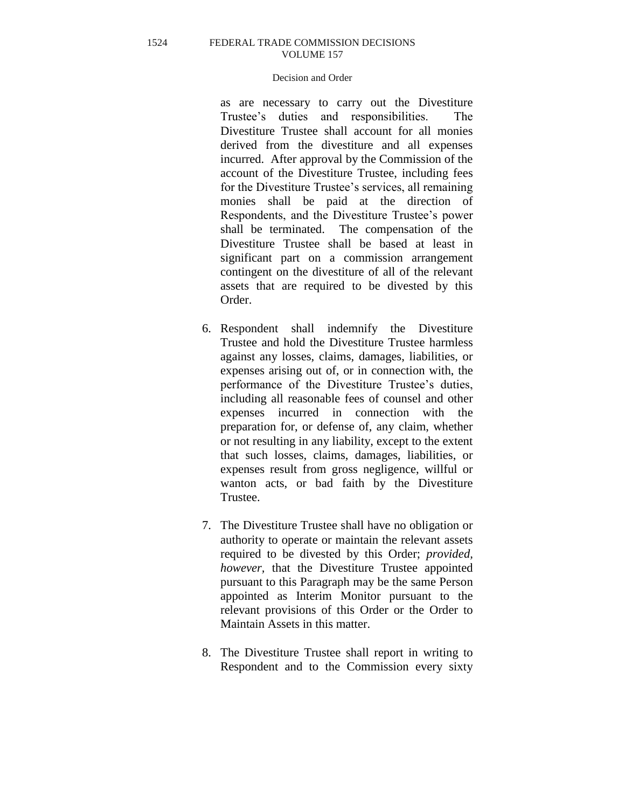# Decision and Order

as are necessary to carry out the Divestiture Trustee's duties and responsibilities. The Divestiture Trustee shall account for all monies derived from the divestiture and all expenses incurred. After approval by the Commission of the account of the Divestiture Trustee, including fees for the Divestiture Trustee's services, all remaining monies shall be paid at the direction of Respondents, and the Divestiture Trustee's power shall be terminated. The compensation of the Divestiture Trustee shall be based at least in significant part on a commission arrangement contingent on the divestiture of all of the relevant assets that are required to be divested by this Order.

- 6. Respondent shall indemnify the Divestiture Trustee and hold the Divestiture Trustee harmless against any losses, claims, damages, liabilities, or expenses arising out of, or in connection with, the performance of the Divestiture Trustee's duties, including all reasonable fees of counsel and other expenses incurred in connection with the preparation for, or defense of, any claim, whether or not resulting in any liability, except to the extent that such losses, claims, damages, liabilities, or expenses result from gross negligence, willful or wanton acts, or bad faith by the Divestiture Trustee.
- 7. The Divestiture Trustee shall have no obligation or authority to operate or maintain the relevant assets required to be divested by this Order; *provided, however,* that the Divestiture Trustee appointed pursuant to this Paragraph may be the same Person appointed as Interim Monitor pursuant to the relevant provisions of this Order or the Order to Maintain Assets in this matter.
- 8. The Divestiture Trustee shall report in writing to Respondent and to the Commission every sixty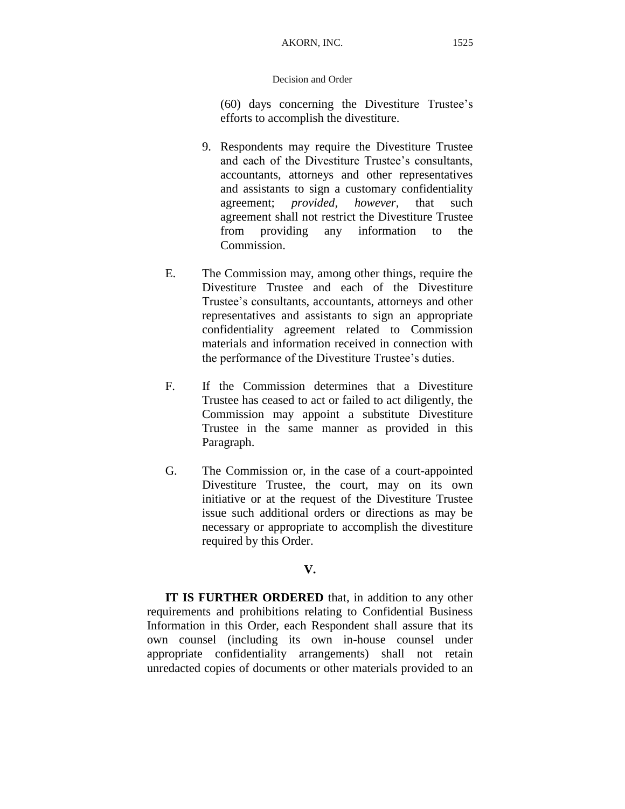(60) days concerning the Divestiture Trustee's efforts to accomplish the divestiture.

- 9. Respondents may require the Divestiture Trustee and each of the Divestiture Trustee's consultants, accountants, attorneys and other representatives and assistants to sign a customary confidentiality agreement; *provided, however,* that such agreement shall not restrict the Divestiture Trustee from providing any information to the Commission.
- E. The Commission may, among other things, require the Divestiture Trustee and each of the Divestiture Trustee's consultants, accountants, attorneys and other representatives and assistants to sign an appropriate confidentiality agreement related to Commission materials and information received in connection with the performance of the Divestiture Trustee's duties.
- F. If the Commission determines that a Divestiture Trustee has ceased to act or failed to act diligently, the Commission may appoint a substitute Divestiture Trustee in the same manner as provided in this Paragraph.
- G. The Commission or, in the case of a court-appointed Divestiture Trustee, the court, may on its own initiative or at the request of the Divestiture Trustee issue such additional orders or directions as may be necessary or appropriate to accomplish the divestiture required by this Order.

# **V.**

**IT IS FURTHER ORDERED** that, in addition to any other requirements and prohibitions relating to Confidential Business Information in this Order, each Respondent shall assure that its own counsel (including its own in-house counsel under appropriate confidentiality arrangements) shall not retain unredacted copies of documents or other materials provided to an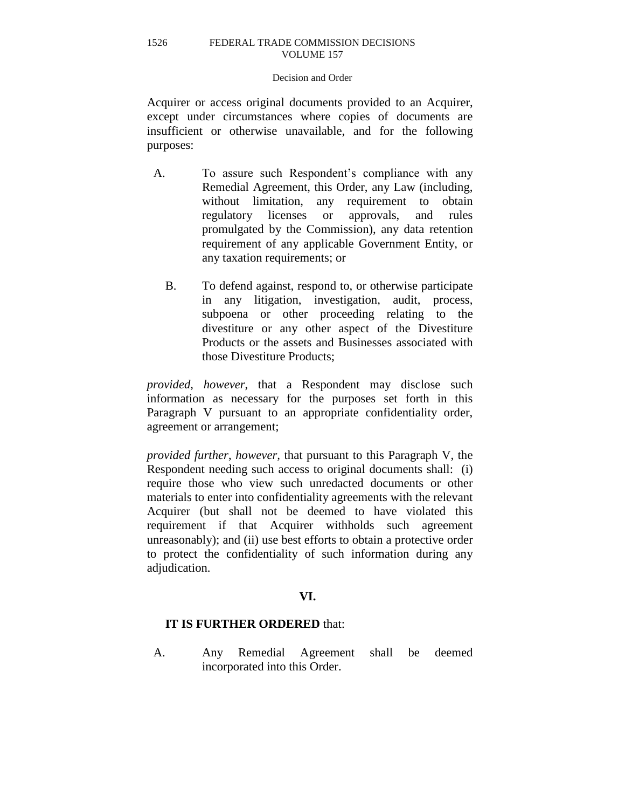## Decision and Order

Acquirer or access original documents provided to an Acquirer, except under circumstances where copies of documents are insufficient or otherwise unavailable, and for the following purposes:

- A. To assure such Respondent's compliance with any Remedial Agreement, this Order, any Law (including, without limitation, any requirement to obtain regulatory licenses or approvals, and rules promulgated by the Commission), any data retention requirement of any applicable Government Entity, or any taxation requirements; or
	- B. To defend against, respond to, or otherwise participate in any litigation, investigation, audit, process, subpoena or other proceeding relating to the divestiture or any other aspect of the Divestiture Products or the assets and Businesses associated with those Divestiture Products;

*provided*, *however*, that a Respondent may disclose such information as necessary for the purposes set forth in this Paragraph V pursuant to an appropriate confidentiality order, agreement or arrangement;

*provided further*, *however,* that pursuant to this Paragraph V, the Respondent needing such access to original documents shall: (i) require those who view such unredacted documents or other materials to enter into confidentiality agreements with the relevant Acquirer (but shall not be deemed to have violated this requirement if that Acquirer withholds such agreement unreasonably); and (ii) use best efforts to obtain a protective order to protect the confidentiality of such information during any adjudication.

# **VI.**

# **IT IS FURTHER ORDERED** that:

A. Any Remedial Agreement shall be deemed incorporated into this Order.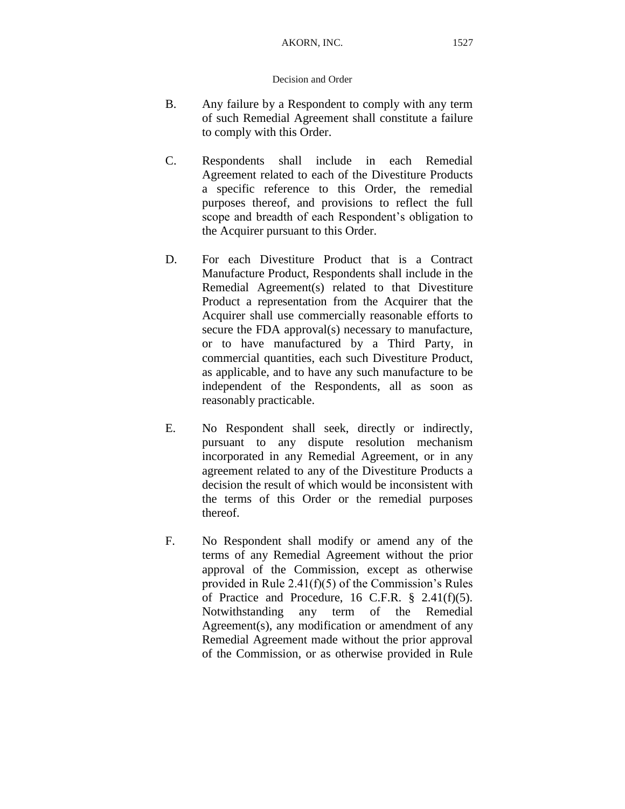- B. Any failure by a Respondent to comply with any term of such Remedial Agreement shall constitute a failure to comply with this Order.
- C. Respondents shall include in each Remedial Agreement related to each of the Divestiture Products a specific reference to this Order, the remedial purposes thereof, and provisions to reflect the full scope and breadth of each Respondent's obligation to the Acquirer pursuant to this Order.
- D. For each Divestiture Product that is a Contract Manufacture Product, Respondents shall include in the Remedial Agreement(s) related to that Divestiture Product a representation from the Acquirer that the Acquirer shall use commercially reasonable efforts to secure the FDA approval(s) necessary to manufacture, or to have manufactured by a Third Party, in commercial quantities, each such Divestiture Product, as applicable, and to have any such manufacture to be independent of the Respondents, all as soon as reasonably practicable.
- E. No Respondent shall seek, directly or indirectly, pursuant to any dispute resolution mechanism incorporated in any Remedial Agreement, or in any agreement related to any of the Divestiture Products a decision the result of which would be inconsistent with the terms of this Order or the remedial purposes thereof.
- F. No Respondent shall modify or amend any of the terms of any Remedial Agreement without the prior approval of the Commission, except as otherwise provided in Rule 2.41(f)(5) of the Commission's Rules of Practice and Procedure, 16 C.F.R.  $\S$  2.41(f)(5). Notwithstanding any term of the Remedial Agreement(s), any modification or amendment of any Remedial Agreement made without the prior approval of the Commission, or as otherwise provided in Rule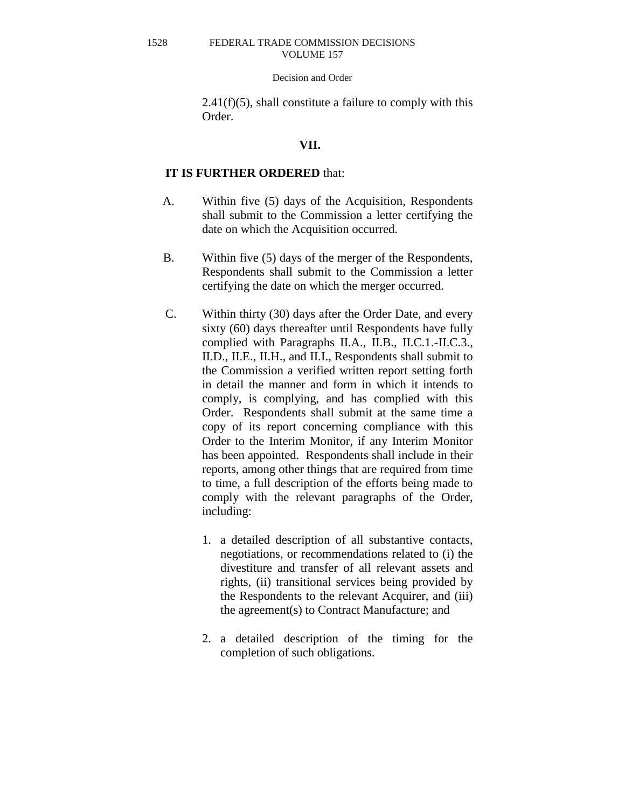#### Decision and Order

 $2.41(f)(5)$ , shall constitute a failure to comply with this Order.

# **VII.**

# **IT IS FURTHER ORDERED** that:

- A. Within five (5) days of the Acquisition, Respondents shall submit to the Commission a letter certifying the date on which the Acquisition occurred.
- B. Within five (5) days of the merger of the Respondents, Respondents shall submit to the Commission a letter certifying the date on which the merger occurred.
- C. Within thirty (30) days after the Order Date, and every sixty (60) days thereafter until Respondents have fully complied with Paragraphs II.A., II.B., II.C.1.-II.C.3., II.D., II.E., II.H., and II.I., Respondents shall submit to the Commission a verified written report setting forth in detail the manner and form in which it intends to comply, is complying, and has complied with this Order. Respondents shall submit at the same time a copy of its report concerning compliance with this Order to the Interim Monitor, if any Interim Monitor has been appointed. Respondents shall include in their reports, among other things that are required from time to time, a full description of the efforts being made to comply with the relevant paragraphs of the Order, including:
	- 1. a detailed description of all substantive contacts, negotiations, or recommendations related to (i) the divestiture and transfer of all relevant assets and rights, (ii) transitional services being provided by the Respondents to the relevant Acquirer, and (iii) the agreement(s) to Contract Manufacture; and
	- 2. a detailed description of the timing for the completion of such obligations.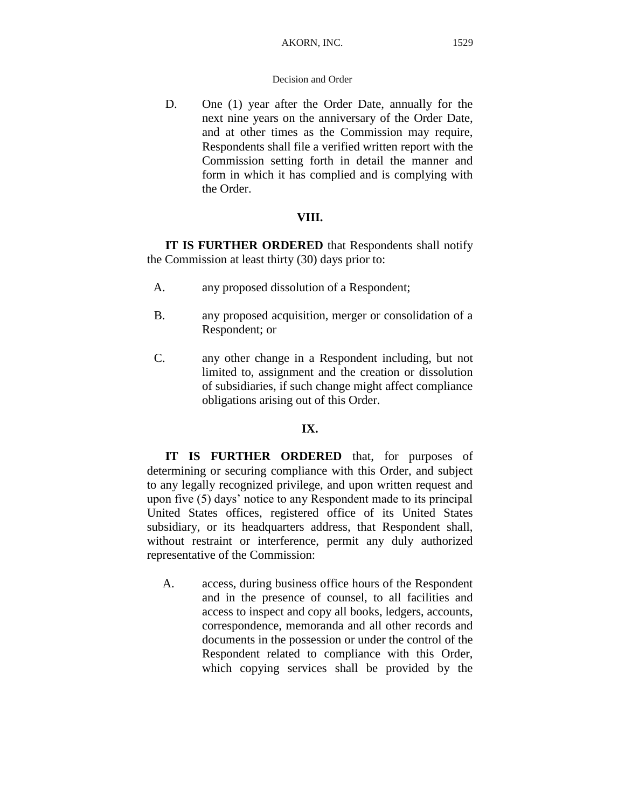D. One (1) year after the Order Date, annually for the next nine years on the anniversary of the Order Date, and at other times as the Commission may require, Respondents shall file a verified written report with the Commission setting forth in detail the manner and form in which it has complied and is complying with the Order.

# **VIII.**

**IT IS FURTHER ORDERED** that Respondents shall notify the Commission at least thirty (30) days prior to:

- A. any proposed dissolution of a Respondent;
- B. any proposed acquisition, merger or consolidation of a Respondent; or
- C. any other change in a Respondent including, but not limited to, assignment and the creation or dissolution of subsidiaries, if such change might affect compliance obligations arising out of this Order.

# **IX.**

**IT IS FURTHER ORDERED** that, for purposes of determining or securing compliance with this Order, and subject to any legally recognized privilege, and upon written request and upon five (5) days' notice to any Respondent made to its principal United States offices, registered office of its United States subsidiary, or its headquarters address, that Respondent shall, without restraint or interference, permit any duly authorized representative of the Commission:

A. access, during business office hours of the Respondent and in the presence of counsel, to all facilities and access to inspect and copy all books, ledgers, accounts, correspondence, memoranda and all other records and documents in the possession or under the control of the Respondent related to compliance with this Order, which copying services shall be provided by the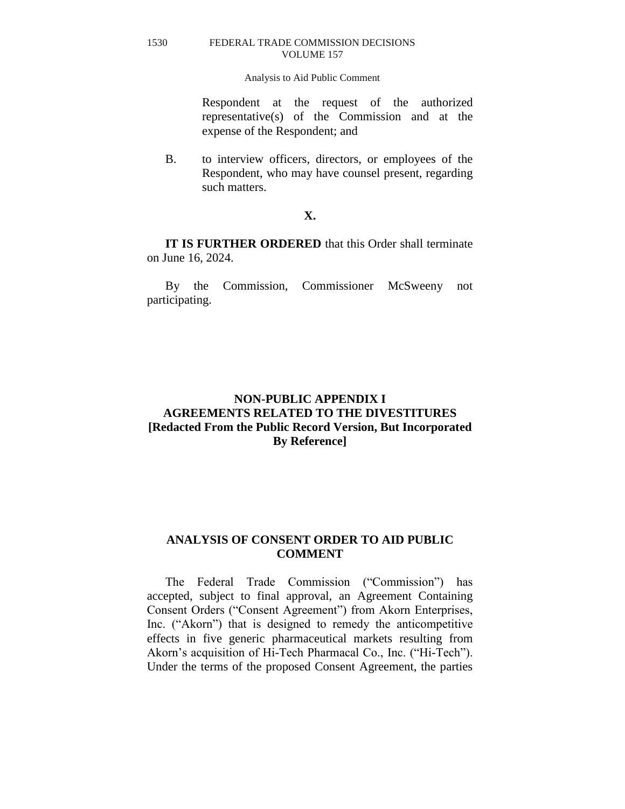# Analysis to Aid Public Comment

Respondent at the request of the authorized representative(s) of the Commission and at the expense of the Respondent; and

B. to interview officers, directors, or employees of the Respondent, who may have counsel present, regarding such matters.

# **X.**

**IT IS FURTHER ORDERED** that this Order shall terminate on June 16, 2024.

By the Commission, Commissioner McSweeny not participating.

# **NON-PUBLIC APPENDIX I AGREEMENTS RELATED TO THE DIVESTITURES [Redacted From the Public Record Version, But Incorporated By Reference]**

# **ANALYSIS OF CONSENT ORDER TO AID PUBLIC COMMENT**

The Federal Trade Commission ("Commission") has accepted, subject to final approval, an Agreement Containing Consent Orders ("Consent Agreement") from Akorn Enterprises, Inc. ("Akorn") that is designed to remedy the anticompetitive effects in five generic pharmaceutical markets resulting from Akorn's acquisition of Hi-Tech Pharmacal Co., Inc. ("Hi-Tech"). Under the terms of the proposed Consent Agreement, the parties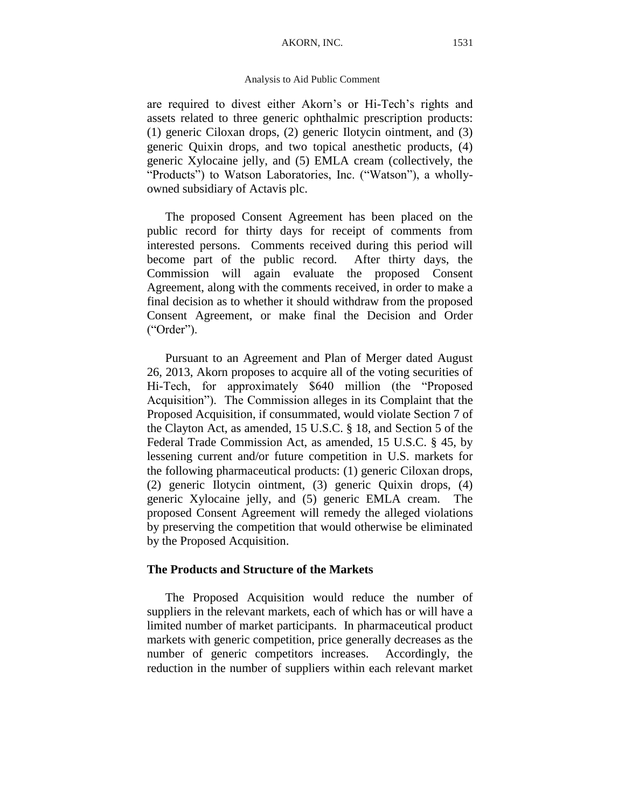#### AKORN, INC. 1531

# Analysis to Aid Public Comment

are required to divest either Akorn's or Hi-Tech's rights and assets related to three generic ophthalmic prescription products: (1) generic Ciloxan drops, (2) generic Ilotycin ointment, and (3) generic Quixin drops, and two topical anesthetic products, (4) generic Xylocaine jelly, and (5) EMLA cream (collectively, the "Products") to Watson Laboratories, Inc. ("Watson"), a whollyowned subsidiary of Actavis plc.

The proposed Consent Agreement has been placed on the public record for thirty days for receipt of comments from interested persons. Comments received during this period will become part of the public record. After thirty days, the Commission will again evaluate the proposed Consent Agreement, along with the comments received, in order to make a final decision as to whether it should withdraw from the proposed Consent Agreement, or make final the Decision and Order ("Order").

Pursuant to an Agreement and Plan of Merger dated August 26, 2013, Akorn proposes to acquire all of the voting securities of Hi-Tech, for approximately \$640 million (the "Proposed Acquisition"). The Commission alleges in its Complaint that the Proposed Acquisition, if consummated, would violate Section 7 of the Clayton Act, as amended, 15 U.S.C. § 18, and Section 5 of the Federal Trade Commission Act, as amended, 15 U.S.C. § 45, by lessening current and/or future competition in U.S. markets for the following pharmaceutical products: (1) generic Ciloxan drops, (2) generic Ilotycin ointment, (3) generic Quixin drops, (4) generic Xylocaine jelly, and (5) generic EMLA cream. The proposed Consent Agreement will remedy the alleged violations by preserving the competition that would otherwise be eliminated by the Proposed Acquisition.

# **The Products and Structure of the Markets**

The Proposed Acquisition would reduce the number of suppliers in the relevant markets, each of which has or will have a limited number of market participants. In pharmaceutical product markets with generic competition, price generally decreases as the number of generic competitors increases. Accordingly, the reduction in the number of suppliers within each relevant market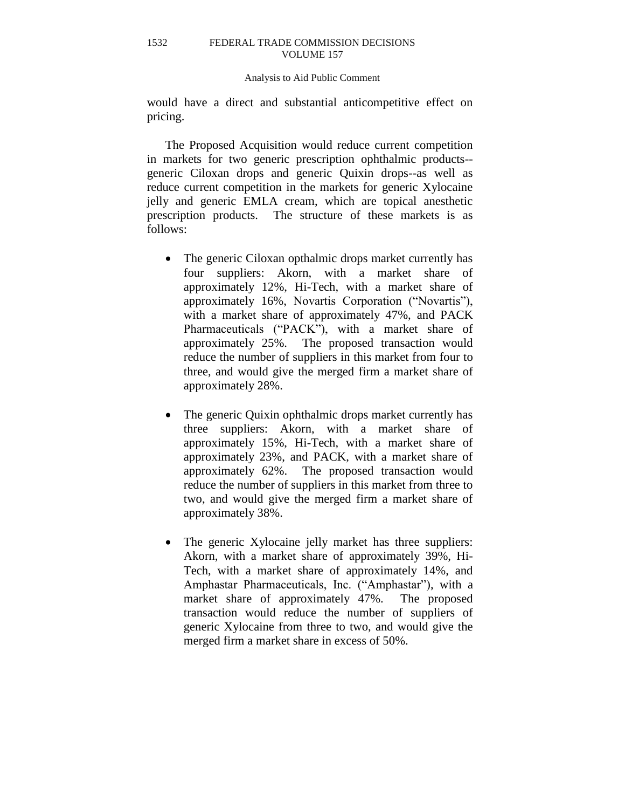#### Analysis to Aid Public Comment

would have a direct and substantial anticompetitive effect on pricing.

The Proposed Acquisition would reduce current competition in markets for two generic prescription ophthalmic products- generic Ciloxan drops and generic Quixin drops--as well as reduce current competition in the markets for generic Xylocaine jelly and generic EMLA cream, which are topical anesthetic prescription products. The structure of these markets is as follows:

- The generic Ciloxan opthalmic drops market currently has four suppliers: Akorn, with a market share of approximately 12%, Hi-Tech, with a market share of approximately 16%, Novartis Corporation ("Novartis"), with a market share of approximately 47%, and PACK Pharmaceuticals ("PACK"), with a market share of approximately 25%. The proposed transaction would reduce the number of suppliers in this market from four to three, and would give the merged firm a market share of approximately 28%.
- The generic Quixin ophthalmic drops market currently has three suppliers: Akorn, with a market share of approximately 15%, Hi-Tech, with a market share of approximately 23%, and PACK, with a market share of approximately 62%. The proposed transaction would reduce the number of suppliers in this market from three to two, and would give the merged firm a market share of approximately 38%.
- The generic Xylocaine jelly market has three suppliers: Akorn, with a market share of approximately 39%, Hi-Tech, with a market share of approximately 14%, and Amphastar Pharmaceuticals, Inc. ("Amphastar"), with a market share of approximately 47%. The proposed transaction would reduce the number of suppliers of generic Xylocaine from three to two, and would give the merged firm a market share in excess of 50%.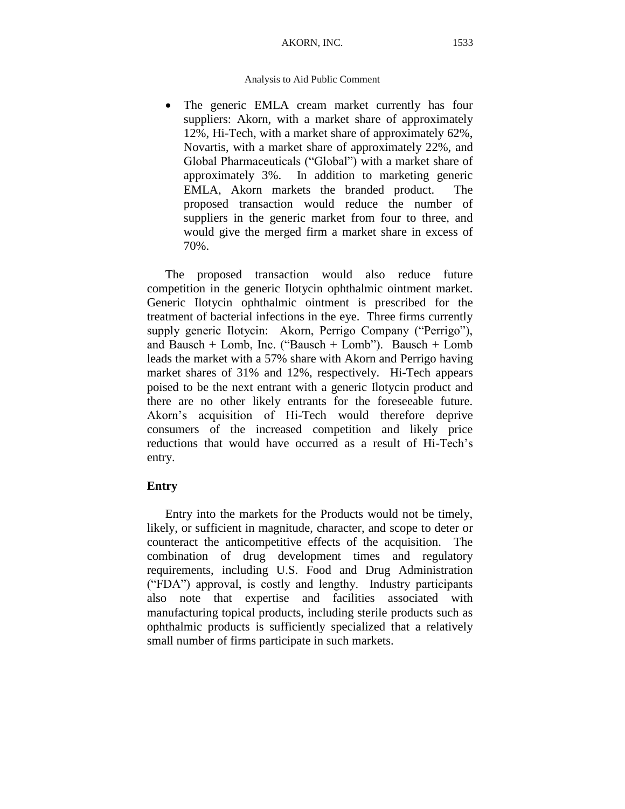## AKORN, INC. 1533

# Analysis to Aid Public Comment

 The generic EMLA cream market currently has four suppliers: Akorn, with a market share of approximately 12%, Hi-Tech, with a market share of approximately 62%, Novartis, with a market share of approximately 22%, and Global Pharmaceuticals ("Global") with a market share of approximately 3%. In addition to marketing generic EMLA, Akorn markets the branded product. The proposed transaction would reduce the number of suppliers in the generic market from four to three, and would give the merged firm a market share in excess of 70%.

The proposed transaction would also reduce future competition in the generic Ilotycin ophthalmic ointment market. Generic Ilotycin ophthalmic ointment is prescribed for the treatment of bacterial infections in the eye. Three firms currently supply generic Ilotycin: Akorn, Perrigo Company ("Perrigo"), and Bausch + Lomb, Inc. ("Bausch + Lomb"). Bausch + Lomb leads the market with a 57% share with Akorn and Perrigo having market shares of 31% and 12%, respectively.Hi-Tech appears poised to be the next entrant with a generic Ilotycin product and there are no other likely entrants for the foreseeable future. Akorn's acquisition of Hi-Tech would therefore deprive consumers of the increased competition and likely price reductions that would have occurred as a result of Hi-Tech's entry.

# **Entry**

Entry into the markets for the Products would not be timely, likely, or sufficient in magnitude, character, and scope to deter or counteract the anticompetitive effects of the acquisition. The combination of drug development times and regulatory requirements, including U.S. Food and Drug Administration ("FDA") approval, is costly and lengthy. Industry participants also note that expertise and facilities associated with manufacturing topical products, including sterile products such as ophthalmic products is sufficiently specialized that a relatively small number of firms participate in such markets.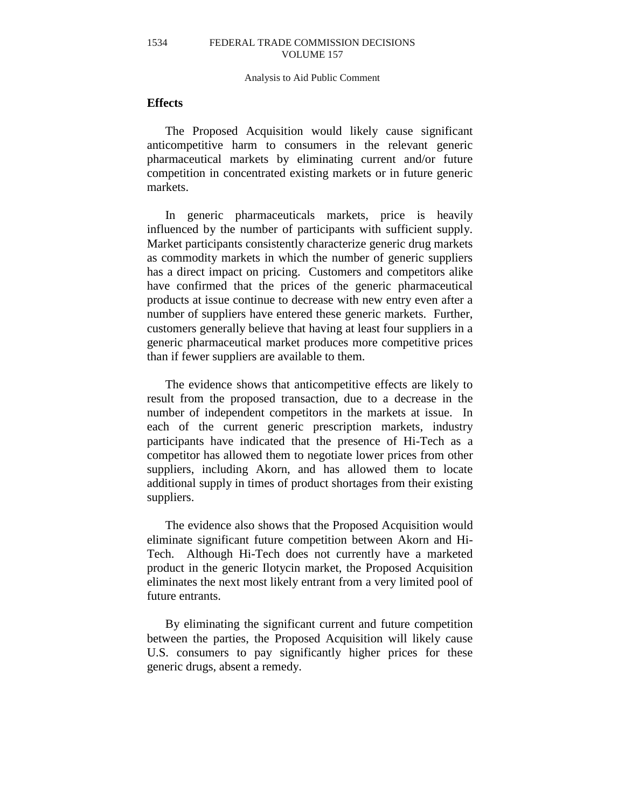#### Analysis to Aid Public Comment

# **Effects**

The Proposed Acquisition would likely cause significant anticompetitive harm to consumers in the relevant generic pharmaceutical markets by eliminating current and/or future competition in concentrated existing markets or in future generic markets.

In generic pharmaceuticals markets, price is heavily influenced by the number of participants with sufficient supply. Market participants consistently characterize generic drug markets as commodity markets in which the number of generic suppliers has a direct impact on pricing. Customers and competitors alike have confirmed that the prices of the generic pharmaceutical products at issue continue to decrease with new entry even after a number of suppliers have entered these generic markets. Further, customers generally believe that having at least four suppliers in a generic pharmaceutical market produces more competitive prices than if fewer suppliers are available to them.

The evidence shows that anticompetitive effects are likely to result from the proposed transaction, due to a decrease in the number of independent competitors in the markets at issue. In each of the current generic prescription markets, industry participants have indicated that the presence of Hi-Tech as a competitor has allowed them to negotiate lower prices from other suppliers, including Akorn, and has allowed them to locate additional supply in times of product shortages from their existing suppliers.

The evidence also shows that the Proposed Acquisition would eliminate significant future competition between Akorn and Hi-Tech. Although Hi-Tech does not currently have a marketed product in the generic Ilotycin market, the Proposed Acquisition eliminates the next most likely entrant from a very limited pool of future entrants.

By eliminating the significant current and future competition between the parties, the Proposed Acquisition will likely cause U.S. consumers to pay significantly higher prices for these generic drugs, absent a remedy.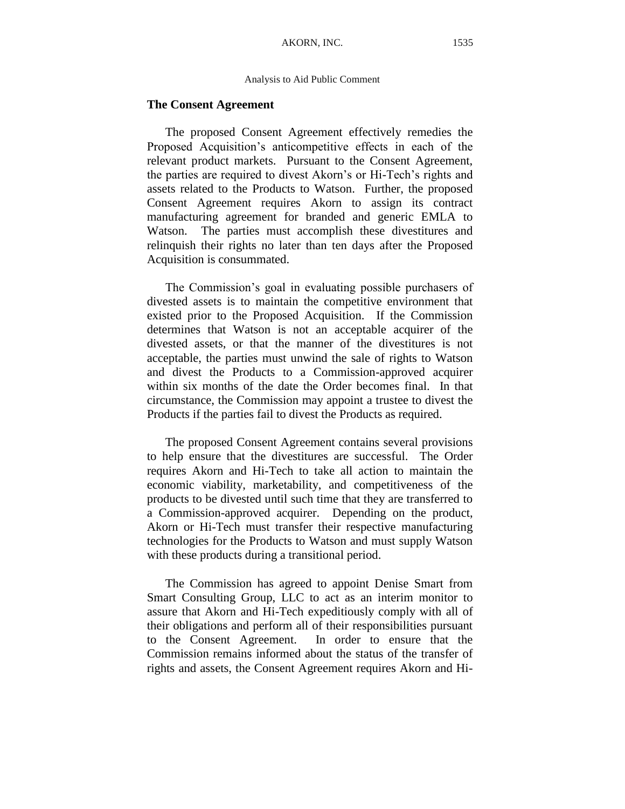#### Analysis to Aid Public Comment

# **The Consent Agreement**

The proposed Consent Agreement effectively remedies the Proposed Acquisition's anticompetitive effects in each of the relevant product markets. Pursuant to the Consent Agreement, the parties are required to divest Akorn's or Hi-Tech's rights and assets related to the Products to Watson. Further, the proposed Consent Agreement requires Akorn to assign its contract manufacturing agreement for branded and generic EMLA to Watson. The parties must accomplish these divestitures and relinquish their rights no later than ten days after the Proposed Acquisition is consummated.

The Commission's goal in evaluating possible purchasers of divested assets is to maintain the competitive environment that existed prior to the Proposed Acquisition. If the Commission determines that Watson is not an acceptable acquirer of the divested assets, or that the manner of the divestitures is not acceptable, the parties must unwind the sale of rights to Watson and divest the Products to a Commission-approved acquirer within six months of the date the Order becomes final. In that circumstance, the Commission may appoint a trustee to divest the Products if the parties fail to divest the Products as required.

The proposed Consent Agreement contains several provisions to help ensure that the divestitures are successful. The Order requires Akorn and Hi-Tech to take all action to maintain the economic viability, marketability, and competitiveness of the products to be divested until such time that they are transferred to a Commission-approved acquirer. Depending on the product, Akorn or Hi-Tech must transfer their respective manufacturing technologies for the Products to Watson and must supply Watson with these products during a transitional period.

The Commission has agreed to appoint Denise Smart from Smart Consulting Group, LLC to act as an interim monitor to assure that Akorn and Hi-Tech expeditiously comply with all of their obligations and perform all of their responsibilities pursuant to the Consent Agreement. In order to ensure that the Commission remains informed about the status of the transfer of rights and assets, the Consent Agreement requires Akorn and Hi-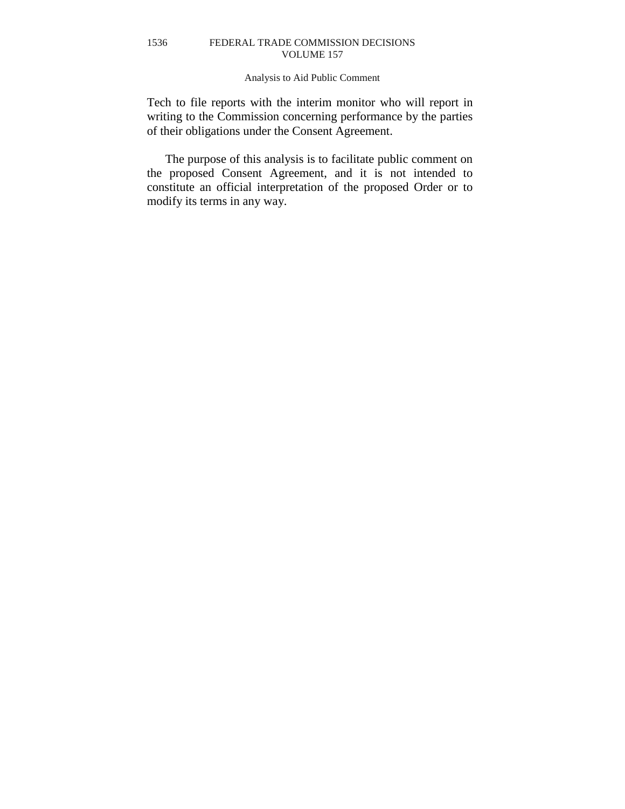# Analysis to Aid Public Comment

Tech to file reports with the interim monitor who will report in writing to the Commission concerning performance by the parties of their obligations under the Consent Agreement.

The purpose of this analysis is to facilitate public comment on the proposed Consent Agreement, and it is not intended to constitute an official interpretation of the proposed Order or to modify its terms in any way.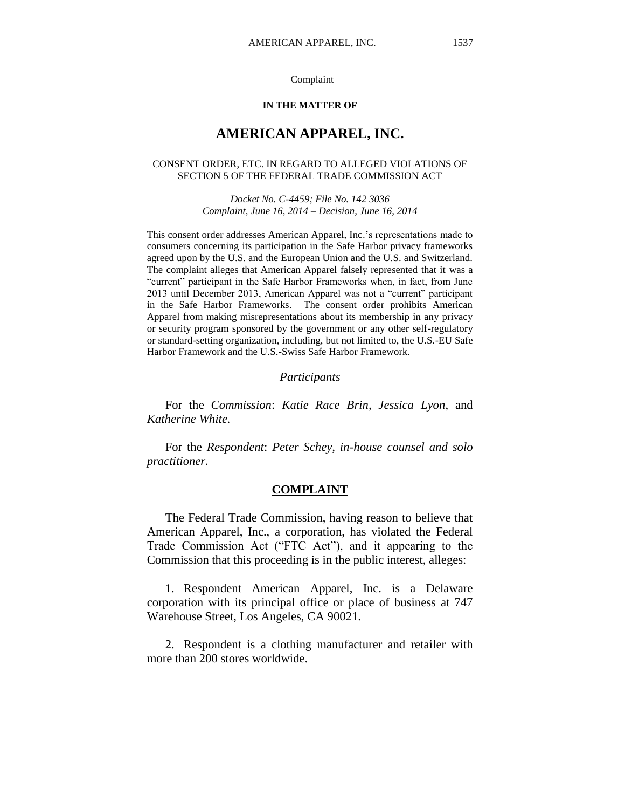#### Complaint

#### **IN THE MATTER OF**

# **AMERICAN APPAREL, INC.**

#### CONSENT ORDER, ETC. IN REGARD TO ALLEGED VIOLATIONS OF SECTION 5 OF THE FEDERAL TRADE COMMISSION ACT

*Docket No. C-4459; File No. 142 3036 Complaint, June 16, 2014 – Decision, June 16, 2014*

This consent order addresses American Apparel, Inc.'s representations made to consumers concerning its participation in the Safe Harbor privacy frameworks agreed upon by the U.S. and the European Union and the U.S. and Switzerland. The complaint alleges that American Apparel falsely represented that it was a "current" participant in the Safe Harbor Frameworks when, in fact, from June 2013 until December 2013, American Apparel was not a "current" participant in the Safe Harbor Frameworks. The consent order prohibits American Apparel from making misrepresentations about its membership in any privacy or security program sponsored by the government or any other self-regulatory or standard-setting organization, including, but not limited to, the U.S.-EU Safe Harbor Framework and the U.S.-Swiss Safe Harbor Framework.

## *Participants*

For the *Commission*: *Katie Race Brin, Jessica Lyon*, and *Katherine White.*

For the *Respondent*: *Peter Schey, in-house counsel and solo practitioner.*

# **COMPLAINT**

The Federal Trade Commission, having reason to believe that American Apparel, Inc., a corporation, has violated the Federal Trade Commission Act ("FTC Act"), and it appearing to the Commission that this proceeding is in the public interest, alleges:

1. Respondent American Apparel, Inc. is a Delaware corporation with its principal office or place of business at 747 Warehouse Street, Los Angeles, CA 90021.

2. Respondent is a clothing manufacturer and retailer with more than 200 stores worldwide.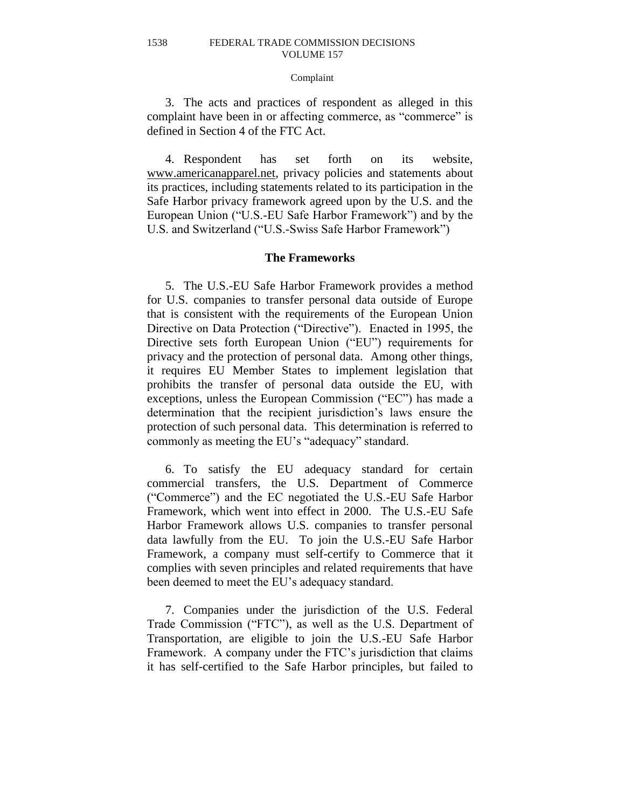#### Complaint

3. The acts and practices of respondent as alleged in this complaint have been in or affecting commerce, as "commerce" is defined in Section 4 of the FTC Act.

4. Respondent has set forth on its website, [www.americanapparel.net,](http://www.americanapparel.net/) privacy policies and statements about its practices, including statements related to its participation in the Safe Harbor privacy framework agreed upon by the U.S. and the European Union ("U.S.-EU Safe Harbor Framework") and by the U.S. and Switzerland ("U.S.-Swiss Safe Harbor Framework")

# **The Frameworks**

5. The U.S.-EU Safe Harbor Framework provides a method for U.S. companies to transfer personal data outside of Europe that is consistent with the requirements of the European Union Directive on Data Protection ("Directive"). Enacted in 1995, the Directive sets forth European Union ("EU") requirements for privacy and the protection of personal data. Among other things, it requires EU Member States to implement legislation that prohibits the transfer of personal data outside the EU, with exceptions, unless the European Commission ("EC") has made a determination that the recipient jurisdiction's laws ensure the protection of such personal data. This determination is referred to commonly as meeting the EU's "adequacy" standard.

6. To satisfy the EU adequacy standard for certain commercial transfers, the U.S. Department of Commerce ("Commerce") and the EC negotiated the U.S.-EU Safe Harbor Framework, which went into effect in 2000. The U.S.-EU Safe Harbor Framework allows U.S. companies to transfer personal data lawfully from the EU. To join the U.S.-EU Safe Harbor Framework, a company must self-certify to Commerce that it complies with seven principles and related requirements that have been deemed to meet the EU's adequacy standard.

7. Companies under the jurisdiction of the U.S. Federal Trade Commission ("FTC"), as well as the U.S. Department of Transportation, are eligible to join the U.S.-EU Safe Harbor Framework. A company under the FTC's jurisdiction that claims it has self-certified to the Safe Harbor principles, but failed to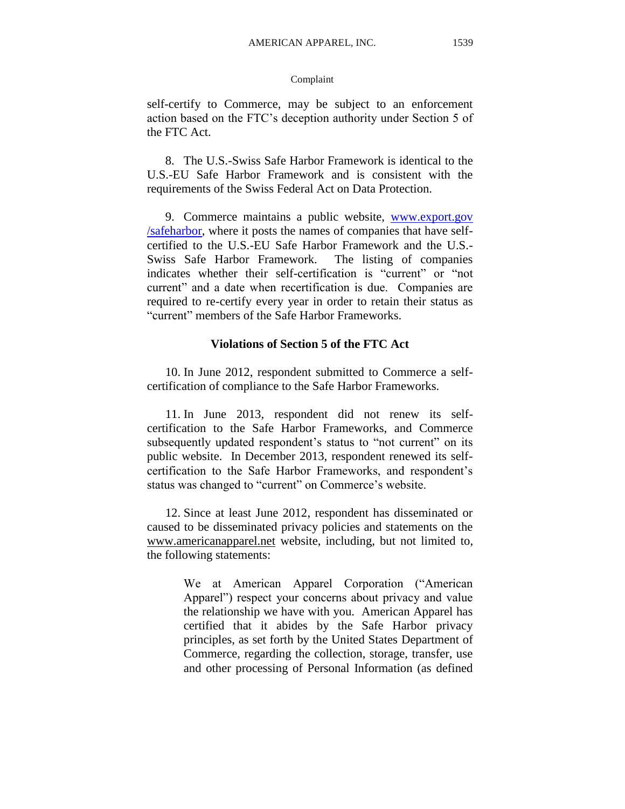# Complaint

self-certify to Commerce, may be subject to an enforcement action based on the FTC's deception authority under Section 5 of the FTC Act.

8. The U.S.-Swiss Safe Harbor Framework is identical to the U.S.-EU Safe Harbor Framework and is consistent with the requirements of the Swiss Federal Act on Data Protection.

9. Commerce maintains a public website, www.export.gov /safeharbor, where it posts the names of companies that have selfcertified to the U.S.-EU Safe Harbor Framework and the U.S.- Swiss Safe Harbor Framework. The listing of companies indicates whether their self-certification is "current" or "not current" and a date when recertification is due. Companies are required to re-certify every year in order to retain their status as "current" members of the Safe Harbor Frameworks.

# **Violations of Section 5 of the FTC Act**

10. In June 2012, respondent submitted to Commerce a selfcertification of compliance to the Safe Harbor Frameworks.

11. In June 2013, respondent did not renew its selfcertification to the Safe Harbor Frameworks, and Commerce subsequently updated respondent's status to "not current" on its public website. In December 2013, respondent renewed its selfcertification to the Safe Harbor Frameworks, and respondent's status was changed to "current" on Commerce's website.

12. Since at least June 2012, respondent has disseminated or caused to be disseminated privacy policies and statements on the [www.a](http://www.dnacenter.com/)mericanapparel.net website, including, but not limited to, the following statements:

> We at American Apparel Corporation ("American Apparel") respect your concerns about privacy and value the relationship we have with you. American Apparel has certified that it abides by the Safe Harbor privacy principles, as set forth by the United States Department of Commerce, regarding the collection, storage, transfer, use and other processing of Personal Information (as defined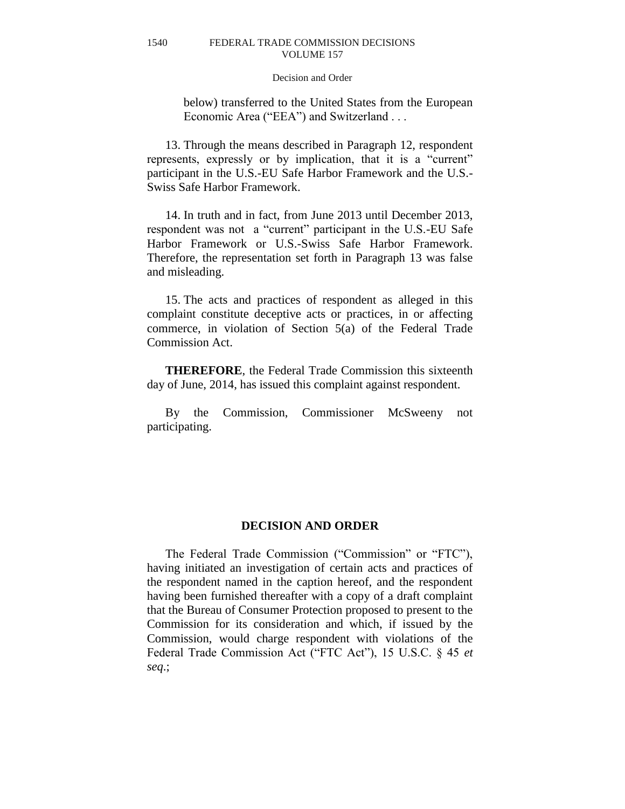## Decision and Order

below) transferred to the United States from the European Economic Area ("EEA") and Switzerland . . .

13. Through the means described in Paragraph 12, respondent represents, expressly or by implication, that it is a "current" participant in the U.S.-EU Safe Harbor Framework and the U.S.- Swiss Safe Harbor Framework.

14. In truth and in fact, from June 2013 until December 2013, respondent was not a "current" participant in the U.S.-EU Safe Harbor Framework or U.S.-Swiss Safe Harbor Framework. Therefore, the representation set forth in Paragraph 13 was false and misleading.

15. The acts and practices of respondent as alleged in this complaint constitute deceptive acts or practices, in or affecting commerce, in violation of Section 5(a) of the Federal Trade Commission Act.

**THEREFORE**, the Federal Trade Commission this sixteenth day of June, 2014, has issued this complaint against respondent.

By the Commission, Commissioner McSweeny not participating.

#### **DECISION AND ORDER**

The Federal Trade Commission ("Commission" or "FTC"), having initiated an investigation of certain acts and practices of the respondent named in the caption hereof, and the respondent having been furnished thereafter with a copy of a draft complaint that the Bureau of Consumer Protection proposed to present to the Commission for its consideration and which, if issued by the Commission, would charge respondent with violations of the Federal Trade Commission Act ("FTC Act"), 15 U.S.C. § 45 *et seq*.;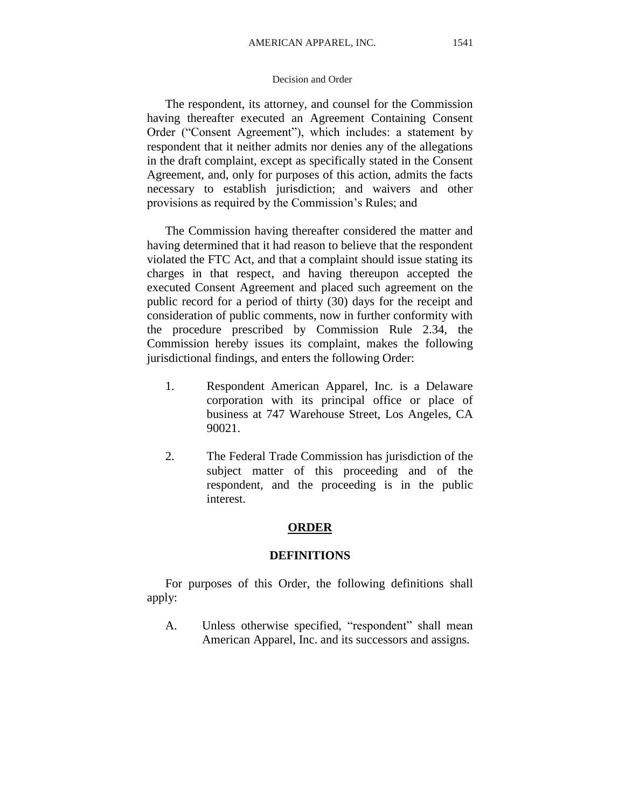The respondent, its attorney, and counsel for the Commission having thereafter executed an Agreement Containing Consent Order ("Consent Agreement"), which includes: a statement by respondent that it neither admits nor denies any of the allegations in the draft complaint, except as specifically stated in the Consent Agreement, and, only for purposes of this action, admits the facts necessary to establish jurisdiction; and waivers and other provisions as required by the Commission's Rules; and

The Commission having thereafter considered the matter and having determined that it had reason to believe that the respondent violated the FTC Act, and that a complaint should issue stating its charges in that respect, and having thereupon accepted the executed Consent Agreement and placed such agreement on the public record for a period of thirty (30) days for the receipt and consideration of public comments, now in further conformity with the procedure prescribed by Commission Rule 2.34, the Commission hereby issues its complaint, makes the following jurisdictional findings, and enters the following Order:

- 1. Respondent American Apparel, Inc. is a Delaware corporation with its principal office or place of business at 747 Warehouse Street, Los Angeles, CA 90021.
- 2. The Federal Trade Commission has jurisdiction of the subject matter of this proceeding and of the respondent, and the proceeding is in the public interest.

# **ORDER**

# **DEFINITIONS**

For purposes of this Order, the following definitions shall apply:

A. Unless otherwise specified, "respondent" shall mean American Apparel, Inc. and its successors and assigns.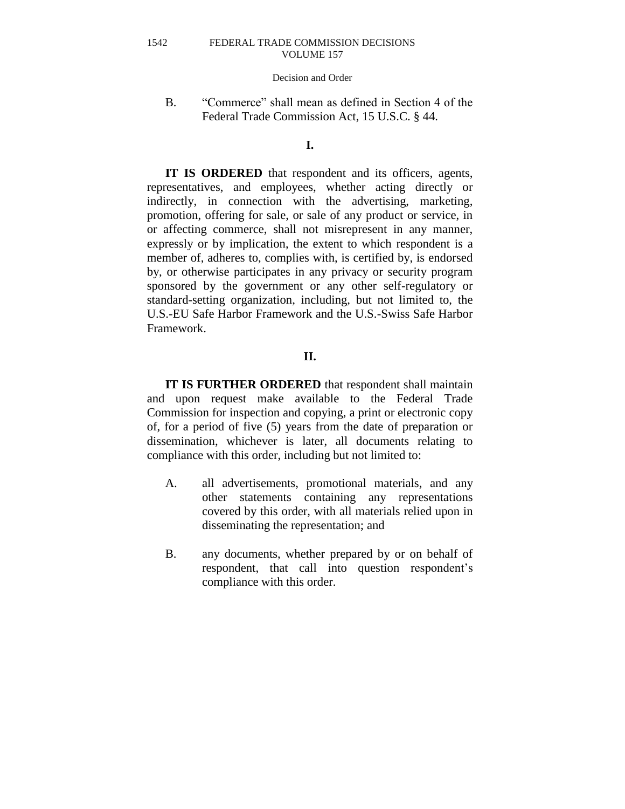## Decision and Order

B. "Commerce" shall mean as defined in Section 4 of the Federal Trade Commission Act, 15 U.S.C. § 44.

# **I.**

**IT IS ORDERED** that respondent and its officers, agents, representatives, and employees, whether acting directly or indirectly, in connection with the advertising, marketing, promotion, offering for sale, or sale of any product or service, in or affecting commerce, shall not misrepresent in any manner, expressly or by implication, the extent to which respondent is a member of, adheres to, complies with, is certified by, is endorsed by, or otherwise participates in any privacy or security program sponsored by the government or any other self-regulatory or standard-setting organization, including, but not limited to, the U.S.-EU Safe Harbor Framework and the U.S.-Swiss Safe Harbor Framework.

# **II.**

**IT IS FURTHER ORDERED** that respondent shall maintain and upon request make available to the Federal Trade Commission for inspection and copying, a print or electronic copy of, for a period of five (5) years from the date of preparation or dissemination, whichever is later, all documents relating to compliance with this order, including but not limited to:

- A. all advertisements, promotional materials, and any other statements containing any representations covered by this order, with all materials relied upon in disseminating the representation; and
- B. any documents, whether prepared by or on behalf of respondent, that call into question respondent's compliance with this order.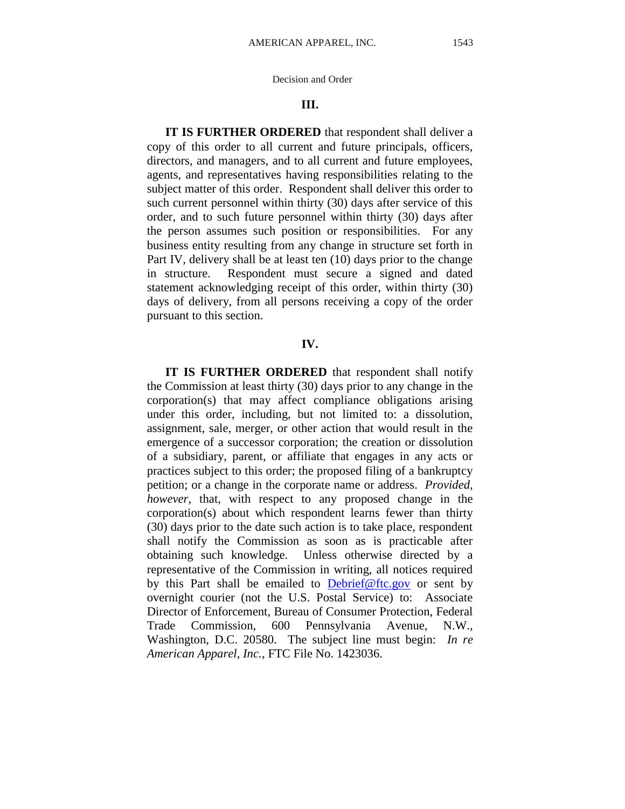## **III.**

**IT IS FURTHER ORDERED** that respondent shall deliver a copy of this order to all current and future principals, officers, directors, and managers, and to all current and future employees, agents, and representatives having responsibilities relating to the subject matter of this order. Respondent shall deliver this order to such current personnel within thirty (30) days after service of this order, and to such future personnel within thirty (30) days after the person assumes such position or responsibilities. For any business entity resulting from any change in structure set forth in Part IV, delivery shall be at least ten (10) days prior to the change in structure. Respondent must secure a signed and dated statement acknowledging receipt of this order, within thirty (30) days of delivery, from all persons receiving a copy of the order pursuant to this section.

# **IV.**

**IT IS FURTHER ORDERED** that respondent shall notify the Commission at least thirty (30) days prior to any change in the corporation(s) that may affect compliance obligations arising under this order, including, but not limited to: a dissolution, assignment, sale, merger, or other action that would result in the emergence of a successor corporation; the creation or dissolution of a subsidiary, parent, or affiliate that engages in any acts or practices subject to this order; the proposed filing of a bankruptcy petition; or a change in the corporate name or address. *Provided, however*, that, with respect to any proposed change in the corporation(s) about which respondent learns fewer than thirty (30) days prior to the date such action is to take place, respondent shall notify the Commission as soon as is practicable after obtaining such knowledge. Unless otherwise directed by a representative of the Commission in writing, all notices required by this Part shall be emailed to  $Debrief@ftc.gov$  or sent by overnight courier (not the U.S. Postal Service) to: Associate Director of Enforcement, Bureau of Consumer Protection, Federal Trade Commission, 600 Pennsylvania Avenue, N.W., Washington, D.C. 20580. The subject line must begin: *In re American Apparel, Inc.*, FTC File No. 1423036.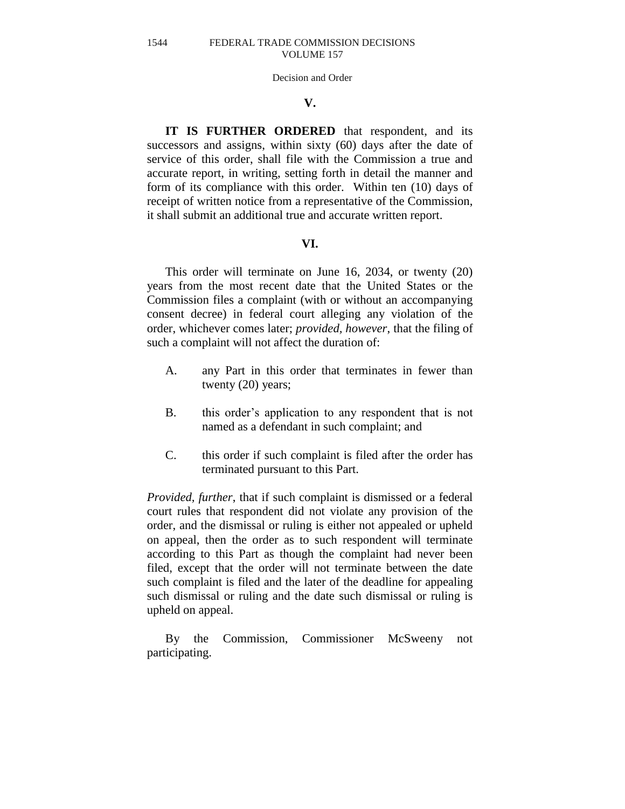#### Decision and Order

# **V.**

**IT IS FURTHER ORDERED** that respondent, and its successors and assigns, within sixty (60) days after the date of service of this order, shall file with the Commission a true and accurate report, in writing, setting forth in detail the manner and form of its compliance with this order. Within ten (10) days of receipt of written notice from a representative of the Commission, it shall submit an additional true and accurate written report.

# **VI.**

This order will terminate on June 16, 2034, or twenty (20) years from the most recent date that the United States or the Commission files a complaint (with or without an accompanying consent decree) in federal court alleging any violation of the order, whichever comes later; *provided, however*, that the filing of such a complaint will not affect the duration of:

- A. any Part in this order that terminates in fewer than twenty (20) years;
- B. this order's application to any respondent that is not named as a defendant in such complaint; and
- C. this order if such complaint is filed after the order has terminated pursuant to this Part.

*Provided, further*, that if such complaint is dismissed or a federal court rules that respondent did not violate any provision of the order, and the dismissal or ruling is either not appealed or upheld on appeal, then the order as to such respondent will terminate according to this Part as though the complaint had never been filed, except that the order will not terminate between the date such complaint is filed and the later of the deadline for appealing such dismissal or ruling and the date such dismissal or ruling is upheld on appeal.

By the Commission, Commissioner McSweeny not participating.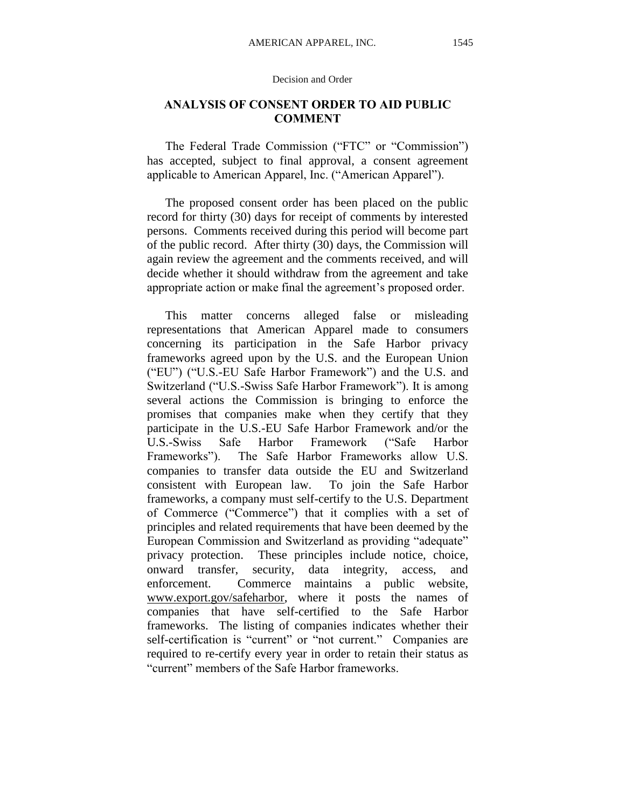# **ANALYSIS OF CONSENT ORDER TO AID PUBLIC COMMENT**

The Federal Trade Commission ("FTC" or "Commission") has accepted, subject to final approval, a consent agreement applicable to American Apparel, Inc. ("American Apparel").

The proposed consent order has been placed on the public record for thirty (30) days for receipt of comments by interested persons. Comments received during this period will become part of the public record. After thirty (30) days, the Commission will again review the agreement and the comments received, and will decide whether it should withdraw from the agreement and take appropriate action or make final the agreement's proposed order.

This matter concerns alleged false or misleading representations that American Apparel made to consumers concerning its participation in the Safe Harbor privacy frameworks agreed upon by the U.S. and the European Union ("EU") ("U.S.-EU Safe Harbor Framework") and the U.S. and Switzerland ("U.S.-Swiss Safe Harbor Framework"). It is among several actions the Commission is bringing to enforce the promises that companies make when they certify that they participate in the U.S.-EU Safe Harbor Framework and/or the U.S.-Swiss Safe Harbor Framework ("Safe Harbor Frameworks"). The Safe Harbor Frameworks allow U.S. companies to transfer data outside the EU and Switzerland consistent with European law. To join the Safe Harbor frameworks, a company must self-certify to the U.S. Department of Commerce ("Commerce") that it complies with a set of principles and related requirements that have been deemed by the European Commission and Switzerland as providing "adequate" privacy protection. These principles include notice, choice, onward transfer, security, data integrity, access, and enforcement. Commerce maintains a public website, [www.export.gov/safeharbor,](http://www.export.gov/safeharbor) where it posts the names of companies that have self-certified to the Safe Harbor frameworks. The listing of companies indicates whether their self-certification is "current" or "not current." Companies are required to re-certify every year in order to retain their status as "current" members of the Safe Harbor frameworks.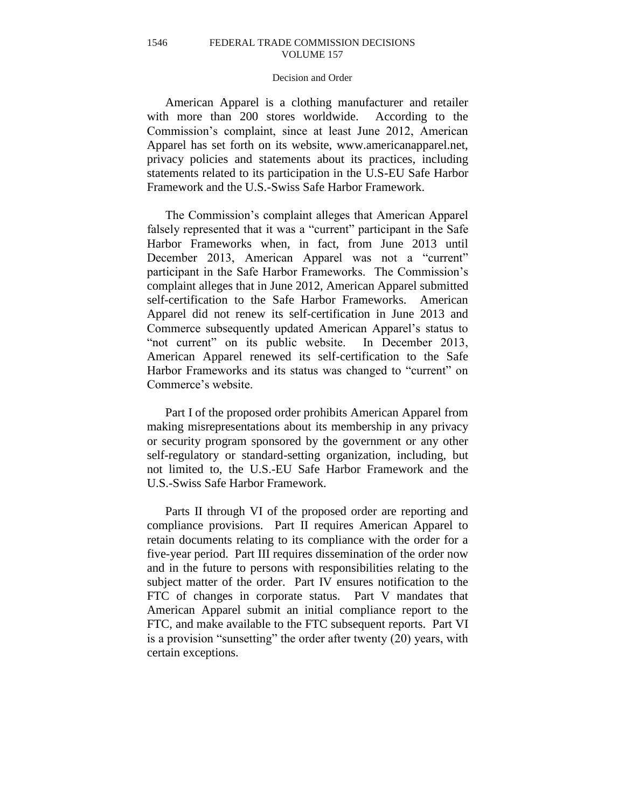# Decision and Order

American Apparel is a clothing manufacturer and retailer with more than 200 stores worldwide. According to the Commission's complaint, since at least June 2012, American Apparel has set forth on its website, www.americanapparel.net, privacy policies and statements about its practices, including statements related to its participation in the U.S-EU Safe Harbor Framework and the U.S.-Swiss Safe Harbor Framework.

The Commission's complaint alleges that American Apparel falsely represented that it was a "current" participant in the Safe Harbor Frameworks when, in fact, from June 2013 until December 2013, American Apparel was not a "current" participant in the Safe Harbor Frameworks. The Commission's complaint alleges that in June 2012, American Apparel submitted self-certification to the Safe Harbor Frameworks. American Apparel did not renew its self-certification in June 2013 and Commerce subsequently updated American Apparel's status to "not current" on its public website. In December 2013, American Apparel renewed its self-certification to the Safe Harbor Frameworks and its status was changed to "current" on Commerce's website.

Part I of the proposed order prohibits American Apparel from making misrepresentations about its membership in any privacy or security program sponsored by the government or any other self-regulatory or standard-setting organization, including, but not limited to, the U.S.-EU Safe Harbor Framework and the U.S.-Swiss Safe Harbor Framework.

Parts II through VI of the proposed order are reporting and compliance provisions. Part II requires American Apparel to retain documents relating to its compliance with the order for a five-year period. Part III requires dissemination of the order now and in the future to persons with responsibilities relating to the subject matter of the order. Part IV ensures notification to the FTC of changes in corporate status. Part V mandates that American Apparel submit an initial compliance report to the FTC, and make available to the FTC subsequent reports. Part VI is a provision "sunsetting" the order after twenty (20) years, with certain exceptions.